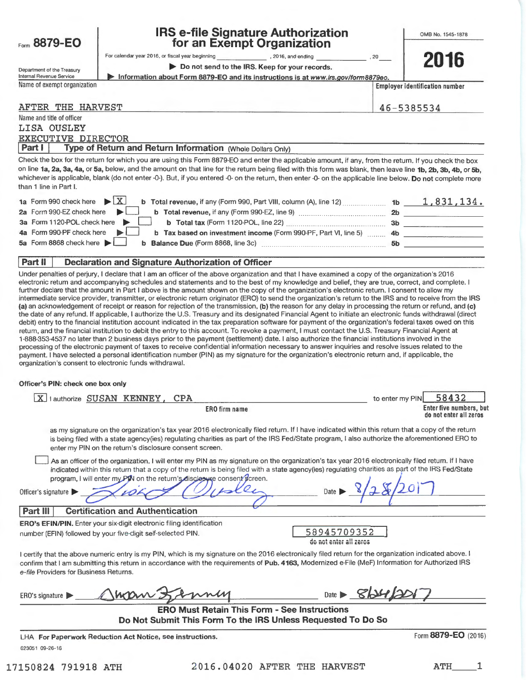| Form 8879-EO                                                                                |                                                         | <b>IRS e-file Signature Authorization</b><br>for an Exempt Organization                                                                                                                                                                                                                                                                                                                                                                                                                                                                                                                                        |                                       |                 | OMB No. 1545-1878                     |
|---------------------------------------------------------------------------------------------|---------------------------------------------------------|----------------------------------------------------------------------------------------------------------------------------------------------------------------------------------------------------------------------------------------------------------------------------------------------------------------------------------------------------------------------------------------------------------------------------------------------------------------------------------------------------------------------------------------------------------------------------------------------------------------|---------------------------------------|-----------------|---------------------------------------|
|                                                                                             |                                                         |                                                                                                                                                                                                                                                                                                                                                                                                                                                                                                                                                                                                                |                                       |                 |                                       |
|                                                                                             |                                                         | Do not send to the IRS. Keep for your records.                                                                                                                                                                                                                                                                                                                                                                                                                                                                                                                                                                 | , 20                                  |                 | 2016                                  |
| Department of the Treasury<br>Internal Revenue Service                                      |                                                         | Information about Form 8879-EO and its instructions is at www.irs.gov/form8879eo.                                                                                                                                                                                                                                                                                                                                                                                                                                                                                                                              |                                       |                 |                                       |
| Name of exempt organization                                                                 |                                                         |                                                                                                                                                                                                                                                                                                                                                                                                                                                                                                                                                                                                                |                                       |                 | <b>Employer identification number</b> |
| <b>AFTER THE HARVEST</b>                                                                    |                                                         |                                                                                                                                                                                                                                                                                                                                                                                                                                                                                                                                                                                                                |                                       |                 | 46-5385534                            |
| Name and title of officer<br>LISA OUSLEY<br><b>EXECUTIVE DIRECTOR</b>                       |                                                         |                                                                                                                                                                                                                                                                                                                                                                                                                                                                                                                                                                                                                |                                       |                 |                                       |
| Part I                                                                                      |                                                         | Type of Return and Return Information (Whole Dollars Only)                                                                                                                                                                                                                                                                                                                                                                                                                                                                                                                                                     |                                       |                 |                                       |
| than 1 line in Part I.                                                                      |                                                         | Check the box for the return for which you are using this Form 8879-EO and enter the applicable amount, if any, from the return. If you check the box<br>on line 1a, 2a, 3a, 4a, or 5a, below, and the amount on that line for the return being filed with this form was blank, then leave line 1b, 2b, 3b, 4b, or 5b,<br>whichever is applicable, blank (do not enter -0-). But, if you entered -0- on the return, then enter -0- on the applicable line below. Do not complete more                                                                                                                          |                                       |                 |                                       |
| 1a Form 990 check here<br>2a Form 990-EZ check here                                         | $\blacktriangleright$ $\mathsf{X}$                      | <b>b</b> Total revenue, if any (Form 990, Part VIII, column (A), line 12)  1b $1,831,134.$                                                                                                                                                                                                                                                                                                                                                                                                                                                                                                                     |                                       |                 |                                       |
| 3a Form 1120-POL check here                                                                 |                                                         |                                                                                                                                                                                                                                                                                                                                                                                                                                                                                                                                                                                                                |                                       |                 |                                       |
| 4a Form 990-PF check here                                                                   |                                                         | b Tax based on investment income (Form 990-PF, Part VI, line 5)  4b                                                                                                                                                                                                                                                                                                                                                                                                                                                                                                                                            |                                       |                 |                                       |
| 5a Form 8868 check here                                                                     |                                                         |                                                                                                                                                                                                                                                                                                                                                                                                                                                                                                                                                                                                                |                                       |                 |                                       |
|                                                                                             |                                                         |                                                                                                                                                                                                                                                                                                                                                                                                                                                                                                                                                                                                                |                                       |                 |                                       |
| Part II                                                                                     |                                                         | <b>Declaration and Signature Authorization of Officer</b>                                                                                                                                                                                                                                                                                                                                                                                                                                                                                                                                                      |                                       |                 |                                       |
| organization's consent to electronic funds withdrawal.<br>Officer's PIN: check one box only |                                                         | retum, and the financial institution to debit the entry to this account. To revoke a payment, I must contact the U.S. Treasury Financial Agent at<br>1-888-353-4537 no later than 2 business days prior to the payment (settlement) date. I also authorize the financial institutions involved in the<br>processing of the electronic payment of taxes to receive confidential information necessary to answer inquiries and resolve issues related to the<br>payment. I have selected a personal identification number (PIN) as my signature for the organization's electronic return and, if applicable, the |                                       |                 |                                       |
|                                                                                             | X I authorize SUSAN KENNEY, CPA                         |                                                                                                                                                                                                                                                                                                                                                                                                                                                                                                                                                                                                                |                                       | to enter my PIN | 58432                                 |
|                                                                                             |                                                         | <b>ERO</b> firm name                                                                                                                                                                                                                                                                                                                                                                                                                                                                                                                                                                                           |                                       |                 | Enter five numbers, but               |
|                                                                                             |                                                         |                                                                                                                                                                                                                                                                                                                                                                                                                                                                                                                                                                                                                |                                       |                 | do not enter all zeros                |
|                                                                                             | enter my PIN on the return's disclosure consent screen. | as my signature on the organization's tax year 2016 electronically filed return. If I have indicated within this return that a copy of the return<br>is being filed with a state agency(ies) regulating charities as part of the IRS Fed/State program, I also authorize the aforementioned ERO to                                                                                                                                                                                                                                                                                                             |                                       |                 |                                       |
|                                                                                             |                                                         | As an officer of the organization, I will enter my PIN as my signature on the organization's tax year 2016 electronically filed return. If I have<br>indicated within this return that a copy of the return is being filed with a state agency(ies) regulating charities as part of the IRS Fed/State<br>program, I will enter my PIN on the return's disclosure consent screen.                                                                                                                                                                                                                               |                                       |                 |                                       |
| Officer's signature                                                                         |                                                         |                                                                                                                                                                                                                                                                                                                                                                                                                                                                                                                                                                                                                |                                       |                 |                                       |
| <b>Part III</b>                                                                             | <b>Certification and Authentication</b>                 |                                                                                                                                                                                                                                                                                                                                                                                                                                                                                                                                                                                                                |                                       |                 |                                       |
| <b>ERO's EFIN/PIN.</b> Enter your six-digit electronic filing identification                |                                                         |                                                                                                                                                                                                                                                                                                                                                                                                                                                                                                                                                                                                                |                                       |                 |                                       |
| number (EFIN) followed by your five-digit self-selected PIN.                                |                                                         |                                                                                                                                                                                                                                                                                                                                                                                                                                                                                                                                                                                                                | 58945709352<br>do not enter all zeros |                 |                                       |
| e-file Providers for Business Returns.                                                      |                                                         | I certify that the above numeric entry is my PIN, which is my signature on the 2016 electronically filed return for the organization indicated above. I<br>confirm that I am submitting this return in accordance with the requirements of Pub. 4163, Modernized e-File (MeF) Information for Authorized IRS                                                                                                                                                                                                                                                                                                   |                                       |                 |                                       |
| ERO's signature $\Box$                                                                      | man:                                                    |                                                                                                                                                                                                                                                                                                                                                                                                                                                                                                                                                                                                                |                                       | Date $864201$   |                                       |
|                                                                                             |                                                         | <b>ERO Must Retain This Form - See Instructions</b><br>Do Not Submit This Form To the IRS Unless Requested To Do So                                                                                                                                                                                                                                                                                                                                                                                                                                                                                            |                                       |                 |                                       |
| LHA For Paperwork Reduction Act Notice, see instructions.                                   |                                                         |                                                                                                                                                                                                                                                                                                                                                                                                                                                                                                                                                                                                                |                                       |                 | Form 8879-EO (2016)                   |

623051 09-26-16

ATH\_\_\_\_\_\_\_\_1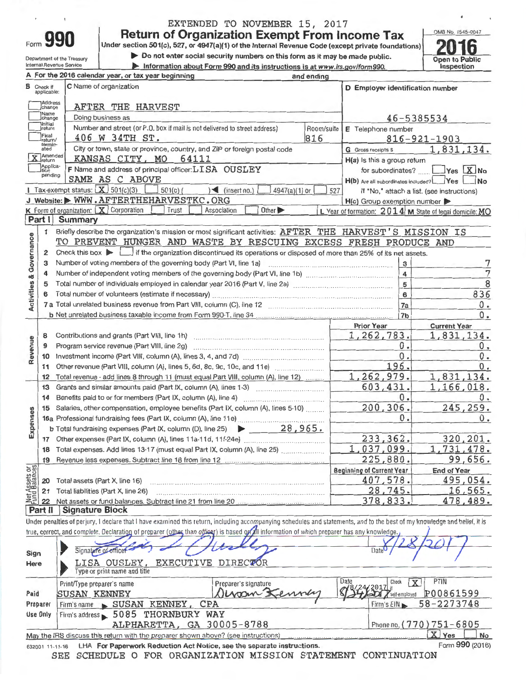|          | EXTENDED TO NOVEMBER 15, 2017                                                                      |                   |
|----------|----------------------------------------------------------------------------------------------------|-------------------|
|          | <b>Return of Organization Exempt From Income Tax</b>                                               | OMB No. 1545-0047 |
| Form 990 |                                                                                                    |                   |
|          | Under section 501(c), 527, or 4947(a)(1) of the Internal Revenue Code (except private foundations) | 2016              |

■ Do not enter social security numbers on this form as it may be made public. Open to Public <br> **Differention about Form 990 and its instructions is at www.irs.gov/form990.** Inspection

Department of the Treasury Internal Revenue Service

 $\overline{\mathbf{1}}$ 

Information about Form 990 and its instructions is at www.irs.gov/form990.

6

|                                |                                  | A For the 2016 calendar year, or tax year beginning                                                                                                                        | and ending |                                         |                                                         |
|--------------------------------|----------------------------------|----------------------------------------------------------------------------------------------------------------------------------------------------------------------------|------------|-----------------------------------------|---------------------------------------------------------|
|                                | <b>B</b> Check if<br>applicable: | C Name of organization                                                                                                                                                     |            | D Employer identification number        |                                                         |
|                                | Address<br>change                | AFTER THE HARVEST                                                                                                                                                          |            |                                         |                                                         |
|                                | Name<br>Jchange                  | Doing business as                                                                                                                                                          |            |                                         | 46-5385534                                              |
|                                | Initial<br>return                | Number and street (or P.O. box if mail is not delivered to street address)                                                                                                 | Room/suite | E Telephone number                      |                                                         |
|                                | Final<br>return/                 | 406 W 34TH ST.                                                                                                                                                             | 816        |                                         | $816 - 921 - 1903$                                      |
|                                | termin-<br>ated                  | City or town, state or province, country, and ZIP or foreign postal code                                                                                                   |            | <b>G</b> Gross receipts \$              | 1,831,134.                                              |
|                                | <b>X</b> Amended                 | KANSAS CITY, MO<br>64111                                                                                                                                                   |            | H(a) Is this a group return             |                                                         |
|                                | Applica-<br>Ition                | F Name and address of principal officer: LISA OUSLEY                                                                                                                       |            |                                         | for subordinates? ____ ____ Yes X No                    |
|                                | pending                          | SAME AS C ABOVE                                                                                                                                                            |            | H(b) Are all subordinates included? Yes | $\blacksquare$ No                                       |
|                                |                                  | <b>I</b> Tax-exempt status: $X$ 501(c)(3)<br>$501(c)$ (<br>$\leq$ (insert no.)<br>$4947(a)(1)$ or                                                                          | 527        |                                         | If "No," attach a list. (see instructions)              |
|                                |                                  | J Website: WWW.AFTERTHEHARVESTKC.ORG                                                                                                                                       |            | $H(c)$ Group exemption number           |                                                         |
|                                |                                  | <b>K</b> Form of organization: $X$ Corporation<br>Trust<br>Other ><br>Association                                                                                          |            |                                         | L Year of formation: 2014 M State of legal domicile: MO |
|                                | Part I                           | <b>Summary</b>                                                                                                                                                             |            |                                         |                                                         |
|                                | 1                                | Briefly describe the organization's mission or most significant activities: AFTER THE HARVEST'S MISSION IS                                                                 |            |                                         |                                                         |
| Activities & Governance        |                                  | TO PREVENT HUNGER AND WASTE BY RESCUING EXCESS FRESH PRODUCE AND                                                                                                           |            |                                         |                                                         |
|                                | $\mathbf{2}$                     | Check this box $\blacktriangleright$ $\blacksquare$ if the organization discontinued its operations or disposed of more than 25% of its net assets.                        |            |                                         |                                                         |
|                                | з                                | Number of voting members of the governing body (Part VI, line 1a)                                                                                                          |            | 3                                       |                                                         |
|                                | 4                                |                                                                                                                                                                            |            | $\overline{\mathbf{4}}$                 | 7                                                       |
|                                | 5                                |                                                                                                                                                                            |            | 5                                       | 8                                                       |
|                                | 6                                |                                                                                                                                                                            |            | 6                                       | 836                                                     |
|                                | 7a                               |                                                                                                                                                                            |            | 7a                                      | 0.                                                      |
|                                |                                  |                                                                                                                                                                            |            | 7 <sub>b</sub>                          | 0.                                                      |
|                                |                                  |                                                                                                                                                                            |            | <b>Prior Year</b>                       | <b>Current Year</b>                                     |
|                                | 8                                |                                                                                                                                                                            |            | 1,262,783.                              | 1,831,134.                                              |
|                                | 9                                | Program service revenue (Part VIII, line 2g)                                                                                                                               |            | 0.                                      | 0.                                                      |
| Revenue                        | 10                               |                                                                                                                                                                            |            | 0.                                      | 0.                                                      |
|                                | 11                               |                                                                                                                                                                            |            | 196.                                    | 0.                                                      |
|                                | 12                               | Total revenue - add lines 8 through 11 (must equal Part VIII, column (A), line 12)                                                                                         |            | 1,262,979.                              | 1,831,134.                                              |
|                                | 13                               | Grants and similar amounts paid (Part IX, column (A), lines 1-3)                                                                                                           |            | 603,431.                                | 1,166,018.                                              |
|                                | 14                               | Benefits paid to or for members (Part IX, column (A), line 4)                                                                                                              |            | 0.                                      | $0$ .                                                   |
|                                | 15                               | Salaries, other compensation, employee benefits (Part IX, column (A), lines 5-10)                                                                                          |            | 200,306.                                | 245,259.                                                |
| Expenses                       |                                  |                                                                                                                                                                            |            | 0.                                      | 0.                                                      |
|                                |                                  | <b>b</b> Total fundraising expenses (Part IX, column (D), line 25) $\triangleright$ 28, 965.                                                                               |            |                                         |                                                         |
|                                |                                  |                                                                                                                                                                            |            | 233, 362.                               | 320,201.                                                |
|                                | 17                               | 18 Total expenses. Add lines 13-17 (must equal Part IX, column (A), line 25)                                                                                               |            | 1,037,099.                              | 1,731,478.                                              |
|                                |                                  | Revenue less expenses. Subtract line 18 from line 12                                                                                                                       |            | 225,880.                                | 99,656.                                                 |
|                                | 19                               |                                                                                                                                                                            |            | <b>Beginning of Current Year</b>        |                                                         |
| Net Assets or<br>Fund Balances |                                  |                                                                                                                                                                            |            | 407,578.                                | <b>End of Year</b><br>495,054.                          |
|                                | 20                               | Total assets (Part X, line 16)                                                                                                                                             |            |                                         |                                                         |
|                                | 21                               | Total liabilities (Part X, line 26)<br>Net assets or fund balances. Subtract line 21 from line 20                                                                          |            | 28,745.<br>378,833.                     | 16,565.<br>478,489.                                     |
|                                | 22<br>Part II                    | <b>Signature Block</b>                                                                                                                                                     |            |                                         |                                                         |
|                                |                                  | Under penalties of perjury, I declare that I have examined this return, including accompanying schedules and statements, and to the best of my knowledge and belief, it is |            |                                         |                                                         |
|                                |                                  | true, correct, and complete. Declaration of preparer (other than officer) is based of all information of which preparer has any knowledge.                                 |            |                                         |                                                         |
|                                |                                  |                                                                                                                                                                            |            |                                         |                                                         |
|                                |                                  | Signature of officer                                                                                                                                                       |            | Date                                    |                                                         |
| Sign                           |                                  | EXECUTIVE DIRECTOR                                                                                                                                                         |            |                                         |                                                         |
| Here                           |                                  | <u>LISA OUSLEY,</u><br>Type or print name and title                                                                                                                        |            |                                         |                                                         |
|                                |                                  | Preparer's signature                                                                                                                                                       |            | Date<br>Check                           | PTIN<br>$\mathbf{x}$                                    |
| Paid                           |                                  | Print/Type preparer's name<br>$N$ unan $X$<br>SUSAN KENNEY                                                                                                                 |            | 2017                                    | P00861599                                               |
|                                |                                  |                                                                                                                                                                            |            | self-employed                           |                                                         |
|                                | Preparer<br><b>Use Only</b>      | SUSAN KENNEY, CPA<br>Firm's name                                                                                                                                           |            | Firm's EIN                              | 58-2273748                                              |
|                                |                                  | Firm's address > 5085 THORNBURY WAY                                                                                                                                        |            |                                         | Phone no. (770) 751-6805                                |
|                                |                                  | ALPHARETTA, GA 30005-8788<br>May the IRS discuss this return with the preparer shown above? (see instructions)                                                             |            |                                         | X Yes                                                   |
|                                |                                  |                                                                                                                                                                            |            |                                         | No                                                      |

532001 11-11-16 LHA **For Paperwork Reduction Act Notice, see the separate instructions. SEE SCHEDULE O FOR ORGANIZATION MISSION STATEMENT CONTINUATION** 

May the IRS discuss this return with the preparer shown above? (see instructions)

**1X** Yes  $\Box$ Form **990** (2016)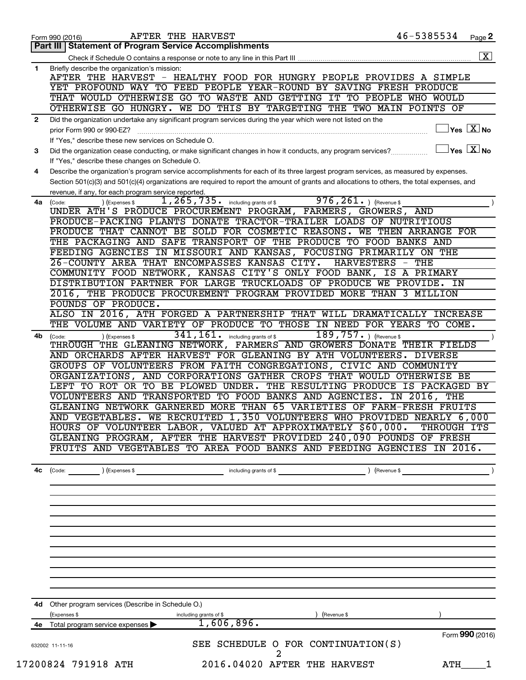|    | AFTER THE HARVEST<br>Form 990 (2016)                                                                                                           | 46-5385534                       | Page 2                              |
|----|------------------------------------------------------------------------------------------------------------------------------------------------|----------------------------------|-------------------------------------|
|    | <b>Statement of Program Service Accomplishments</b><br>Part III                                                                                |                                  |                                     |
|    |                                                                                                                                                |                                  | $\boxed{\textbf{X}}$                |
| 1  | Briefly describe the organization's mission:                                                                                                   |                                  |                                     |
|    | AFTER THE HARVEST - HEALTHY FOOD FOR HUNGRY PEOPLE PROVIDES A SIMPLE                                                                           |                                  |                                     |
|    | YET PROFOUND WAY TO FEED PEOPLE YEAR-ROUND BY SAVING FRESH PRODUCE                                                                             |                                  |                                     |
|    | THAT WOULD OTHERWISE GO TO WASTE AND GETTING IT TO PEOPLE WHO WOULD                                                                            |                                  |                                     |
|    | OTHERWISE GO HUNGRY. WE DO THIS BY TARGETING THE TWO MAIN POINTS OF                                                                            |                                  |                                     |
| 2  | Did the organization undertake any significant program services during the year which were not listed on the                                   |                                  |                                     |
|    | prior Form 990 or 990-EZ?                                                                                                                      |                                  | $\exists$ Yes $\boxed{\text{X}}$ No |
|    | If "Yes," describe these new services on Schedule O.                                                                                           |                                  |                                     |
| 3  | Did the organization cease conducting, or make significant changes in how it conducts, any program services?                                   | $\Box$ Yes $\boxed{\text{X}}$ No |                                     |
|    | If "Yes," describe these changes on Schedule O.                                                                                                |                                  |                                     |
| 4  | Describe the organization's program service accomplishments for each of its three largest program services, as measured by expenses.           |                                  |                                     |
|    | Section 501(c)(3) and 501(c)(4) organizations are required to report the amount of grants and allocations to others, the total expenses, and   |                                  |                                     |
|    | revenue, if any, for each program service reported.                                                                                            |                                  |                                     |
| 4a | $976, 261.$ (Revenue \$<br>$1, 265, 735$ . including grants of \$<br>) (Expenses \$<br>(Code:                                                  |                                  |                                     |
|    | UNDER ATH'S PRODUCE PROCUREMENT PROGRAM, FARMERS, GROWERS, AND                                                                                 |                                  |                                     |
|    | PRODUCE-PACKING PLANTS DONATE TRACTOR-TRAILER LOADS OF NUTRITIOUS                                                                              |                                  |                                     |
|    | PRODUCE THAT CANNOT BE SOLD FOR COSMETIC REASONS. WE THEN ARRANGE FOR                                                                          |                                  |                                     |
|    | THE PACKAGING AND SAFE TRANSPORT OF THE PRODUCE TO FOOD BANKS AND                                                                              |                                  |                                     |
|    | FEEDING AGENCIES IN MISSOURI AND KANSAS, FOCUSING PRIMARILY ON THE                                                                             |                                  |                                     |
|    | 26-COUNTY AREA THAT ENCOMPASSES KANSAS CITY.                                                                                                   | HARVESTERS - THE                 |                                     |
|    | COMMUNITY FOOD NETWORK, KANSAS CITY'S ONLY FOOD BANK, IS A PRIMARY                                                                             |                                  |                                     |
|    | DISTRIBUTION PARTNER FOR LARGE TRUCKLOADS OF PRODUCE WE PROVIDE. IN                                                                            |                                  |                                     |
|    | 2016, THE PRODUCE PROCUREMENT PROGRAM PROVIDED MORE THAN 3 MILLION                                                                             |                                  |                                     |
|    | POUNDS OF PRODUCE.                                                                                                                             |                                  |                                     |
|    | ALSO IN 2016, ATH FORGED A PARTNERSHIP THAT WILL DRAMATICALLY INCREASE                                                                         |                                  |                                     |
|    | THE VOLUME AND VARIETY OF PRODUCE TO THOSE IN NEED FOR YEARS TO COME.                                                                          |                                  |                                     |
| 4b | $341, 161$ . Including grants of \$<br>$189, 757.$ (Revenue \$)<br>) (Expenses \$<br>(Code:                                                    |                                  |                                     |
|    | THROUGH THE GLEANING NETWORK, FARMERS AND GROWERS DONATE THEIR FIELDS                                                                          |                                  |                                     |
|    | AND ORCHARDS AFTER HARVEST FOR GLEANING BY ATH VOLUNTEERS. DIVERSE                                                                             |                                  |                                     |
|    | GROUPS OF VOLUNTEERS FROM FAITH CONGREGATIONS, CIVIC AND COMMUNITY<br>ORGANIZATIONS, AND CORPORATIONS GATHER CROPS THAT WOULD OTHERWISE BE     |                                  |                                     |
|    |                                                                                                                                                |                                  |                                     |
|    | LEFT TO ROT OR TO BE PLOWED UNDER. THE RESULTING PRODUCE IS PACKAGED BY<br>VOLUNTEERS AND TRANSPORTED TO FOOD BANKS AND AGENCIES. IN 2016, THE |                                  |                                     |
|    | GLEANING NETWORK GARNERED MORE THAN 65 VARIETIES OF FARM-FRESH FRUITS                                                                          |                                  |                                     |
|    | AND VEGETABLES. WE RECRUITED 1,350 VOLUNTEERS WHO PROVIDED NEARLY 6,000                                                                        |                                  |                                     |
|    | HOURS OF VOLUNTEER LABOR, VALUED AT APPROXIMATELY \$60,000. THROUGH ITS                                                                        |                                  |                                     |
|    | GLEANING PROGRAM, AFTER THE HARVEST PROVIDED 240,090 POUNDS OF FRESH                                                                           |                                  |                                     |
|    | FRUITS AND VEGETABLES TO AREA FOOD BANKS AND FEEDING AGENCIES IN 2016.                                                                         |                                  |                                     |
|    |                                                                                                                                                |                                  |                                     |
|    |                                                                                                                                                |                                  |                                     |
| 4c | ) (Expenses \$<br>including grants of \$<br>(Code:                                                                                             | (Revenue \$                      |                                     |
|    |                                                                                                                                                |                                  |                                     |
|    |                                                                                                                                                |                                  |                                     |
|    |                                                                                                                                                |                                  |                                     |
|    |                                                                                                                                                |                                  |                                     |
|    |                                                                                                                                                |                                  |                                     |
|    |                                                                                                                                                |                                  |                                     |
|    |                                                                                                                                                |                                  |                                     |
|    |                                                                                                                                                |                                  |                                     |
|    |                                                                                                                                                |                                  |                                     |
|    |                                                                                                                                                |                                  |                                     |
|    |                                                                                                                                                |                                  |                                     |
|    | 4d Other program services (Describe in Schedule O.)                                                                                            |                                  |                                     |
|    |                                                                                                                                                |                                  |                                     |
|    | (Expenses \$<br>including grants of \$<br>Revenue \$<br>1,606,896.                                                                             |                                  |                                     |
|    | 4e Total program service expenses >                                                                                                            |                                  | Form 990 (2016)                     |
|    | SEE SCHEDULE O FOR CONTINUATION(S)                                                                                                             |                                  |                                     |
|    | 632002 11-11-16<br>2                                                                                                                           |                                  |                                     |
|    | 17200824 791918 ATH<br>2016.04020 AFTER THE HARVEST                                                                                            |                                  |                                     |
|    |                                                                                                                                                | ATH                              | 1                                   |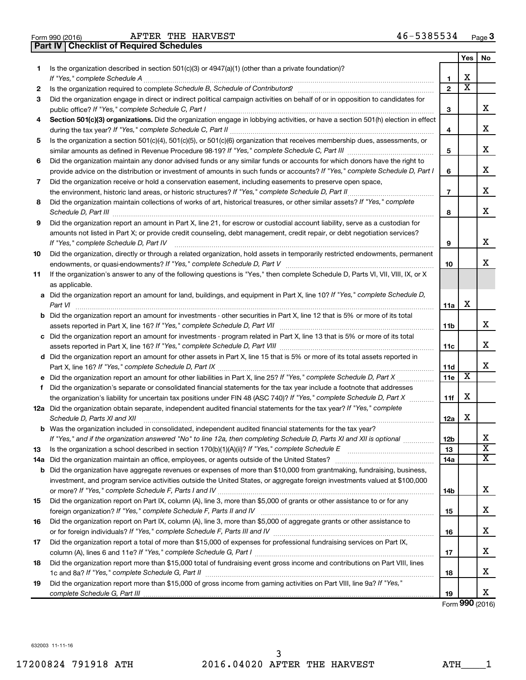| Form 990 (2016) |  |  |
|-----------------|--|--|

**Part IV Checklist of Required Schedules**

|    |                                                                                                                                                                                                                                                                |                 | Yes                     | No                            |
|----|----------------------------------------------------------------------------------------------------------------------------------------------------------------------------------------------------------------------------------------------------------------|-----------------|-------------------------|-------------------------------|
| 1  | Is the organization described in section $501(c)(3)$ or $4947(a)(1)$ (other than a private foundation)?                                                                                                                                                        |                 |                         |                               |
|    | If "Yes," complete Schedule A                                                                                                                                                                                                                                  | 1               | х                       |                               |
| 2  | Is the organization required to complete Schedule B, Schedule of Contributors? [11] The organization required to complete Schedule B, Schedule of Contributors?                                                                                                | $\mathbf{2}$    | $\overline{\textbf{x}}$ |                               |
| 3  | Did the organization engage in direct or indirect political campaign activities on behalf of or in opposition to candidates for                                                                                                                                |                 |                         |                               |
|    | public office? If "Yes," complete Schedule C, Part I                                                                                                                                                                                                           | 3               |                         | х                             |
| 4  | Section 501(c)(3) organizations. Did the organization engage in lobbying activities, or have a section 501(h) election in effect                                                                                                                               |                 |                         |                               |
|    |                                                                                                                                                                                                                                                                | 4               |                         | х                             |
| 5  | Is the organization a section 501(c)(4), 501(c)(5), or 501(c)(6) organization that receives membership dues, assessments, or                                                                                                                                   |                 |                         |                               |
|    |                                                                                                                                                                                                                                                                | 5               |                         | х                             |
| 6  | Did the organization maintain any donor advised funds or any similar funds or accounts for which donors have the right to                                                                                                                                      |                 |                         |                               |
|    | provide advice on the distribution or investment of amounts in such funds or accounts? If "Yes," complete Schedule D, Part I                                                                                                                                   | 6               |                         | х                             |
| 7  | Did the organization receive or hold a conservation easement, including easements to preserve open space,                                                                                                                                                      |                 |                         |                               |
|    | .                                                                                                                                                                                                                                                              | $\overline{7}$  |                         | х                             |
| 8  | Did the organization maintain collections of works of art, historical treasures, or other similar assets? If "Yes," complete                                                                                                                                   | 8               |                         | x                             |
| 9  | Did the organization report an amount in Part X, line 21, for escrow or custodial account liability, serve as a custodian for                                                                                                                                  |                 |                         |                               |
|    | amounts not listed in Part X; or provide credit counseling, debt management, credit repair, or debt negotiation services?                                                                                                                                      |                 |                         |                               |
|    | If "Yes," complete Schedule D, Part IV                                                                                                                                                                                                                         | 9               |                         | х                             |
| 10 | Did the organization, directly or through a related organization, hold assets in temporarily restricted endowments, permanent                                                                                                                                  |                 |                         |                               |
|    |                                                                                                                                                                                                                                                                | 10              |                         | x                             |
| 11 | If the organization's answer to any of the following questions is "Yes," then complete Schedule D, Parts VI, VII, VIII, IX, or X                                                                                                                               |                 |                         |                               |
|    | as applicable.                                                                                                                                                                                                                                                 |                 |                         |                               |
|    | a Did the organization report an amount for land, buildings, and equipment in Part X, line 10? If "Yes," complete Schedule D,<br>Part VI                                                                                                                       | 11a             | х                       |                               |
|    | <b>b</b> Did the organization report an amount for investments - other securities in Part X, line 12 that is 5% or more of its total                                                                                                                           |                 |                         |                               |
|    |                                                                                                                                                                                                                                                                | 11b             |                         | х                             |
|    | c Did the organization report an amount for investments - program related in Part X, line 13 that is 5% or more of its total                                                                                                                                   |                 |                         |                               |
|    |                                                                                                                                                                                                                                                                | 11c             |                         | х                             |
|    | d Did the organization report an amount for other assets in Part X, line 15 that is 5% or more of its total assets reported in                                                                                                                                 |                 |                         |                               |
|    |                                                                                                                                                                                                                                                                | 11d             |                         | x                             |
|    |                                                                                                                                                                                                                                                                | 11e             | $\overline{\textbf{x}}$ |                               |
| f  | Did the organization's separate or consolidated financial statements for the tax year include a footnote that addresses                                                                                                                                        |                 |                         |                               |
|    | the organization's liability for uncertain tax positions under FIN 48 (ASC 740)? If "Yes," complete Schedule D, Part X                                                                                                                                         | 11f             | х                       |                               |
|    | 12a Did the organization obtain separate, independent audited financial statements for the tax year? If "Yes," complete                                                                                                                                        |                 |                         |                               |
|    | Schedule D, Parts XI and XII                                                                                                                                                                                                                                   | 12a             | х                       |                               |
|    | <b>b</b> Was the organization included in consolidated, independent audited financial statements for the tax year?                                                                                                                                             |                 |                         |                               |
|    | If "Yes," and if the organization answered "No" to line 12a, then completing Schedule D, Parts XI and XII is optional www.                                                                                                                                     | 12 <sub>b</sub> |                         | 77<br>$\overline{\textbf{x}}$ |
| 13 |                                                                                                                                                                                                                                                                | 13              |                         | х                             |
|    |                                                                                                                                                                                                                                                                | 14a             |                         |                               |
|    | <b>b</b> Did the organization have aggregate revenues or expenses of more than \$10,000 from grantmaking, fundraising, business,<br>investment, and program service activities outside the United States, or aggregate foreign investments valued at \$100,000 |                 |                         |                               |
|    |                                                                                                                                                                                                                                                                |                 |                         | х                             |
| 15 | Did the organization report on Part IX, column (A), line 3, more than \$5,000 of grants or other assistance to or for any                                                                                                                                      | 14b             |                         |                               |
|    |                                                                                                                                                                                                                                                                | 15              |                         | х                             |
| 16 | Did the organization report on Part IX, column (A), line 3, more than \$5,000 of aggregate grants or other assistance to                                                                                                                                       |                 |                         |                               |
|    |                                                                                                                                                                                                                                                                | 16              |                         | х                             |
| 17 | Did the organization report a total of more than \$15,000 of expenses for professional fundraising services on Part IX,                                                                                                                                        |                 |                         |                               |
|    |                                                                                                                                                                                                                                                                | 17              |                         | х                             |
| 18 | Did the organization report more than \$15,000 total of fundraising event gross income and contributions on Part VIII, lines                                                                                                                                   |                 |                         |                               |
|    |                                                                                                                                                                                                                                                                | 18              |                         | х                             |
| 19 | Did the organization report more than \$15,000 of gross income from gaming activities on Part VIII, line 9a? If "Yes,"                                                                                                                                         |                 |                         |                               |
|    |                                                                                                                                                                                                                                                                | 19              |                         | х                             |

Form (2016) **990**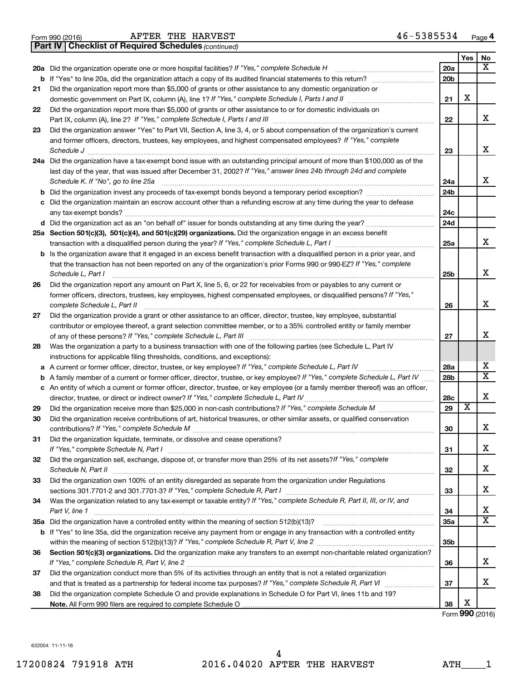|  | Form 990 (2016) |
|--|-----------------|
|  |                 |

*(continued)* **Part IV Checklist of Required Schedules**

|    |                                                                                                                                                                                                                                                   |                 | Yes                   | No                      |
|----|---------------------------------------------------------------------------------------------------------------------------------------------------------------------------------------------------------------------------------------------------|-----------------|-----------------------|-------------------------|
|    | 20a Did the organization operate one or more hospital facilities? If "Yes," complete Schedule H                                                                                                                                                   | 20a             |                       | x                       |
|    |                                                                                                                                                                                                                                                   | 20 <sub>b</sub> |                       |                         |
| 21 | Did the organization report more than \$5,000 of grants or other assistance to any domestic organization or                                                                                                                                       |                 |                       |                         |
|    |                                                                                                                                                                                                                                                   | 21              | X                     |                         |
| 22 | Did the organization report more than \$5,000 of grants or other assistance to or for domestic individuals on                                                                                                                                     |                 |                       |                         |
|    |                                                                                                                                                                                                                                                   | 22              |                       | x                       |
| 23 | Did the organization answer "Yes" to Part VII, Section A, line 3, 4, or 5 about compensation of the organization's current                                                                                                                        |                 |                       |                         |
|    | and former officers, directors, trustees, key employees, and highest compensated employees? If "Yes," complete                                                                                                                                    |                 |                       | x                       |
|    | Schedule J                                                                                                                                                                                                                                        | 23              |                       |                         |
|    | 24a Did the organization have a tax-exempt bond issue with an outstanding principal amount of more than \$100,000 as of the<br>last day of the year, that was issued after December 31, 2002? If "Yes," answer lines 24b through 24d and complete |                 |                       |                         |
|    | Schedule K. If "No", go to line 25a                                                                                                                                                                                                               | 24a             |                       | x                       |
| b  | Did the organization invest any proceeds of tax-exempt bonds beyond a temporary period exception?                                                                                                                                                 | 24 <sub>b</sub> |                       |                         |
| с  | Did the organization maintain an escrow account other than a refunding escrow at any time during the year to defease                                                                                                                              |                 |                       |                         |
|    |                                                                                                                                                                                                                                                   | 24c             |                       |                         |
|    |                                                                                                                                                                                                                                                   | 24d             |                       |                         |
|    | 25a Section 501(c)(3), 501(c)(4), and 501(c)(29) organizations. Did the organization engage in an excess benefit                                                                                                                                  |                 |                       |                         |
|    |                                                                                                                                                                                                                                                   | 25a             |                       | x                       |
|    | <b>b</b> Is the organization aware that it engaged in an excess benefit transaction with a disqualified person in a prior year, and                                                                                                               |                 |                       |                         |
|    | that the transaction has not been reported on any of the organization's prior Forms 990 or 990-EZ? If "Yes," complete                                                                                                                             |                 |                       |                         |
|    | Schedule L, Part I                                                                                                                                                                                                                                | 25b             |                       | X                       |
| 26 | Did the organization report any amount on Part X, line 5, 6, or 22 for receivables from or payables to any current or                                                                                                                             |                 |                       |                         |
|    | former officers, directors, trustees, key employees, highest compensated employees, or disqualified persons? If "Yes,"                                                                                                                            |                 |                       | x                       |
|    |                                                                                                                                                                                                                                                   | 26              |                       |                         |
| 27 | Did the organization provide a grant or other assistance to an officer, director, trustee, key employee, substantial<br>contributor or employee thereof, a grant selection committee member, or to a 35% controlled entity or family member       |                 |                       |                         |
|    |                                                                                                                                                                                                                                                   | 27              |                       | х                       |
| 28 | Was the organization a party to a business transaction with one of the following parties (see Schedule L, Part IV                                                                                                                                 |                 |                       |                         |
|    | instructions for applicable filing thresholds, conditions, and exceptions):                                                                                                                                                                       |                 |                       |                         |
| а  | A current or former officer, director, trustee, or key employee? If "Yes," complete Schedule L, Part IV                                                                                                                                           | 28a             |                       | x                       |
| b  | A family member of a current or former officer, director, trustee, or key employee? If "Yes," complete Schedule L, Part IV                                                                                                                        | 28 <sub>b</sub> |                       | $\overline{\mathtt{x}}$ |
|    | c An entity of which a current or former officer, director, trustee, or key employee (or a family member thereof) was an officer,                                                                                                                 |                 |                       |                         |
|    | director, trustee, or direct or indirect owner? If "Yes," complete Schedule L, Part IV                                                                                                                                                            | 28c             |                       | X                       |
| 29 |                                                                                                                                                                                                                                                   | 29              | $\overline{\text{x}}$ |                         |
| 30 | Did the organization receive contributions of art, historical treasures, or other similar assets, or qualified conservation                                                                                                                       |                 |                       |                         |
|    |                                                                                                                                                                                                                                                   | 30              |                       | x                       |
| 31 | Did the organization liquidate, terminate, or dissolve and cease operations?                                                                                                                                                                      |                 |                       |                         |
|    |                                                                                                                                                                                                                                                   | 31              |                       | х                       |
| 32 | Did the organization sell, exchange, dispose of, or transfer more than 25% of its net assets? If "Yes," complete<br>Schedule N, Part II                                                                                                           | 32              |                       | x                       |
| 33 | Did the organization own 100% of an entity disregarded as separate from the organization under Regulations                                                                                                                                        |                 |                       |                         |
|    |                                                                                                                                                                                                                                                   | 33              |                       | х                       |
| 34 | Was the organization related to any tax-exempt or taxable entity? If "Yes," complete Schedule R, Part II, III, or IV, and                                                                                                                         |                 |                       |                         |
|    | Part V, line 1                                                                                                                                                                                                                                    | 34              |                       | х                       |
|    |                                                                                                                                                                                                                                                   | 35a             |                       | $\overline{\mathtt{x}}$ |
|    | b If "Yes" to line 35a, did the organization receive any payment from or engage in any transaction with a controlled entity                                                                                                                       |                 |                       |                         |
|    |                                                                                                                                                                                                                                                   | 35 <sub>b</sub> |                       |                         |
| 36 | Section 501(c)(3) organizations. Did the organization make any transfers to an exempt non-charitable related organization?                                                                                                                        |                 |                       |                         |
|    |                                                                                                                                                                                                                                                   | 36              |                       | x                       |
| 37 | Did the organization conduct more than 5% of its activities through an entity that is not a related organization                                                                                                                                  |                 |                       | x                       |
|    |                                                                                                                                                                                                                                                   | 37              |                       |                         |
| 38 | Did the organization complete Schedule O and provide explanations in Schedule O for Part VI, lines 11b and 19?                                                                                                                                    | 38              | х                     |                         |
|    |                                                                                                                                                                                                                                                   |                 |                       |                         |

Form (2016) **990**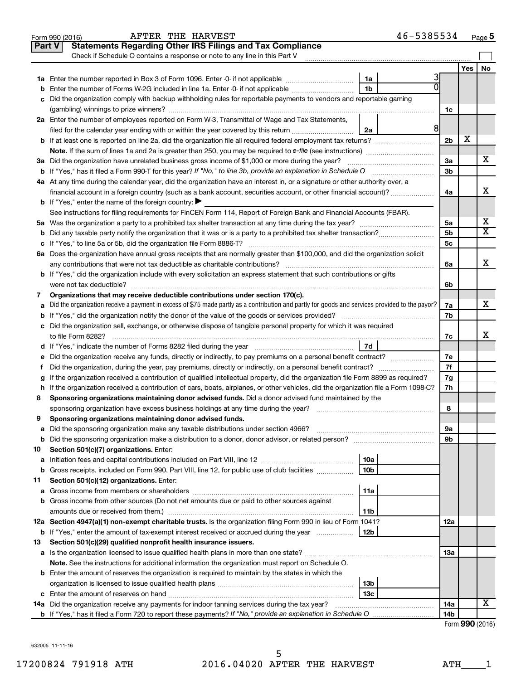|    | 46-5385534<br>AFTER THE HARVEST<br>Form 990 (2016)                                                                                                           |                 |     | Page 5                  |
|----|--------------------------------------------------------------------------------------------------------------------------------------------------------------|-----------------|-----|-------------------------|
|    | <b>Statements Regarding Other IRS Filings and Tax Compliance</b><br><b>Part V</b>                                                                            |                 |     |                         |
|    | Check if Schedule O contains a response or note to any line in this Part V                                                                                   |                 |     |                         |
|    |                                                                                                                                                              |                 | Yes | No                      |
|    | 3<br>1a                                                                                                                                                      |                 |     |                         |
| b  | 0<br>1 <sub>b</sub><br>Enter the number of Forms W-2G included in line 1a. Enter -0- if not applicable                                                       |                 |     |                         |
|    | c Did the organization comply with backup withholding rules for reportable payments to vendors and reportable gaming                                         |                 |     |                         |
|    |                                                                                                                                                              | 1c              |     |                         |
|    | 2a Enter the number of employees reported on Form W-3, Transmittal of Wage and Tax Statements,                                                               |                 |     |                         |
|    | 8 <sup>1</sup><br>filed for the calendar year ending with or within the year covered by this return<br>2a                                                    |                 |     |                         |
|    | <b>b</b> If at least one is reported on line 2a, did the organization file all required federal employment tax returns?                                      | 2 <sub>b</sub>  | X   |                         |
|    |                                                                                                                                                              |                 |     |                         |
|    | 3a Did the organization have unrelated business gross income of \$1,000 or more during the year?                                                             | 3a              |     | х                       |
|    | <b>b</b> If "Yes," has it filed a Form 990-T for this year? If "No," to line 3b, provide an explanation in Schedule O                                        | 3b              |     |                         |
|    | 4a At any time during the calendar year, did the organization have an interest in, or a signature or other authority over, a                                 |                 |     |                         |
|    | financial account in a foreign country (such as a bank account, securities account, or other financial account)?                                             | 4a              |     | x                       |
|    | <b>b</b> If "Yes," enter the name of the foreign country: $\blacktriangleright$                                                                              |                 |     |                         |
|    | See instructions for filing requirements for FinCEN Form 114, Report of Foreign Bank and Financial Accounts (FBAR).                                          |                 |     |                         |
|    |                                                                                                                                                              | 5a              |     | х                       |
|    | <b>b</b> Did any taxable party notify the organization that it was or is a party to a prohibited tax shelter transaction?                                    | 5b              |     | $\overline{\texttt{x}}$ |
|    |                                                                                                                                                              | 5c              |     |                         |
|    | 6a Does the organization have annual gross receipts that are normally greater than \$100,000, and did the organization solicit                               |                 |     |                         |
|    |                                                                                                                                                              | 6a              |     | x                       |
|    | <b>b</b> If "Yes," did the organization include with every solicitation an express statement that such contributions or gifts                                |                 |     |                         |
|    |                                                                                                                                                              | 6b              |     |                         |
| 7  | Organizations that may receive deductible contributions under section 170(c).                                                                                |                 |     |                         |
| a  | Did the organization receive a payment in excess of \$75 made partly as a contribution and partly for goods and services provided to the payor?              | 7a              |     | х                       |
|    |                                                                                                                                                              | 7b              |     |                         |
|    | c Did the organization sell, exchange, or otherwise dispose of tangible personal property for which it was required                                          |                 |     |                         |
|    |                                                                                                                                                              | 7c              |     | x                       |
|    |                                                                                                                                                              |                 |     |                         |
| е  | Did the organization receive any funds, directly or indirectly, to pay premiums on a personal benefit contract?                                              | 7e              |     |                         |
| f. | Did the organization, during the year, pay premiums, directly or indirectly, on a personal benefit contract?                                                 | 7f              |     |                         |
|    | If the organization received a contribution of qualified intellectual property, did the organization file Form 8899 as required?                             | 7g              |     |                         |
|    | h If the organization received a contribution of cars, boats, airplanes, or other vehicles, did the organization file a Form 1098-C?                         | 7h              |     |                         |
| 8  | Sponsoring organizations maintaining donor advised funds. Did a donor advised fund maintained by the                                                         |                 |     |                         |
|    |                                                                                                                                                              | 8               |     |                         |
|    | Sponsoring organizations maintaining donor advised funds.                                                                                                    |                 |     |                         |
| а  | Did the sponsoring organization make any taxable distributions under section 4966?                                                                           | 9а              |     |                         |
| b  |                                                                                                                                                              | 9b              |     |                         |
| 10 | Section 501(c)(7) organizations. Enter:                                                                                                                      |                 |     |                         |
| a  | 10a<br>10 <sub>b</sub>                                                                                                                                       |                 |     |                         |
| b  | Gross receipts, included on Form 990, Part VIII, line 12, for public use of club facilities                                                                  |                 |     |                         |
| 11 | Section 501(c)(12) organizations. Enter:                                                                                                                     |                 |     |                         |
| а  | 11a                                                                                                                                                          |                 |     |                         |
|    | b Gross income from other sources (Do not net amounts due or paid to other sources against                                                                   |                 |     |                         |
|    | amounts due or received from them.)<br>11b<br>12a Section 4947(a)(1) non-exempt charitable trusts. Is the organization filing Form 990 in lieu of Form 1041? |                 |     |                         |
|    | <b>b</b> If "Yes," enter the amount of tax-exempt interest received or accrued during the year<br>12b                                                        | 12a             |     |                         |
| 13 | Section 501(c)(29) qualified nonprofit health insurance issuers.                                                                                             |                 |     |                         |
|    | a Is the organization licensed to issue qualified health plans in more than one state?                                                                       | 1За             |     |                         |
|    | Note. See the instructions for additional information the organization must report on Schedule O.                                                            |                 |     |                         |
|    | <b>b</b> Enter the amount of reserves the organization is required to maintain by the states in which the                                                    |                 |     |                         |
|    | 13b                                                                                                                                                          |                 |     |                         |
|    | 13 <sub>c</sub>                                                                                                                                              |                 |     |                         |
|    | 14a Did the organization receive any payments for indoor tanning services during the tax year?                                                               | 14a             |     | х                       |
|    |                                                                                                                                                              | 14 <sub>b</sub> |     |                         |
|    |                                                                                                                                                              |                 |     |                         |

Form (2016) **990**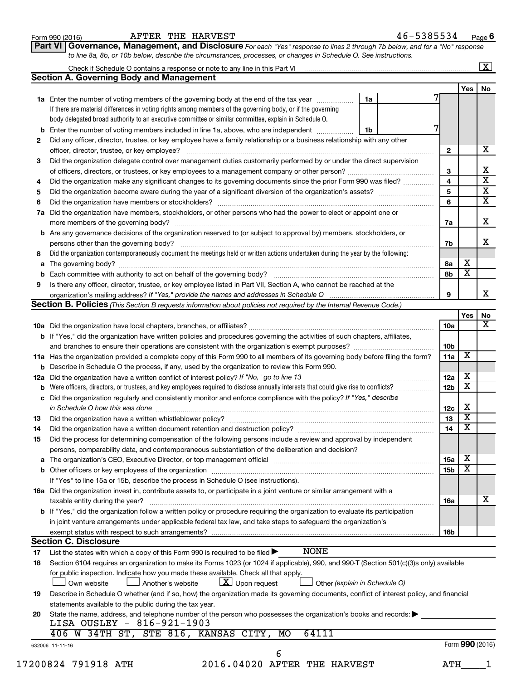|    | <b>1a</b> Enter the number of voting members of the governing body at the end of the tax year<br>If there are material differences in voting rights among members of the governing body, or if the governing<br>body delegated broad authority to an executive committee or similar committee, explain in Schedule O. | 1a |                 |                         |                         |
|----|-----------------------------------------------------------------------------------------------------------------------------------------------------------------------------------------------------------------------------------------------------------------------------------------------------------------------|----|-----------------|-------------------------|-------------------------|
|    | <b>b</b> Enter the number of voting members included in line 1a, above, who are independent <i>manumum</i>                                                                                                                                                                                                            | 1b |                 |                         |                         |
| 2  | Did any officer, director, trustee, or key employee have a family relationship or a business relationship with any other                                                                                                                                                                                              |    |                 |                         |                         |
|    | officer, director, trustee, or key employee?                                                                                                                                                                                                                                                                          |    | $\mathbf{2}$    |                         | х                       |
| 3  | Did the organization delegate control over management duties customarily performed by or under the direct supervision                                                                                                                                                                                                 |    |                 |                         |                         |
|    |                                                                                                                                                                                                                                                                                                                       |    | 3               |                         | X                       |
| 4  | Did the organization make any significant changes to its governing documents since the prior Form 990 was filed?                                                                                                                                                                                                      |    | 4               |                         | $\overline{\mathbf{x}}$ |
| 5  |                                                                                                                                                                                                                                                                                                                       |    | 5               |                         | $\overline{\mathbf{x}}$ |
| 6  |                                                                                                                                                                                                                                                                                                                       |    | 6               |                         | $\overline{\mathbf{x}}$ |
|    | 7a Did the organization have members, stockholders, or other persons who had the power to elect or appoint one or                                                                                                                                                                                                     |    | 7a              |                         | X                       |
|    | <b>b</b> Are any governance decisions of the organization reserved to (or subject to approval by) members, stockholders, or                                                                                                                                                                                           |    |                 |                         |                         |
|    |                                                                                                                                                                                                                                                                                                                       |    | 7b              |                         | х                       |
| 8  | Did the organization contemporaneously document the meetings held or written actions undertaken during the year by the following:                                                                                                                                                                                     |    |                 |                         |                         |
|    |                                                                                                                                                                                                                                                                                                                       |    | 8а              | х                       |                         |
| b  |                                                                                                                                                                                                                                                                                                                       |    | 8b              | $\overline{\textbf{x}}$ |                         |
| 9  | Is there any officer, director, trustee, or key employee listed in Part VII, Section A, who cannot be reached at the                                                                                                                                                                                                  |    |                 |                         |                         |
|    |                                                                                                                                                                                                                                                                                                                       |    | 9               |                         | x                       |
|    | <b>Section B. Policies</b> (This Section B requests information about policies not required by the Internal Revenue Code.)                                                                                                                                                                                            |    |                 |                         |                         |
|    |                                                                                                                                                                                                                                                                                                                       |    |                 | Yes                     | No                      |
|    |                                                                                                                                                                                                                                                                                                                       |    | 10a             |                         | X                       |
|    | <b>b</b> If "Yes," did the organization have written policies and procedures governing the activities of such chapters, affiliates,                                                                                                                                                                                   |    |                 |                         |                         |
|    |                                                                                                                                                                                                                                                                                                                       |    | 10 <sub>b</sub> |                         |                         |
|    | 11a Has the organization provided a complete copy of this Form 990 to all members of its governing body before filing the form?                                                                                                                                                                                       |    | 11a             | X                       |                         |
|    | <b>b</b> Describe in Schedule O the process, if any, used by the organization to review this Form 990.                                                                                                                                                                                                                |    |                 |                         |                         |
|    | 12a Did the organization have a written conflict of interest policy? If "No," go to line 13                                                                                                                                                                                                                           |    | 12a             | х                       |                         |
| b  | Were officers, directors, or trustees, and key employees required to disclose annually interests that could give rise to conflicts?                                                                                                                                                                                   |    | 12 <sub>b</sub> | $\overline{\mathbf{X}}$ |                         |
|    | c Did the organization regularly and consistently monitor and enforce compliance with the policy? If "Yes," describe                                                                                                                                                                                                  |    |                 |                         |                         |
|    |                                                                                                                                                                                                                                                                                                                       |    | 12c             | х                       |                         |
| 13 |                                                                                                                                                                                                                                                                                                                       |    | 13              | $\overline{\mathbf{X}}$ |                         |
| 14 | Did the organization have a written document retention and destruction policy? [11] manufaction manufaction in                                                                                                                                                                                                        |    | 14              | $\overline{\textbf{x}}$ |                         |
| 15 | Did the process for determining compensation of the following persons include a review and approval by independent                                                                                                                                                                                                    |    |                 |                         |                         |
|    | persons, comparability data, and contemporaneous substantiation of the deliberation and decision?                                                                                                                                                                                                                     |    |                 | х                       |                         |
| а  |                                                                                                                                                                                                                                                                                                                       |    | 15a             | $\overline{\mathbf{X}}$ |                         |
|    |                                                                                                                                                                                                                                                                                                                       |    | 15 <sub>b</sub> |                         |                         |
|    | If "Yes" to line 15a or 15b, describe the process in Schedule O (see instructions).                                                                                                                                                                                                                                   |    |                 |                         |                         |
|    | 16a Did the organization invest in, contribute assets to, or participate in a joint venture or similar arrangement with a                                                                                                                                                                                             |    |                 |                         | x                       |
|    | taxable entity during the year?<br><b>b</b> If "Yes," did the organization follow a written policy or procedure requiring the organization to evaluate its participation                                                                                                                                              |    | 16a             |                         |                         |
|    |                                                                                                                                                                                                                                                                                                                       |    |                 |                         |                         |
|    |                                                                                                                                                                                                                                                                                                                       |    |                 |                         |                         |
|    | in joint venture arrangements under applicable federal tax law, and take steps to safequard the organization's                                                                                                                                                                                                        |    |                 |                         |                         |
|    | exempt status with respect to such arrangements?                                                                                                                                                                                                                                                                      |    | 16b             |                         |                         |
|    | <b>Section C. Disclosure</b>                                                                                                                                                                                                                                                                                          |    |                 |                         |                         |
| 17 | <b>NONE</b><br>List the states with which a copy of this Form 990 is required to be filed $\blacktriangleright$                                                                                                                                                                                                       |    |                 |                         |                         |
| 18 | Section 6104 requires an organization to make its Forms 1023 (or 1024 if applicable), 990, and 990-T (Section 501(c)(3)s only) available<br>for public inspection. Indicate how you made these available. Check all that apply.                                                                                       |    |                 |                         |                         |
|    | $\lfloor x \rfloor$ Upon request<br>Own website<br>Another's website<br>Other (explain in Schedule O)                                                                                                                                                                                                                 |    |                 |                         |                         |
| 19 | Describe in Schedule O whether (and if so, how) the organization made its governing documents, conflict of interest policy, and financial                                                                                                                                                                             |    |                 |                         |                         |
|    | statements available to the public during the tax year.                                                                                                                                                                                                                                                               |    |                 |                         |                         |
| 20 | State the name, address, and telephone number of the person who possesses the organization's books and records:                                                                                                                                                                                                       |    |                 |                         |                         |
|    | LISA OUSLEY - 816-921-1903                                                                                                                                                                                                                                                                                            |    |                 |                         |                         |
|    | STE 816, KANSAS CITY,<br>406 W 34TH ST,<br>64111<br>MO                                                                                                                                                                                                                                                                |    |                 |                         |                         |
|    | 632006 11-11-16<br>6                                                                                                                                                                                                                                                                                                  |    |                 | Form 990 (2016)         |                         |

Form 990 (2016) Page AFTER THE HARVEST 46-5385534

**Section A. Governing Body and Management**

Check if Schedule O contains a response or note to any line in this Part VI

**6**

 $\ddot{\phantom{a}}$ 

 $\overline{1}$ 

**Yes No**

 $\boxed{\text{X}}$ 

**Part VI** Governance, Management, and Disclosure For each "Yes" response to lines 2 through 7b below, and for a "No" response *to line 8a, 8b, or 10b below, describe the circumstances, processes, or changes in Schedule O. See instructions.*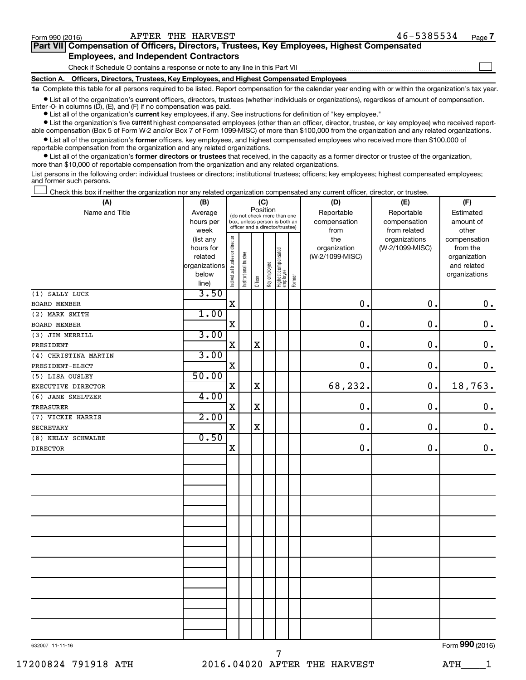$\Box$ 

| Part VII Compensation of Officers, Directors, Trustees, Key Employees, Highest Compensated |  |
|--------------------------------------------------------------------------------------------|--|
| <b>Employees, and Independent Contractors</b>                                              |  |

Check if Schedule O contains a response or note to any line in this Part VII

**Section A. Officers, Directors, Trustees, Key Employees, and Highest Compensated Employees**

**1a**  Complete this table for all persons required to be listed. Report compensation for the calendar year ending with or within the organization's tax year.

**•** List all of the organization's current officers, directors, trustees (whether individuals or organizations), regardless of amount of compensation. Enter -0- in columns  $(D)$ ,  $(E)$ , and  $(F)$  if no compensation was paid.

**•** List all of the organization's **current** key employees, if any. See instructions for definition of "key employee."

**•** List the organization's five current highest compensated employees (other than an officer, director, trustee, or key employee) who received reportable compensation (Box 5 of Form W-2 and/or Box 7 of Form 1099-MISC) of more than \$100,000 from the organization and any related organizations.

**•** List all of the organization's former officers, key employees, and highest compensated employees who received more than \$100,000 of reportable compensation from the organization and any related organizations.

**•** List all of the organization's former directors or trustees that received, in the capacity as a former director or trustee of the organization, more than \$10,000 of reportable compensation from the organization and any related organizations.

List persons in the following order: individual trustees or directors; institutional trustees; officers; key employees; highest compensated employees; and former such persons.

Check this box if neither the organization nor any related organization compensated any current officer, director, or trustee.  $\Box$ 

| (A)                  | (B)                      | (C)                                     |                                                                  |             |              |                                   |        | (D)                             | (E)             | (F)                         |
|----------------------|--------------------------|-----------------------------------------|------------------------------------------------------------------|-------------|--------------|-----------------------------------|--------|---------------------------------|-----------------|-----------------------------|
| Name and Title       | Average                  | Position<br>(do not check more than one |                                                                  |             |              |                                   |        | Reportable                      | Reportable      | Estimated                   |
|                      | hours per                |                                         | box, unless person is both an<br>officer and a director/trustee) |             |              |                                   |        | compensation                    | compensation    | amount of                   |
|                      | week                     |                                         |                                                                  |             |              |                                   |        | from                            | from related    | other                       |
|                      | (list any                |                                         |                                                                  |             |              |                                   |        | the                             | organizations   | compensation                |
|                      | hours for                |                                         |                                                                  |             |              |                                   |        | organization<br>(W-2/1099-MISC) | (W-2/1099-MISC) | from the                    |
|                      | related<br>organizations |                                         |                                                                  |             |              |                                   |        |                                 |                 | organization<br>and related |
|                      | below                    |                                         |                                                                  |             |              |                                   |        |                                 |                 | organizations               |
|                      | line)                    | Individual trustee or director          | Institutional trustee                                            | Officer     | Key employee | Highest compensated<br>  employee | Former |                                 |                 |                             |
| (1) SALLY LUCK       | 3.50                     |                                         |                                                                  |             |              |                                   |        |                                 |                 |                             |
| <b>BOARD MEMBER</b>  |                          | X                                       |                                                                  |             |              |                                   |        | 0.                              | $\mathbf 0$ .   | $\mathbf 0$ .               |
| (2) MARK SMITH       | 1.00                     |                                         |                                                                  |             |              |                                   |        |                                 |                 |                             |
| BOARD MEMBER         |                          | $\mathbf X$                             |                                                                  |             |              |                                   |        | $\mathbf 0$ .                   | $\mathbf 0$ .   | $\mathbf 0$ .               |
| (3) JIM MERRILL      | 3.00                     |                                         |                                                                  |             |              |                                   |        |                                 |                 |                             |
| PRESIDENT            |                          | X                                       |                                                                  | $\mathbf X$ |              |                                   |        | 0.                              | 0.              | $\mathbf 0$ .               |
| (4) CHRISTINA MARTIN | 3.00                     |                                         |                                                                  |             |              |                                   |        |                                 |                 |                             |
| PRESIDENT-ELECT      |                          | X                                       |                                                                  |             |              |                                   |        | $\mathbf 0$ .                   | 0.              | 0.                          |
| (5) LISA OUSLEY      | 50.00                    |                                         |                                                                  |             |              |                                   |        |                                 |                 |                             |
| EXECUTIVE DIRECTOR   |                          | X                                       |                                                                  | $\mathbf X$ |              |                                   |        | 68,232.                         | 0.              | 18,763.                     |
| (6) JANE SMELTZER    | 4.00                     |                                         |                                                                  |             |              |                                   |        |                                 |                 |                             |
| TREASURER            |                          | X                                       |                                                                  | X           |              |                                   |        | $\mathbf 0$ .                   | 0.              | $\mathbf 0$ .               |
| (7) VICKIE HARRIS    | 2.00                     |                                         |                                                                  |             |              |                                   |        |                                 |                 |                             |
| <b>SECRETARY</b>     |                          | X                                       |                                                                  | $\mathbf X$ |              |                                   |        | 0.                              | 0.              | $\mathbf 0$ .               |
| (8) KELLY SCHWALBE   | 0.50                     |                                         |                                                                  |             |              |                                   |        |                                 |                 |                             |
| DIRECTOR             |                          | X                                       |                                                                  |             |              |                                   |        | 0.                              | $\mathbf 0$ .   | $\mathbf 0$ .               |
|                      |                          |                                         |                                                                  |             |              |                                   |        |                                 |                 |                             |
|                      |                          |                                         |                                                                  |             |              |                                   |        |                                 |                 |                             |
|                      |                          |                                         |                                                                  |             |              |                                   |        |                                 |                 |                             |
|                      |                          |                                         |                                                                  |             |              |                                   |        |                                 |                 |                             |
|                      |                          |                                         |                                                                  |             |              |                                   |        |                                 |                 |                             |
|                      |                          |                                         |                                                                  |             |              |                                   |        |                                 |                 |                             |
|                      |                          |                                         |                                                                  |             |              |                                   |        |                                 |                 |                             |
|                      |                          |                                         |                                                                  |             |              |                                   |        |                                 |                 |                             |
|                      |                          |                                         |                                                                  |             |              |                                   |        |                                 |                 |                             |
|                      |                          |                                         |                                                                  |             |              |                                   |        |                                 |                 |                             |
|                      |                          |                                         |                                                                  |             |              |                                   |        |                                 |                 |                             |
|                      |                          |                                         |                                                                  |             |              |                                   |        |                                 |                 |                             |
|                      |                          |                                         |                                                                  |             |              |                                   |        |                                 |                 |                             |
|                      |                          |                                         |                                                                  |             |              |                                   |        |                                 |                 |                             |
|                      |                          |                                         |                                                                  |             |              |                                   |        |                                 |                 |                             |
|                      |                          |                                         |                                                                  |             |              |                                   |        |                                 |                 |                             |
|                      |                          |                                         |                                                                  |             |              |                                   |        |                                 |                 |                             |
|                      |                          |                                         |                                                                  |             |              |                                   |        |                                 |                 |                             |

7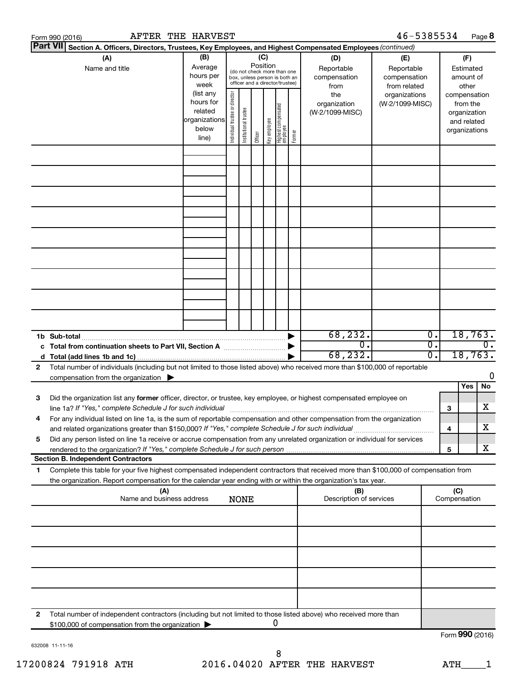|   | AFTER THE HARVEST<br>Form 990 (2016)                                                                                                                                                                                                                   |                                                               |                                |                       |          |              |                                                                                                 |        |                                                                  | 46-5385534                                                                            |                  |                     |                                                                    | Page 8  |
|---|--------------------------------------------------------------------------------------------------------------------------------------------------------------------------------------------------------------------------------------------------------|---------------------------------------------------------------|--------------------------------|-----------------------|----------|--------------|-------------------------------------------------------------------------------------------------|--------|------------------------------------------------------------------|---------------------------------------------------------------------------------------|------------------|---------------------|--------------------------------------------------------------------|---------|
|   | <b>Part VII</b><br>Section A. Officers, Directors, Trustees, Key Employees, and Highest Compensated Employees (continued)                                                                                                                              |                                                               |                                |                       |          |              |                                                                                                 |        |                                                                  |                                                                                       |                  |                     |                                                                    |         |
|   | (A)<br>Name and title                                                                                                                                                                                                                                  | (B)<br>Average<br>hours per<br>week<br>(list any<br>hours for |                                |                       | Position | (C)          | (do not check more than one<br>box, unless person is both an<br>officer and a director/trustee) |        | (D)<br>Reportable<br>compensation<br>from<br>the<br>organization | (E)<br>Reportable<br>compensation<br>from related<br>organizations<br>(W-2/1099-MISC) |                  |                     | (F)<br>Estimated<br>amount of<br>other<br>compensation<br>from the |         |
|   |                                                                                                                                                                                                                                                        | related<br>organizations<br>below<br>line)                    | Individual trustee or director | Institutional trustee | Officer  | Key employee | Highest compensated<br>  employee                                                               | Former | (W-2/1099-MISC)                                                  |                                                                                       |                  |                     | organization<br>and related<br>organizations                       |         |
|   |                                                                                                                                                                                                                                                        |                                                               |                                |                       |          |              |                                                                                                 |        |                                                                  |                                                                                       |                  |                     |                                                                    |         |
|   |                                                                                                                                                                                                                                                        |                                                               |                                |                       |          |              |                                                                                                 |        |                                                                  |                                                                                       |                  |                     |                                                                    |         |
|   |                                                                                                                                                                                                                                                        |                                                               |                                |                       |          |              |                                                                                                 |        |                                                                  |                                                                                       |                  |                     |                                                                    |         |
|   |                                                                                                                                                                                                                                                        |                                                               |                                |                       |          |              |                                                                                                 |        |                                                                  |                                                                                       |                  |                     |                                                                    |         |
|   |                                                                                                                                                                                                                                                        |                                                               |                                |                       |          |              |                                                                                                 |        |                                                                  |                                                                                       |                  |                     |                                                                    |         |
|   |                                                                                                                                                                                                                                                        |                                                               |                                |                       |          |              |                                                                                                 |        |                                                                  |                                                                                       |                  |                     |                                                                    |         |
|   |                                                                                                                                                                                                                                                        |                                                               |                                |                       |          |              |                                                                                                 |        |                                                                  |                                                                                       |                  |                     |                                                                    |         |
|   | 1b Sub-total                                                                                                                                                                                                                                           |                                                               |                                |                       |          |              |                                                                                                 |        | 68, 232.                                                         |                                                                                       | $\overline{0}$ . |                     |                                                                    | 18,763. |
|   |                                                                                                                                                                                                                                                        |                                                               |                                |                       |          |              |                                                                                                 |        | 0.<br>68, 232.                                                   |                                                                                       | σ.<br>σ.         |                     | 18,763.                                                            | 0.      |
| 2 | Total number of individuals (including but not limited to those listed above) who received more than \$100,000 of reportable                                                                                                                           |                                                               |                                |                       |          |              |                                                                                                 |        |                                                                  |                                                                                       |                  |                     |                                                                    | 0       |
|   | compensation from the organization $\blacktriangleright$                                                                                                                                                                                               |                                                               |                                |                       |          |              |                                                                                                 |        |                                                                  |                                                                                       |                  |                     | Yes                                                                | No.     |
| З | Did the organization list any former officer, director, or trustee, key employee, or highest compensated employee on<br>line 1a? If "Yes," complete Schedule J for such individual                                                                     |                                                               |                                |                       |          |              |                                                                                                 |        |                                                                  |                                                                                       |                  | З                   |                                                                    | x       |
| 4 | For any individual listed on line 1a, is the sum of reportable compensation and other compensation from the organization<br>and related organizations greater than \$150,000? If "Yes," complete Schedule J for such individual                        |                                                               |                                |                       |          |              |                                                                                                 |        |                                                                  |                                                                                       |                  | 4                   |                                                                    | х       |
| 5 | Did any person listed on line 1a receive or accrue compensation from any unrelated organization or individual for services                                                                                                                             |                                                               |                                |                       |          |              |                                                                                                 |        |                                                                  |                                                                                       |                  | 5                   |                                                                    | x       |
|   | <b>Section B. Independent Contractors</b>                                                                                                                                                                                                              |                                                               |                                |                       |          |              |                                                                                                 |        |                                                                  |                                                                                       |                  |                     |                                                                    |         |
| 1 | Complete this table for your five highest compensated independent contractors that received more than \$100,000 of compensation from<br>the organization. Report compensation for the calendar year ending with or within the organization's tax year. |                                                               |                                |                       |          |              |                                                                                                 |        |                                                                  |                                                                                       |                  |                     |                                                                    |         |
|   | (A)<br>Name and business address                                                                                                                                                                                                                       |                                                               |                                | <b>NONE</b>           |          |              |                                                                                                 |        | (B)<br>Description of services                                   |                                                                                       |                  | (C)<br>Compensation |                                                                    |         |
|   |                                                                                                                                                                                                                                                        |                                                               |                                |                       |          |              |                                                                                                 |        |                                                                  |                                                                                       |                  |                     |                                                                    |         |
|   |                                                                                                                                                                                                                                                        |                                                               |                                |                       |          |              |                                                                                                 |        |                                                                  |                                                                                       |                  |                     |                                                                    |         |
|   |                                                                                                                                                                                                                                                        |                                                               |                                |                       |          |              |                                                                                                 |        |                                                                  |                                                                                       |                  |                     |                                                                    |         |
|   |                                                                                                                                                                                                                                                        |                                                               |                                |                       |          |              |                                                                                                 |        |                                                                  |                                                                                       |                  |                     |                                                                    |         |
| 2 | Total number of independent contractors (including but not limited to those listed above) who received more than<br>\$100,000 of compensation from the organization                                                                                    |                                                               |                                |                       |          |              | 0                                                                                               |        |                                                                  |                                                                                       |                  |                     |                                                                    |         |
|   |                                                                                                                                                                                                                                                        |                                                               |                                |                       |          |              |                                                                                                 |        |                                                                  |                                                                                       |                  | Form 990 (2016)     |                                                                    |         |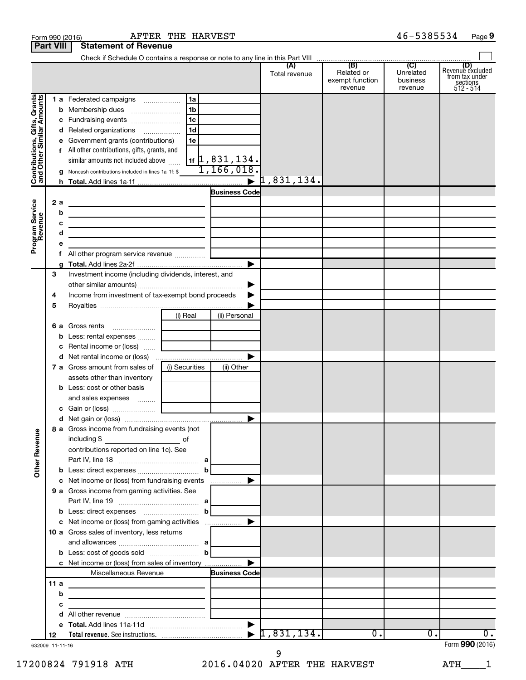|                                                           |      |   | Form 990 (2016)                                                                                                       | AFTER THE HARVEST |                              |                                  |                                                 | 46-5385534                              | Page 9                                                      |
|-----------------------------------------------------------|------|---|-----------------------------------------------------------------------------------------------------------------------|-------------------|------------------------------|----------------------------------|-------------------------------------------------|-----------------------------------------|-------------------------------------------------------------|
| <b>Part VIII</b>                                          |      |   | <b>Statement of Revenue</b>                                                                                           |                   |                              |                                  |                                                 |                                         |                                                             |
|                                                           |      |   |                                                                                                                       |                   |                              |                                  |                                                 |                                         |                                                             |
|                                                           |      |   |                                                                                                                       |                   |                              | (A)<br>Total revenue             | (B)<br>Related or<br>exempt function<br>revenue | (C)<br>Unrelated<br>business<br>revenue | Revenue excluded<br>from tax under<br>sections<br>512 - 514 |
|                                                           |      |   | 1 a Federated campaigns                                                                                               | 1a                |                              |                                  |                                                 |                                         |                                                             |
| Contributions, Gifts, Grants<br>and Other Similar Amounts |      |   |                                                                                                                       | 1 <sub>b</sub>    |                              |                                  |                                                 |                                         |                                                             |
|                                                           |      |   | c Fundraising events                                                                                                  | 1c                |                              |                                  |                                                 |                                         |                                                             |
|                                                           |      |   | d Related organizations                                                                                               | 1 <sub>d</sub>    |                              |                                  |                                                 |                                         |                                                             |
|                                                           |      |   | e Government grants (contributions)                                                                                   | 1e                |                              |                                  |                                                 |                                         |                                                             |
|                                                           |      |   | f All other contributions, gifts, grants, and                                                                         |                   |                              |                                  |                                                 |                                         |                                                             |
|                                                           |      |   | similar amounts not included above                                                                                    |                   | $1$ if $\vert 1$ , 831, 134. |                                  |                                                 |                                         |                                                             |
|                                                           |      |   | g Noncash contributions included in lines 1a-1f: \$                                                                   |                   | 1,166,018.                   |                                  |                                                 |                                         |                                                             |
|                                                           |      |   |                                                                                                                       |                   |                              | $\blacktriangleright$ 1,831,134. |                                                 |                                         |                                                             |
|                                                           |      |   |                                                                                                                       |                   | <b>Business Code</b>         |                                  |                                                 |                                         |                                                             |
|                                                           | 2a   |   | <u> 1989 - Andrea Andrew Maria (h. 1989).</u>                                                                         |                   |                              |                                  |                                                 |                                         |                                                             |
|                                                           |      | b | <u> 1989 - Johann Stein, mars an deus an deus Amerikaansk kommunister (</u>                                           |                   |                              |                                  |                                                 |                                         |                                                             |
|                                                           |      | с | <u> 1989 - Johann Barn, mars ann an t-Amhain Aonaich ann an t-Aonaich ann an t-Aonaich ann an t-Aonaich ann an t-</u> |                   |                              |                                  |                                                 |                                         |                                                             |
|                                                           |      | d | the control of the control of the control of the control of the control of                                            |                   |                              |                                  |                                                 |                                         |                                                             |
| Program Service<br>Revenue                                |      | е |                                                                                                                       |                   |                              |                                  |                                                 |                                         |                                                             |
|                                                           |      | f | All other program service revenue                                                                                     |                   |                              |                                  |                                                 |                                         |                                                             |
|                                                           |      |   |                                                                                                                       |                   | ▶                            |                                  |                                                 |                                         |                                                             |
|                                                           | 3    |   | Investment income (including dividends, interest, and                                                                 |                   |                              |                                  |                                                 |                                         |                                                             |
|                                                           |      |   |                                                                                                                       |                   | ▶                            |                                  |                                                 |                                         |                                                             |
|                                                           | 4    |   | Income from investment of tax-exempt bond proceeds                                                                    |                   | ▶                            |                                  |                                                 |                                         |                                                             |
|                                                           | 5    |   |                                                                                                                       |                   |                              |                                  |                                                 |                                         |                                                             |
|                                                           |      |   |                                                                                                                       | (i) Real          | (ii) Personal                |                                  |                                                 |                                         |                                                             |
|                                                           |      |   | 6 a Gross rents                                                                                                       |                   |                              |                                  |                                                 |                                         |                                                             |
|                                                           |      |   | <b>b</b> Less: rental expenses                                                                                        |                   |                              |                                  |                                                 |                                         |                                                             |
|                                                           |      |   | c Rental income or (loss)                                                                                             |                   |                              |                                  |                                                 |                                         |                                                             |
|                                                           |      |   |                                                                                                                       |                   |                              |                                  |                                                 |                                         |                                                             |
|                                                           |      |   | 7 a Gross amount from sales of                                                                                        | (i) Securities    | (ii) Other                   |                                  |                                                 |                                         |                                                             |
|                                                           |      |   | assets other than inventory                                                                                           |                   |                              |                                  |                                                 |                                         |                                                             |
|                                                           |      |   | <b>b</b> Less: cost or other basis                                                                                    |                   |                              |                                  |                                                 |                                         |                                                             |
|                                                           |      |   | and sales expenses                                                                                                    |                   |                              |                                  |                                                 |                                         |                                                             |
|                                                           |      |   | c Gain or (loss)                                                                                                      |                   |                              |                                  |                                                 |                                         |                                                             |
|                                                           |      |   |                                                                                                                       |                   |                              |                                  |                                                 |                                         |                                                             |
|                                                           |      |   | 8 a Gross income from fundraising events (not                                                                         |                   |                              |                                  |                                                 |                                         |                                                             |
| Other Revenue                                             |      |   | including \$                                                                                                          |                   |                              |                                  |                                                 |                                         |                                                             |
|                                                           |      |   | contributions reported on line 1c). See                                                                               |                   |                              |                                  |                                                 |                                         |                                                             |
|                                                           |      |   |                                                                                                                       |                   |                              |                                  |                                                 |                                         |                                                             |
|                                                           |      |   |                                                                                                                       | b                 | ▶                            |                                  |                                                 |                                         |                                                             |
|                                                           |      |   | c Net income or (loss) from fundraising events<br>9 a Gross income from gaming activities. See                        |                   | .                            |                                  |                                                 |                                         |                                                             |
|                                                           |      |   |                                                                                                                       |                   |                              |                                  |                                                 |                                         |                                                             |
|                                                           |      |   |                                                                                                                       | $\mathbf b$       |                              |                                  |                                                 |                                         |                                                             |
|                                                           |      |   | c Net income or (loss) from gaming activities                                                                         |                   | ▶                            |                                  |                                                 |                                         |                                                             |
|                                                           |      |   | 10 a Gross sales of inventory, less returns                                                                           |                   |                              |                                  |                                                 |                                         |                                                             |
|                                                           |      |   |                                                                                                                       |                   |                              |                                  |                                                 |                                         |                                                             |
|                                                           |      |   |                                                                                                                       | $\mathbf b$       |                              |                                  |                                                 |                                         |                                                             |
|                                                           |      |   | c Net income or (loss) from sales of inventory                                                                        |                   |                              |                                  |                                                 |                                         |                                                             |
|                                                           |      |   | Miscellaneous Revenue                                                                                                 |                   | <b>Business Code</b>         |                                  |                                                 |                                         |                                                             |
|                                                           | 11 a |   | <u> 1980 - Johann Barbara, martin amerikan basar da</u>                                                               |                   |                              |                                  |                                                 |                                         |                                                             |
|                                                           |      | b | <u> 1989 - Johann Barbara, martin amerikan basar dan basar dalam basar dalam basar dalam basar dalam basar dalam</u>  |                   |                              |                                  |                                                 |                                         |                                                             |
|                                                           |      | с | <u> 1989 - Johann John Stein, mars and de British and de British and de British and de British and de British and</u> |                   |                              |                                  |                                                 |                                         |                                                             |
|                                                           |      | d |                                                                                                                       |                   |                              |                                  |                                                 |                                         |                                                             |
|                                                           |      |   |                                                                                                                       |                   |                              |                                  |                                                 |                                         |                                                             |
|                                                           | 12   |   |                                                                                                                       |                   |                              | 1,831,134.                       | $\overline{0}$ .                                | $\overline{0}$ .                        | υ.                                                          |
| 632009 11-11-16                                           |      |   |                                                                                                                       |                   |                              |                                  |                                                 |                                         | Form 990 (2016)                                             |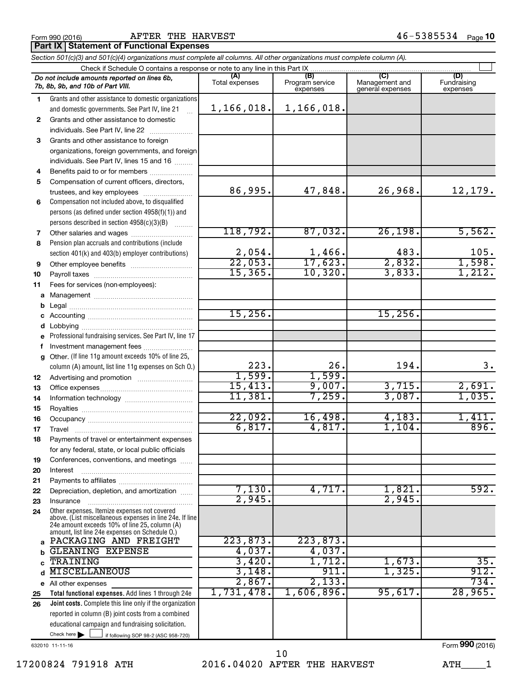Form 990 (2016) Page AFTER THE HARVEST 46-5385534

**Part IX | Statement of Functional Expenses** 

|              | Section 501(c)(3) and 501(c)(4) organizations must complete all columns. All other organizations must complete column (A).                                                                                  |                        |                                    |                                           |                                |  |  |  |  |  |
|--------------|-------------------------------------------------------------------------------------------------------------------------------------------------------------------------------------------------------------|------------------------|------------------------------------|-------------------------------------------|--------------------------------|--|--|--|--|--|
|              | Check if Schedule O contains a response or note to any line in this Part IX                                                                                                                                 |                        |                                    |                                           |                                |  |  |  |  |  |
|              | Do not include amounts reported on lines 6b,<br>7b, 8b, 9b, and 10b of Part VIII.                                                                                                                           | (A)<br>Total expenses  | (B)<br>Program service<br>expenses | (C)<br>Management and<br>general expenses | (D)<br>Fundraising<br>expenses |  |  |  |  |  |
| 1.           | Grants and other assistance to domestic organizations                                                                                                                                                       |                        |                                    |                                           |                                |  |  |  |  |  |
|              | and domestic governments. See Part IV, line 21                                                                                                                                                              | 1,166,018.             | 1,166,018.                         |                                           |                                |  |  |  |  |  |
| $\mathbf{2}$ | Grants and other assistance to domestic                                                                                                                                                                     |                        |                                    |                                           |                                |  |  |  |  |  |
|              | individuals. See Part IV, line 22                                                                                                                                                                           |                        |                                    |                                           |                                |  |  |  |  |  |
| 3            | Grants and other assistance to foreign                                                                                                                                                                      |                        |                                    |                                           |                                |  |  |  |  |  |
|              | organizations, foreign governments, and foreign                                                                                                                                                             |                        |                                    |                                           |                                |  |  |  |  |  |
|              | individuals. See Part IV, lines 15 and 16                                                                                                                                                                   |                        |                                    |                                           |                                |  |  |  |  |  |
| 4            | Benefits paid to or for members                                                                                                                                                                             |                        |                                    |                                           |                                |  |  |  |  |  |
| 5            | Compensation of current officers, directors,                                                                                                                                                                |                        |                                    |                                           |                                |  |  |  |  |  |
|              | trustees, and key employees                                                                                                                                                                                 | 86,995.                | 47,848.                            | 26,968.                                   | 12,179.                        |  |  |  |  |  |
| 6            | Compensation not included above, to disqualified                                                                                                                                                            |                        |                                    |                                           |                                |  |  |  |  |  |
|              | persons (as defined under section 4958(f)(1)) and                                                                                                                                                           |                        |                                    |                                           |                                |  |  |  |  |  |
|              | persons described in section 4958(c)(3)(B)                                                                                                                                                                  |                        |                                    |                                           |                                |  |  |  |  |  |
| 7            | Other salaries and wages                                                                                                                                                                                    | 118,792.               | 87,032.                            | 26, 198.                                  | 5,562.                         |  |  |  |  |  |
| 8            | Pension plan accruals and contributions (include                                                                                                                                                            |                        |                                    |                                           |                                |  |  |  |  |  |
|              | section 401(k) and 403(b) employer contributions)                                                                                                                                                           | $\frac{2,054}{22,053}$ | $\frac{1,466}{17,623}$             | 483.                                      | 105.                           |  |  |  |  |  |
| 9            |                                                                                                                                                                                                             |                        |                                    | 2,832.                                    | 1,598.                         |  |  |  |  |  |
| 10           |                                                                                                                                                                                                             | 15, 365.               | 10,320.                            | 3,833.                                    | 1,212.                         |  |  |  |  |  |
| 11           | Fees for services (non-employees):                                                                                                                                                                          |                        |                                    |                                           |                                |  |  |  |  |  |
| a            |                                                                                                                                                                                                             |                        |                                    |                                           |                                |  |  |  |  |  |
| b            |                                                                                                                                                                                                             |                        |                                    |                                           |                                |  |  |  |  |  |
| с            |                                                                                                                                                                                                             | 15, 256.               |                                    | 15,256.                                   |                                |  |  |  |  |  |
| d            |                                                                                                                                                                                                             |                        |                                    |                                           |                                |  |  |  |  |  |
| e            | Professional fundraising services. See Part IV, line 17                                                                                                                                                     |                        |                                    |                                           |                                |  |  |  |  |  |
| f            | Investment management fees                                                                                                                                                                                  |                        |                                    |                                           |                                |  |  |  |  |  |
| g            | Other. (If line 11g amount exceeds 10% of line 25,                                                                                                                                                          |                        |                                    |                                           |                                |  |  |  |  |  |
|              | column (A) amount, list line 11g expenses on Sch O.)                                                                                                                                                        | $\frac{223}{1,599}$ .  | 26.                                | 194.                                      | 3.                             |  |  |  |  |  |
| 12           |                                                                                                                                                                                                             |                        | 1,599.                             |                                           |                                |  |  |  |  |  |
| 13           |                                                                                                                                                                                                             | 15,413.                | 9,007.                             | 3,715.                                    | 2,691.                         |  |  |  |  |  |
| 14           |                                                                                                                                                                                                             | 11,381.                | 7,259.                             | 3,087.                                    | 1,035.                         |  |  |  |  |  |
| 15           |                                                                                                                                                                                                             |                        |                                    |                                           |                                |  |  |  |  |  |
| 16           |                                                                                                                                                                                                             | 22,092.                | 16,498.                            | 4,183.                                    | 1,411.                         |  |  |  |  |  |
| 17           |                                                                                                                                                                                                             | 6,817.                 | 4,817.                             | 1,104.                                    | 896.                           |  |  |  |  |  |
| 18           | Payments of travel or entertainment expenses                                                                                                                                                                |                        |                                    |                                           |                                |  |  |  |  |  |
|              | for any federal, state, or local public officials                                                                                                                                                           |                        |                                    |                                           |                                |  |  |  |  |  |
| 19           | Conferences, conventions, and meetings                                                                                                                                                                      |                        |                                    |                                           |                                |  |  |  |  |  |
| 20           | Interest                                                                                                                                                                                                    |                        |                                    |                                           |                                |  |  |  |  |  |
| 21           |                                                                                                                                                                                                             |                        | 4,717.                             |                                           | 592.                           |  |  |  |  |  |
| 22           | Depreciation, depletion, and amortization                                                                                                                                                                   | 7,130.<br>2,945.       |                                    | 1,821.<br>2,945.                          |                                |  |  |  |  |  |
| 23           | Insurance                                                                                                                                                                                                   |                        |                                    |                                           |                                |  |  |  |  |  |
| 24           | Other expenses. Itemize expenses not covered<br>above. (List miscellaneous expenses in line 24e. If line<br>24e amount exceeds 10% of line 25, column (A)<br>amount, list line 24e expenses on Schedule O.) |                        |                                    |                                           |                                |  |  |  |  |  |
| a            | PACKAGING AND FREIGHT                                                                                                                                                                                       | 223,873.               | 223,873.                           |                                           |                                |  |  |  |  |  |
| b            | <b>GLEANING EXPENSE</b>                                                                                                                                                                                     | 4,037.                 | 4,037.                             |                                           |                                |  |  |  |  |  |
|              | <b>TRAINING</b>                                                                                                                                                                                             | 3,420.                 | 1,712.                             | 1,673.                                    | 35.                            |  |  |  |  |  |
| d            | <b>MISCELLANEOUS</b>                                                                                                                                                                                        | 3,148.                 | 911.                               | 1,325.                                    | 912.                           |  |  |  |  |  |
|              | e All other expenses                                                                                                                                                                                        | 2,867.                 | 2,133.                             |                                           | 734.                           |  |  |  |  |  |
| 25           | Total functional expenses. Add lines 1 through 24e                                                                                                                                                          | 1,731,478.             | 1,606,896.                         | 95,617.                                   | 28,965.                        |  |  |  |  |  |
| 26           | <b>Joint costs.</b> Complete this line only if the organization                                                                                                                                             |                        |                                    |                                           |                                |  |  |  |  |  |
|              | reported in column (B) joint costs from a combined                                                                                                                                                          |                        |                                    |                                           |                                |  |  |  |  |  |
|              | educational campaign and fundraising solicitation.                                                                                                                                                          |                        |                                    |                                           |                                |  |  |  |  |  |
|              | Check here $\blacktriangleright$<br>if following SOP 98-2 (ASC 958-720)                                                                                                                                     |                        |                                    |                                           |                                |  |  |  |  |  |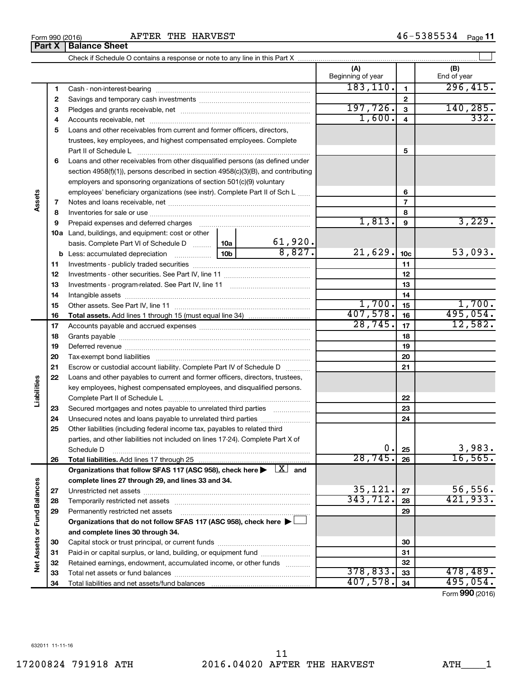## Form 990 (2016) Page AFTER THE HARVEST 46-5385534 **Part X** | Balance Sheet

|                             |    |                                                                                                                                                                                                                                |                 |              | (A)<br>Beginning of year |                 | (B)<br>End of year |
|-----------------------------|----|--------------------------------------------------------------------------------------------------------------------------------------------------------------------------------------------------------------------------------|-----------------|--------------|--------------------------|-----------------|--------------------|
|                             | 1  |                                                                                                                                                                                                                                |                 |              | 183, 110.                | $\mathbf{1}$    | 296,415.           |
|                             | 2  |                                                                                                                                                                                                                                |                 |              |                          | 2               |                    |
|                             | З  |                                                                                                                                                                                                                                | 197,726.        | $\mathbf{3}$ | 140, 285.                |                 |                    |
|                             | 4  |                                                                                                                                                                                                                                | 1,600.          | 4            | 332.                     |                 |                    |
|                             | 5  | Loans and other receivables from current and former officers, directors,                                                                                                                                                       |                 |              |                          |                 |                    |
|                             |    | trustees, key employees, and highest compensated employees. Complete                                                                                                                                                           |                 |              |                          |                 |                    |
|                             |    |                                                                                                                                                                                                                                |                 | 5            |                          |                 |                    |
|                             | 6  | Loans and other receivables from other disqualified persons (as defined under                                                                                                                                                  |                 |              |                          |                 |                    |
|                             |    | section 4958(f)(1)), persons described in section 4958(c)(3)(B), and contributing                                                                                                                                              |                 |              |                          |                 |                    |
|                             |    | employers and sponsoring organizations of section 501(c)(9) voluntary                                                                                                                                                          |                 |              |                          |                 |                    |
|                             |    | employees' beneficiary organizations (see instr). Complete Part II of Sch L                                                                                                                                                    |                 |              |                          | 6               |                    |
| Assets                      | 7  |                                                                                                                                                                                                                                |                 |              |                          | 7               |                    |
|                             | 8  |                                                                                                                                                                                                                                |                 |              |                          | 8               |                    |
|                             | 9  | Prepaid expenses and deferred charges [11] matter continuum matter and referred charges [11] matter continuum matter continuum matter and continuum matter continuum matter and continuum matter continuum matter continuum ma |                 |              | 1,813.                   | 9               | 3,229.             |
|                             |    | 10a Land, buildings, and equipment: cost or other                                                                                                                                                                              |                 |              |                          |                 |                    |
|                             |    | basis. Complete Part VI of Schedule D                                                                                                                                                                                          | 10a             | 61,920.      |                          |                 |                    |
|                             |    | <b>b</b> Less: accumulated depreciation <i></i>                                                                                                                                                                                | 10 <sub>b</sub> | 8,827.       | 21,629.                  | 10 <sub>c</sub> | 53,093.            |
|                             | 11 |                                                                                                                                                                                                                                |                 |              |                          | 11              |                    |
|                             | 12 |                                                                                                                                                                                                                                |                 |              |                          | 12              |                    |
|                             | 13 |                                                                                                                                                                                                                                |                 | 13           |                          |                 |                    |
|                             | 14 |                                                                                                                                                                                                                                |                 | 14           |                          |                 |                    |
|                             | 15 |                                                                                                                                                                                                                                |                 |              | 1,700.                   | 15              | 1,700.             |
|                             | 16 |                                                                                                                                                                                                                                |                 |              | 407,578.                 | 16              | 495,054.           |
|                             | 17 |                                                                                                                                                                                                                                |                 |              | 28, 745.                 | 17              | 12,582.            |
|                             | 18 |                                                                                                                                                                                                                                |                 | 18           |                          |                 |                    |
|                             | 19 | Deferred revenue manual contracts and contracts are all the contracts and contracts are contracted and contracts are contracted and contract are contracted and contract are contracted and contract are contracted and contra |                 |              |                          | 19              |                    |
|                             | 20 |                                                                                                                                                                                                                                |                 |              | 20                       |                 |                    |
|                             | 21 | Escrow or custodial account liability. Complete Part IV of Schedule D                                                                                                                                                          |                 |              |                          | 21              |                    |
|                             | 22 | Loans and other payables to current and former officers, directors, trustees,                                                                                                                                                  |                 |              |                          |                 |                    |
| Liabilities                 |    | key employees, highest compensated employees, and disqualified persons.                                                                                                                                                        |                 |              |                          |                 |                    |
|                             |    |                                                                                                                                                                                                                                |                 |              |                          | 22              |                    |
|                             | 23 | Secured mortgages and notes payable to unrelated third parties                                                                                                                                                                 |                 |              |                          | 23              |                    |
|                             | 24 | Unsecured notes and loans payable to unrelated third parties                                                                                                                                                                   |                 |              |                          | 24              |                    |
|                             | 25 | Other liabilities (including federal income tax, payables to related third                                                                                                                                                     |                 |              |                          |                 |                    |
|                             |    | parties, and other liabilities not included on lines 17-24). Complete Part X of                                                                                                                                                |                 |              |                          |                 |                    |
|                             |    | Schedule D                                                                                                                                                                                                                     |                 |              | $\mathbf 0$ .            | 25              | 3,983.             |
|                             | 26 |                                                                                                                                                                                                                                |                 |              | 28,745.                  | 26              | 16, 565.           |
|                             |    | Organizations that follow SFAS 117 (ASC 958), check here $\blacktriangleright \begin{array}{c} \boxed{X} \end{array}$ and                                                                                                      |                 |              |                          |                 |                    |
|                             |    | complete lines 27 through 29, and lines 33 and 34.                                                                                                                                                                             |                 |              |                          |                 |                    |
|                             | 27 |                                                                                                                                                                                                                                |                 |              | 35,121.                  | 27              | 56, 556.           |
|                             | 28 |                                                                                                                                                                                                                                |                 |              | 343, 712.                | 28              | 421,933.           |
|                             | 29 | Permanently restricted net assets                                                                                                                                                                                              |                 |              |                          | 29              |                    |
|                             |    | Organizations that do not follow SFAS 117 (ASC 958), check here ▶                                                                                                                                                              |                 |              |                          |                 |                    |
| Net Assets or Fund Balances |    | and complete lines 30 through 34.                                                                                                                                                                                              |                 |              |                          |                 |                    |
|                             | 30 |                                                                                                                                                                                                                                |                 |              |                          | 30              |                    |
|                             | 31 | Paid-in or capital surplus, or land, building, or equipment fund                                                                                                                                                               |                 |              |                          | 31              |                    |
|                             | 32 | Retained earnings, endowment, accumulated income, or other funds                                                                                                                                                               |                 |              | 378,833.                 | 32              | 478,489.           |
|                             | 33 |                                                                                                                                                                                                                                |                 |              | 407,578.                 | 33              | 495,054.           |
|                             | 34 |                                                                                                                                                                                                                                |                 |              |                          | 34              |                    |

Form (2016) **990**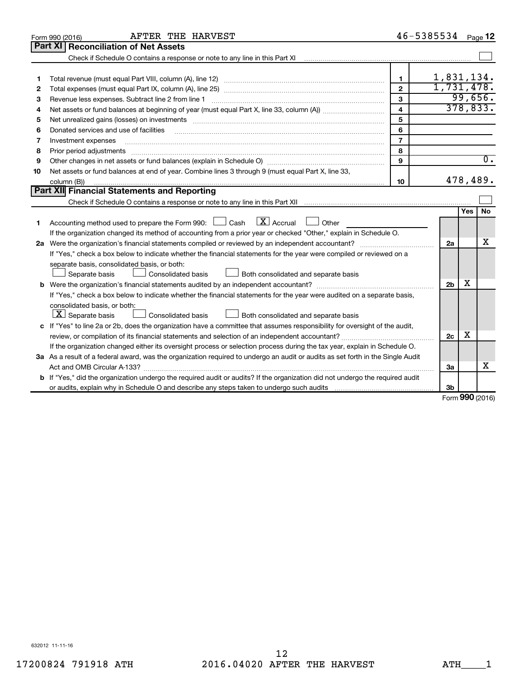| Part XI   Reconciliation of Net Assets<br>Check if Schedule O contains a response or note to any line in this Part XI [11] [12] [13] Check if Schedule O contains a response or note to any line in this Part XI<br>1,831,134.<br>1<br>1<br>1,731,478.<br>$\overline{2}$<br>2<br>99,656.<br>3<br>Revenue less expenses. Subtract line 2 from line 1<br>3<br>378,833.<br>$\overline{\mathbf{4}}$<br>4<br>5<br>Net unrealized gains (losses) on investments [11] matter contracts and the state of the state of the state of the state of the state of the state of the state of the state of the state of the state of the state of the stat<br>5<br>6<br>Donated services and use of facilities<br>6<br>$\overline{7}$<br>Investment expenses<br>7<br>8<br>8<br>Prior period adjustments<br>$\begin{minipage}{0.5\textwidth} \begin{tabular}{ l l l } \hline \multicolumn{1}{ l l l } \hline \multicolumn{1}{ l l } \hline \multicolumn{1}{ l } \multicolumn{1}{ l } \hline \multicolumn{1}{ l } \multicolumn{1}{ l } \multicolumn{1}{ l } \multicolumn{1}{ l } \hline \multicolumn{1}{ l } \multicolumn{1}{ l } \multicolumn{1}{ l } \multicolumn{1}{ l } \hline \multicolumn{1}{ l } \multicolumn{1}{ l } \multicolumn{1}{ l } \hline$<br>$\overline{0}$ .<br>9<br>9<br>Net assets or fund balances at end of year. Combine lines 3 through 9 (must equal Part X, line 33,<br>10<br>478,489.<br>10<br>column (B))<br>Part XII Financial Statements and Reporting<br>No<br>Yes<br>Accounting method used to prepare the Form 990: $\Box$ Cash $\Box X$ Accrual<br>$\Box$ Other<br>1<br>If the organization changed its method of accounting from a prior year or checked "Other," explain in Schedule O.<br>х<br>2a<br>If "Yes," check a box below to indicate whether the financial statements for the year were compiled or reviewed on a<br>separate basis, consolidated basis, or both:<br>Both consolidated and separate basis<br>Separate basis<br>Consolidated basis<br>x<br>2 <sub>b</sub><br>If "Yes," check a box below to indicate whether the financial statements for the year were audited on a separate basis,<br>consolidated basis, or both:<br>$ \mathbf{X} $ Separate basis<br>Consolidated basis<br>Both consolidated and separate basis<br>c If "Yes" to line 2a or 2b, does the organization have a committee that assumes responsibility for oversight of the audit,<br>x<br>2c<br>If the organization changed either its oversight process or selection process during the tax year, explain in Schedule O.<br>3a As a result of a federal award, was the organization required to undergo an audit or audits as set forth in the Single Audit<br>x<br>За<br><b>b</b> If "Yes," did the organization undergo the required audit or audits? If the organization did not undergo the required audit<br>3b<br>$\sim$ | AFTER THE HARVEST<br>Form 990 (2016) |  | 46-5385534 |  | Page 12 |  |  |
|--------------------------------------------------------------------------------------------------------------------------------------------------------------------------------------------------------------------------------------------------------------------------------------------------------------------------------------------------------------------------------------------------------------------------------------------------------------------------------------------------------------------------------------------------------------------------------------------------------------------------------------------------------------------------------------------------------------------------------------------------------------------------------------------------------------------------------------------------------------------------------------------------------------------------------------------------------------------------------------------------------------------------------------------------------------------------------------------------------------------------------------------------------------------------------------------------------------------------------------------------------------------------------------------------------------------------------------------------------------------------------------------------------------------------------------------------------------------------------------------------------------------------------------------------------------------------------------------------------------------------------------------------------------------------------------------------------------------------------------------------------------------------------------------------------------------------------------------------------------------------------------------------------------------------------------------------------------------------------------------------------------------------------------------------------------------------------------------------------------------------------------------------------------------------------------------------------------------------------------------------------------------------------------------------------------------------------------------------------------------------------------------------------------------------------------------------------------------------------------------------------------------------------------------------------------------------------------------------------------------------------------------------------------------------------------------------------------------------------------------------------------------------------------------------------------------------------------------|--------------------------------------|--|------------|--|---------|--|--|
|                                                                                                                                                                                                                                                                                                                                                                                                                                                                                                                                                                                                                                                                                                                                                                                                                                                                                                                                                                                                                                                                                                                                                                                                                                                                                                                                                                                                                                                                                                                                                                                                                                                                                                                                                                                                                                                                                                                                                                                                                                                                                                                                                                                                                                                                                                                                                                                                                                                                                                                                                                                                                                                                                                                                                                                                                                            |                                      |  |            |  |         |  |  |
|                                                                                                                                                                                                                                                                                                                                                                                                                                                                                                                                                                                                                                                                                                                                                                                                                                                                                                                                                                                                                                                                                                                                                                                                                                                                                                                                                                                                                                                                                                                                                                                                                                                                                                                                                                                                                                                                                                                                                                                                                                                                                                                                                                                                                                                                                                                                                                                                                                                                                                                                                                                                                                                                                                                                                                                                                                            |                                      |  |            |  |         |  |  |
|                                                                                                                                                                                                                                                                                                                                                                                                                                                                                                                                                                                                                                                                                                                                                                                                                                                                                                                                                                                                                                                                                                                                                                                                                                                                                                                                                                                                                                                                                                                                                                                                                                                                                                                                                                                                                                                                                                                                                                                                                                                                                                                                                                                                                                                                                                                                                                                                                                                                                                                                                                                                                                                                                                                                                                                                                                            |                                      |  |            |  |         |  |  |
|                                                                                                                                                                                                                                                                                                                                                                                                                                                                                                                                                                                                                                                                                                                                                                                                                                                                                                                                                                                                                                                                                                                                                                                                                                                                                                                                                                                                                                                                                                                                                                                                                                                                                                                                                                                                                                                                                                                                                                                                                                                                                                                                                                                                                                                                                                                                                                                                                                                                                                                                                                                                                                                                                                                                                                                                                                            |                                      |  |            |  |         |  |  |
|                                                                                                                                                                                                                                                                                                                                                                                                                                                                                                                                                                                                                                                                                                                                                                                                                                                                                                                                                                                                                                                                                                                                                                                                                                                                                                                                                                                                                                                                                                                                                                                                                                                                                                                                                                                                                                                                                                                                                                                                                                                                                                                                                                                                                                                                                                                                                                                                                                                                                                                                                                                                                                                                                                                                                                                                                                            |                                      |  |            |  |         |  |  |
|                                                                                                                                                                                                                                                                                                                                                                                                                                                                                                                                                                                                                                                                                                                                                                                                                                                                                                                                                                                                                                                                                                                                                                                                                                                                                                                                                                                                                                                                                                                                                                                                                                                                                                                                                                                                                                                                                                                                                                                                                                                                                                                                                                                                                                                                                                                                                                                                                                                                                                                                                                                                                                                                                                                                                                                                                                            |                                      |  |            |  |         |  |  |
|                                                                                                                                                                                                                                                                                                                                                                                                                                                                                                                                                                                                                                                                                                                                                                                                                                                                                                                                                                                                                                                                                                                                                                                                                                                                                                                                                                                                                                                                                                                                                                                                                                                                                                                                                                                                                                                                                                                                                                                                                                                                                                                                                                                                                                                                                                                                                                                                                                                                                                                                                                                                                                                                                                                                                                                                                                            |                                      |  |            |  |         |  |  |
|                                                                                                                                                                                                                                                                                                                                                                                                                                                                                                                                                                                                                                                                                                                                                                                                                                                                                                                                                                                                                                                                                                                                                                                                                                                                                                                                                                                                                                                                                                                                                                                                                                                                                                                                                                                                                                                                                                                                                                                                                                                                                                                                                                                                                                                                                                                                                                                                                                                                                                                                                                                                                                                                                                                                                                                                                                            |                                      |  |            |  |         |  |  |
|                                                                                                                                                                                                                                                                                                                                                                                                                                                                                                                                                                                                                                                                                                                                                                                                                                                                                                                                                                                                                                                                                                                                                                                                                                                                                                                                                                                                                                                                                                                                                                                                                                                                                                                                                                                                                                                                                                                                                                                                                                                                                                                                                                                                                                                                                                                                                                                                                                                                                                                                                                                                                                                                                                                                                                                                                                            |                                      |  |            |  |         |  |  |
|                                                                                                                                                                                                                                                                                                                                                                                                                                                                                                                                                                                                                                                                                                                                                                                                                                                                                                                                                                                                                                                                                                                                                                                                                                                                                                                                                                                                                                                                                                                                                                                                                                                                                                                                                                                                                                                                                                                                                                                                                                                                                                                                                                                                                                                                                                                                                                                                                                                                                                                                                                                                                                                                                                                                                                                                                                            |                                      |  |            |  |         |  |  |
|                                                                                                                                                                                                                                                                                                                                                                                                                                                                                                                                                                                                                                                                                                                                                                                                                                                                                                                                                                                                                                                                                                                                                                                                                                                                                                                                                                                                                                                                                                                                                                                                                                                                                                                                                                                                                                                                                                                                                                                                                                                                                                                                                                                                                                                                                                                                                                                                                                                                                                                                                                                                                                                                                                                                                                                                                                            |                                      |  |            |  |         |  |  |
|                                                                                                                                                                                                                                                                                                                                                                                                                                                                                                                                                                                                                                                                                                                                                                                                                                                                                                                                                                                                                                                                                                                                                                                                                                                                                                                                                                                                                                                                                                                                                                                                                                                                                                                                                                                                                                                                                                                                                                                                                                                                                                                                                                                                                                                                                                                                                                                                                                                                                                                                                                                                                                                                                                                                                                                                                                            |                                      |  |            |  |         |  |  |
|                                                                                                                                                                                                                                                                                                                                                                                                                                                                                                                                                                                                                                                                                                                                                                                                                                                                                                                                                                                                                                                                                                                                                                                                                                                                                                                                                                                                                                                                                                                                                                                                                                                                                                                                                                                                                                                                                                                                                                                                                                                                                                                                                                                                                                                                                                                                                                                                                                                                                                                                                                                                                                                                                                                                                                                                                                            |                                      |  |            |  |         |  |  |
|                                                                                                                                                                                                                                                                                                                                                                                                                                                                                                                                                                                                                                                                                                                                                                                                                                                                                                                                                                                                                                                                                                                                                                                                                                                                                                                                                                                                                                                                                                                                                                                                                                                                                                                                                                                                                                                                                                                                                                                                                                                                                                                                                                                                                                                                                                                                                                                                                                                                                                                                                                                                                                                                                                                                                                                                                                            |                                      |  |            |  |         |  |  |
|                                                                                                                                                                                                                                                                                                                                                                                                                                                                                                                                                                                                                                                                                                                                                                                                                                                                                                                                                                                                                                                                                                                                                                                                                                                                                                                                                                                                                                                                                                                                                                                                                                                                                                                                                                                                                                                                                                                                                                                                                                                                                                                                                                                                                                                                                                                                                                                                                                                                                                                                                                                                                                                                                                                                                                                                                                            |                                      |  |            |  |         |  |  |
|                                                                                                                                                                                                                                                                                                                                                                                                                                                                                                                                                                                                                                                                                                                                                                                                                                                                                                                                                                                                                                                                                                                                                                                                                                                                                                                                                                                                                                                                                                                                                                                                                                                                                                                                                                                                                                                                                                                                                                                                                                                                                                                                                                                                                                                                                                                                                                                                                                                                                                                                                                                                                                                                                                                                                                                                                                            |                                      |  |            |  |         |  |  |
|                                                                                                                                                                                                                                                                                                                                                                                                                                                                                                                                                                                                                                                                                                                                                                                                                                                                                                                                                                                                                                                                                                                                                                                                                                                                                                                                                                                                                                                                                                                                                                                                                                                                                                                                                                                                                                                                                                                                                                                                                                                                                                                                                                                                                                                                                                                                                                                                                                                                                                                                                                                                                                                                                                                                                                                                                                            |                                      |  |            |  |         |  |  |
|                                                                                                                                                                                                                                                                                                                                                                                                                                                                                                                                                                                                                                                                                                                                                                                                                                                                                                                                                                                                                                                                                                                                                                                                                                                                                                                                                                                                                                                                                                                                                                                                                                                                                                                                                                                                                                                                                                                                                                                                                                                                                                                                                                                                                                                                                                                                                                                                                                                                                                                                                                                                                                                                                                                                                                                                                                            |                                      |  |            |  |         |  |  |
|                                                                                                                                                                                                                                                                                                                                                                                                                                                                                                                                                                                                                                                                                                                                                                                                                                                                                                                                                                                                                                                                                                                                                                                                                                                                                                                                                                                                                                                                                                                                                                                                                                                                                                                                                                                                                                                                                                                                                                                                                                                                                                                                                                                                                                                                                                                                                                                                                                                                                                                                                                                                                                                                                                                                                                                                                                            |                                      |  |            |  |         |  |  |
|                                                                                                                                                                                                                                                                                                                                                                                                                                                                                                                                                                                                                                                                                                                                                                                                                                                                                                                                                                                                                                                                                                                                                                                                                                                                                                                                                                                                                                                                                                                                                                                                                                                                                                                                                                                                                                                                                                                                                                                                                                                                                                                                                                                                                                                                                                                                                                                                                                                                                                                                                                                                                                                                                                                                                                                                                                            |                                      |  |            |  |         |  |  |
|                                                                                                                                                                                                                                                                                                                                                                                                                                                                                                                                                                                                                                                                                                                                                                                                                                                                                                                                                                                                                                                                                                                                                                                                                                                                                                                                                                                                                                                                                                                                                                                                                                                                                                                                                                                                                                                                                                                                                                                                                                                                                                                                                                                                                                                                                                                                                                                                                                                                                                                                                                                                                                                                                                                                                                                                                                            |                                      |  |            |  |         |  |  |
|                                                                                                                                                                                                                                                                                                                                                                                                                                                                                                                                                                                                                                                                                                                                                                                                                                                                                                                                                                                                                                                                                                                                                                                                                                                                                                                                                                                                                                                                                                                                                                                                                                                                                                                                                                                                                                                                                                                                                                                                                                                                                                                                                                                                                                                                                                                                                                                                                                                                                                                                                                                                                                                                                                                                                                                                                                            |                                      |  |            |  |         |  |  |
|                                                                                                                                                                                                                                                                                                                                                                                                                                                                                                                                                                                                                                                                                                                                                                                                                                                                                                                                                                                                                                                                                                                                                                                                                                                                                                                                                                                                                                                                                                                                                                                                                                                                                                                                                                                                                                                                                                                                                                                                                                                                                                                                                                                                                                                                                                                                                                                                                                                                                                                                                                                                                                                                                                                                                                                                                                            |                                      |  |            |  |         |  |  |
|                                                                                                                                                                                                                                                                                                                                                                                                                                                                                                                                                                                                                                                                                                                                                                                                                                                                                                                                                                                                                                                                                                                                                                                                                                                                                                                                                                                                                                                                                                                                                                                                                                                                                                                                                                                                                                                                                                                                                                                                                                                                                                                                                                                                                                                                                                                                                                                                                                                                                                                                                                                                                                                                                                                                                                                                                                            |                                      |  |            |  |         |  |  |
|                                                                                                                                                                                                                                                                                                                                                                                                                                                                                                                                                                                                                                                                                                                                                                                                                                                                                                                                                                                                                                                                                                                                                                                                                                                                                                                                                                                                                                                                                                                                                                                                                                                                                                                                                                                                                                                                                                                                                                                                                                                                                                                                                                                                                                                                                                                                                                                                                                                                                                                                                                                                                                                                                                                                                                                                                                            |                                      |  |            |  |         |  |  |
|                                                                                                                                                                                                                                                                                                                                                                                                                                                                                                                                                                                                                                                                                                                                                                                                                                                                                                                                                                                                                                                                                                                                                                                                                                                                                                                                                                                                                                                                                                                                                                                                                                                                                                                                                                                                                                                                                                                                                                                                                                                                                                                                                                                                                                                                                                                                                                                                                                                                                                                                                                                                                                                                                                                                                                                                                                            |                                      |  |            |  |         |  |  |
|                                                                                                                                                                                                                                                                                                                                                                                                                                                                                                                                                                                                                                                                                                                                                                                                                                                                                                                                                                                                                                                                                                                                                                                                                                                                                                                                                                                                                                                                                                                                                                                                                                                                                                                                                                                                                                                                                                                                                                                                                                                                                                                                                                                                                                                                                                                                                                                                                                                                                                                                                                                                                                                                                                                                                                                                                                            |                                      |  |            |  |         |  |  |
|                                                                                                                                                                                                                                                                                                                                                                                                                                                                                                                                                                                                                                                                                                                                                                                                                                                                                                                                                                                                                                                                                                                                                                                                                                                                                                                                                                                                                                                                                                                                                                                                                                                                                                                                                                                                                                                                                                                                                                                                                                                                                                                                                                                                                                                                                                                                                                                                                                                                                                                                                                                                                                                                                                                                                                                                                                            |                                      |  |            |  |         |  |  |
|                                                                                                                                                                                                                                                                                                                                                                                                                                                                                                                                                                                                                                                                                                                                                                                                                                                                                                                                                                                                                                                                                                                                                                                                                                                                                                                                                                                                                                                                                                                                                                                                                                                                                                                                                                                                                                                                                                                                                                                                                                                                                                                                                                                                                                                                                                                                                                                                                                                                                                                                                                                                                                                                                                                                                                                                                                            |                                      |  |            |  |         |  |  |
|                                                                                                                                                                                                                                                                                                                                                                                                                                                                                                                                                                                                                                                                                                                                                                                                                                                                                                                                                                                                                                                                                                                                                                                                                                                                                                                                                                                                                                                                                                                                                                                                                                                                                                                                                                                                                                                                                                                                                                                                                                                                                                                                                                                                                                                                                                                                                                                                                                                                                                                                                                                                                                                                                                                                                                                                                                            |                                      |  |            |  |         |  |  |
|                                                                                                                                                                                                                                                                                                                                                                                                                                                                                                                                                                                                                                                                                                                                                                                                                                                                                                                                                                                                                                                                                                                                                                                                                                                                                                                                                                                                                                                                                                                                                                                                                                                                                                                                                                                                                                                                                                                                                                                                                                                                                                                                                                                                                                                                                                                                                                                                                                                                                                                                                                                                                                                                                                                                                                                                                                            |                                      |  |            |  |         |  |  |
|                                                                                                                                                                                                                                                                                                                                                                                                                                                                                                                                                                                                                                                                                                                                                                                                                                                                                                                                                                                                                                                                                                                                                                                                                                                                                                                                                                                                                                                                                                                                                                                                                                                                                                                                                                                                                                                                                                                                                                                                                                                                                                                                                                                                                                                                                                                                                                                                                                                                                                                                                                                                                                                                                                                                                                                                                                            |                                      |  |            |  |         |  |  |
|                                                                                                                                                                                                                                                                                                                                                                                                                                                                                                                                                                                                                                                                                                                                                                                                                                                                                                                                                                                                                                                                                                                                                                                                                                                                                                                                                                                                                                                                                                                                                                                                                                                                                                                                                                                                                                                                                                                                                                                                                                                                                                                                                                                                                                                                                                                                                                                                                                                                                                                                                                                                                                                                                                                                                                                                                                            |                                      |  |            |  |         |  |  |
|                                                                                                                                                                                                                                                                                                                                                                                                                                                                                                                                                                                                                                                                                                                                                                                                                                                                                                                                                                                                                                                                                                                                                                                                                                                                                                                                                                                                                                                                                                                                                                                                                                                                                                                                                                                                                                                                                                                                                                                                                                                                                                                                                                                                                                                                                                                                                                                                                                                                                                                                                                                                                                                                                                                                                                                                                                            |                                      |  |            |  |         |  |  |

Form (2016) **990**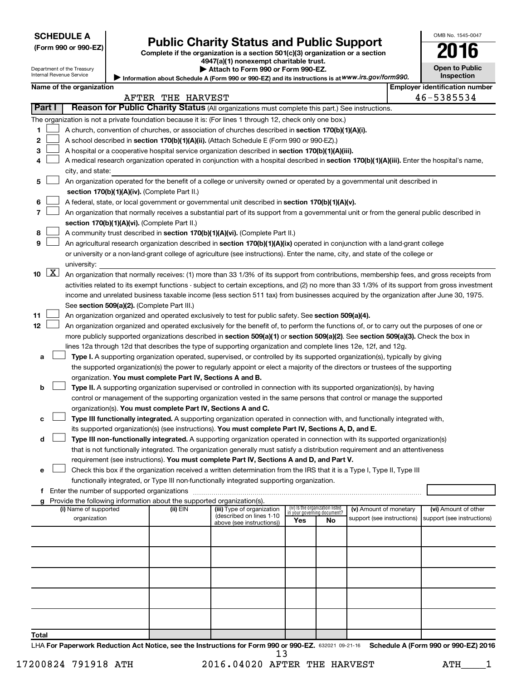Department of the Treasury

# Form 990 or 990-EZ) **Public Charity Status and Public Support**<br>
Complete if the organization is a section 501(c)(3) organization or a section<br> **2016**

**4947(a)(1) nonexempt charitable trust. | Attach to Form 990 or Form 990-EZ.** 

| LV.                   | . . |
|-----------------------|-----|
| <b>Open to Public</b> |     |
| <b>Inspection</b>     |     |

OMB No. 1545-0047

Internal Revenue Service Information about Schedule A (Form 990 or 990-EZ) and its instructions is at WWW.irs.gov/form990.

|        | Name of the organization |                                                                                                                                                                                             |                   |                                                       |                             |                                 |                            |  | <b>Employer identification number</b> |  |
|--------|--------------------------|---------------------------------------------------------------------------------------------------------------------------------------------------------------------------------------------|-------------------|-------------------------------------------------------|-----------------------------|---------------------------------|----------------------------|--|---------------------------------------|--|
|        |                          |                                                                                                                                                                                             | AFTER THE HARVEST |                                                       |                             |                                 |                            |  | 46-5385534                            |  |
| Part I |                          | Reason for Public Charity Status (All organizations must complete this part.) See instructions.                                                                                             |                   |                                                       |                             |                                 |                            |  |                                       |  |
|        |                          | The organization is not a private foundation because it is: (For lines 1 through 12, check only one box.)                                                                                   |                   |                                                       |                             |                                 |                            |  |                                       |  |
| 1      |                          | A church, convention of churches, or association of churches described in section 170(b)(1)(A)(i).                                                                                          |                   |                                                       |                             |                                 |                            |  |                                       |  |
| 2      |                          | A school described in section 170(b)(1)(A)(ii). (Attach Schedule E (Form 990 or 990-EZ).)                                                                                                   |                   |                                                       |                             |                                 |                            |  |                                       |  |
| 3      |                          | A hospital or a cooperative hospital service organization described in section 170(b)(1)(A)(iii).                                                                                           |                   |                                                       |                             |                                 |                            |  |                                       |  |
| 4      |                          | A medical research organization operated in conjunction with a hospital described in section 170(b)(1)(A)(iii). Enter the hospital's name,                                                  |                   |                                                       |                             |                                 |                            |  |                                       |  |
|        |                          | city, and state:                                                                                                                                                                            |                   |                                                       |                             |                                 |                            |  |                                       |  |
| 5      |                          | An organization operated for the benefit of a college or university owned or operated by a governmental unit described in                                                                   |                   |                                                       |                             |                                 |                            |  |                                       |  |
|        |                          | section 170(b)(1)(A)(iv). (Complete Part II.)                                                                                                                                               |                   |                                                       |                             |                                 |                            |  |                                       |  |
| 6      |                          | A federal, state, or local government or governmental unit described in section 170(b)(1)(A)(v).                                                                                            |                   |                                                       |                             |                                 |                            |  |                                       |  |
| 7      |                          | An organization that normally receives a substantial part of its support from a governmental unit or from the general public described in                                                   |                   |                                                       |                             |                                 |                            |  |                                       |  |
|        |                          | section 170(b)(1)(A)(vi). (Complete Part II.)                                                                                                                                               |                   |                                                       |                             |                                 |                            |  |                                       |  |
| 8      |                          | A community trust described in section 170(b)(1)(A)(vi). (Complete Part II.)                                                                                                                |                   |                                                       |                             |                                 |                            |  |                                       |  |
| 9      |                          | An agricultural research organization described in section 170(b)(1)(A)(ix) operated in conjunction with a land-grant college                                                               |                   |                                                       |                             |                                 |                            |  |                                       |  |
|        |                          | or university or a non-land-grant college of agriculture (see instructions). Enter the name, city, and state of the college or                                                              |                   |                                                       |                             |                                 |                            |  |                                       |  |
|        |                          | university:                                                                                                                                                                                 |                   |                                                       |                             |                                 |                            |  |                                       |  |
| 10     | $\boxed{\text{X}}$       | An organization that normally receives: (1) more than 33 1/3% of its support from contributions, membership fees, and gross receipts from                                                   |                   |                                                       |                             |                                 |                            |  |                                       |  |
|        |                          | activities related to its exempt functions - subject to certain exceptions, and (2) no more than 33 1/3% of its support from gross investment                                               |                   |                                                       |                             |                                 |                            |  |                                       |  |
|        |                          | income and unrelated business taxable income (less section 511 tax) from businesses acquired by the organization after June 30, 1975.                                                       |                   |                                                       |                             |                                 |                            |  |                                       |  |
|        |                          | See section 509(a)(2). (Complete Part III.)                                                                                                                                                 |                   |                                                       |                             |                                 |                            |  |                                       |  |
| 11     |                          | An organization organized and operated exclusively to test for public safety. See section 509(a)(4).                                                                                        |                   |                                                       |                             |                                 |                            |  |                                       |  |
| 12     |                          | An organization organized and operated exclusively for the benefit of, to perform the functions of, or to carry out the purposes of one or                                                  |                   |                                                       |                             |                                 |                            |  |                                       |  |
|        |                          | more publicly supported organizations described in section 509(a)(1) or section 509(a)(2). See section 509(a)(3). Check the box in                                                          |                   |                                                       |                             |                                 |                            |  |                                       |  |
|        |                          | lines 12a through 12d that describes the type of supporting organization and complete lines 12e, 12f, and 12g.                                                                              |                   |                                                       |                             |                                 |                            |  |                                       |  |
| а      |                          | Type I. A supporting organization operated, supervised, or controlled by its supported organization(s), typically by giving                                                                 |                   |                                                       |                             |                                 |                            |  |                                       |  |
|        |                          | the supported organization(s) the power to regularly appoint or elect a majority of the directors or trustees of the supporting                                                             |                   |                                                       |                             |                                 |                            |  |                                       |  |
|        |                          | organization. You must complete Part IV, Sections A and B.                                                                                                                                  |                   |                                                       |                             |                                 |                            |  |                                       |  |
| b      |                          | Type II. A supporting organization supervised or controlled in connection with its supported organization(s), by having                                                                     |                   |                                                       |                             |                                 |                            |  |                                       |  |
|        |                          | control or management of the supporting organization vested in the same persons that control or manage the supported                                                                        |                   |                                                       |                             |                                 |                            |  |                                       |  |
| с      |                          | organization(s). You must complete Part IV, Sections A and C.<br>Type III functionally integrated. A supporting organization operated in connection with, and functionally integrated with, |                   |                                                       |                             |                                 |                            |  |                                       |  |
|        |                          | its supported organization(s) (see instructions). You must complete Part IV, Sections A, D, and E.                                                                                          |                   |                                                       |                             |                                 |                            |  |                                       |  |
| d      |                          | Type III non-functionally integrated. A supporting organization operated in connection with its supported organization(s)                                                                   |                   |                                                       |                             |                                 |                            |  |                                       |  |
|        |                          | that is not functionally integrated. The organization generally must satisfy a distribution requirement and an attentiveness                                                                |                   |                                                       |                             |                                 |                            |  |                                       |  |
|        |                          | requirement (see instructions). You must complete Part IV, Sections A and D, and Part V.                                                                                                    |                   |                                                       |                             |                                 |                            |  |                                       |  |
|        |                          | Check this box if the organization received a written determination from the IRS that it is a Type I, Type II, Type III                                                                     |                   |                                                       |                             |                                 |                            |  |                                       |  |
|        |                          | functionally integrated, or Type III non-functionally integrated supporting organization.                                                                                                   |                   |                                                       |                             |                                 |                            |  |                                       |  |
|        |                          |                                                                                                                                                                                             |                   |                                                       |                             |                                 |                            |  |                                       |  |
|        |                          | g Provide the following information about the supported organization(s).                                                                                                                    |                   |                                                       |                             |                                 |                            |  |                                       |  |
|        |                          | (i) Name of supported                                                                                                                                                                       | (ii) EIN          | (iii) Type of organization                            | in your governing document? | (iv) Is the organization listed | (v) Amount of monetary     |  | (vi) Amount of other                  |  |
|        |                          | organization                                                                                                                                                                                |                   | (described on lines 1-10<br>above (see instructions)) | Yes                         | No                              | support (see instructions) |  | support (see instructions)            |  |
|        |                          |                                                                                                                                                                                             |                   |                                                       |                             |                                 |                            |  |                                       |  |
|        |                          |                                                                                                                                                                                             |                   |                                                       |                             |                                 |                            |  |                                       |  |
|        |                          |                                                                                                                                                                                             |                   |                                                       |                             |                                 |                            |  |                                       |  |
|        |                          |                                                                                                                                                                                             |                   |                                                       |                             |                                 |                            |  |                                       |  |
|        |                          |                                                                                                                                                                                             |                   |                                                       |                             |                                 |                            |  |                                       |  |
|        |                          |                                                                                                                                                                                             |                   |                                                       |                             |                                 |                            |  |                                       |  |
|        |                          |                                                                                                                                                                                             |                   |                                                       |                             |                                 |                            |  |                                       |  |
|        |                          |                                                                                                                                                                                             |                   |                                                       |                             |                                 |                            |  |                                       |  |
| Total  |                          |                                                                                                                                                                                             |                   |                                                       |                             |                                 |                            |  |                                       |  |
|        |                          |                                                                                                                                                                                             |                   |                                                       |                             |                                 |                            |  |                                       |  |

LHA For Paperwork Reduction Act Notice, see the Instructions for Form 990 or 990-EZ. 632021 09-21-16 Schedule A (Form 990 or 990-EZ) 2016 13

17200824 791918 ATH 2016.04020 AFTER THE HARVEST ATH\_\_\_\_1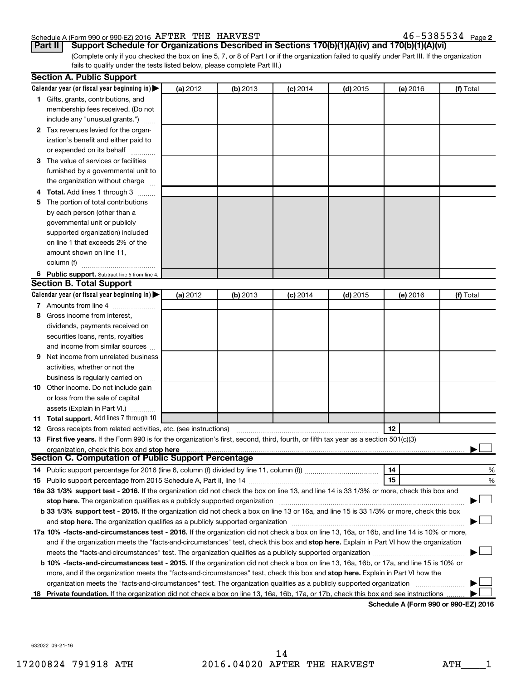#### Schedule A (Form 990 or 990-EZ) 2016 Page AFTER THE HARVEST 46-5385534

<u>46-5385534 Page2</u>

(Complete only if you checked the box on line 5, 7, or 8 of Part I or if the organization failed to qualify under Part III. If the organization **Part II Support Schedule for Organizations Described in Sections 170(b)(1)(A)(iv) and 170(b)(1)(A)(vi)**

fails to qualify under the tests listed below, please complete Part III.)

|   | <b>Section A. Public Support</b>                                                                                                               |          |          |            |            |          |           |
|---|------------------------------------------------------------------------------------------------------------------------------------------------|----------|----------|------------|------------|----------|-----------|
|   | Calendar year (or fiscal year beginning in)                                                                                                    | (a) 2012 | (b) 2013 | $(c)$ 2014 | $(d)$ 2015 | (e) 2016 | (f) Total |
|   | 1 Gifts, grants, contributions, and                                                                                                            |          |          |            |            |          |           |
|   | membership fees received. (Do not                                                                                                              |          |          |            |            |          |           |
|   | include any "unusual grants.")                                                                                                                 |          |          |            |            |          |           |
|   | 2 Tax revenues levied for the organ-                                                                                                           |          |          |            |            |          |           |
|   | ization's benefit and either paid to                                                                                                           |          |          |            |            |          |           |
|   | or expended on its behalf                                                                                                                      |          |          |            |            |          |           |
|   | 3 The value of services or facilities                                                                                                          |          |          |            |            |          |           |
|   | furnished by a governmental unit to                                                                                                            |          |          |            |            |          |           |
|   | the organization without charge                                                                                                                |          |          |            |            |          |           |
|   | 4 Total. Add lines 1 through 3                                                                                                                 |          |          |            |            |          |           |
| 5 | The portion of total contributions                                                                                                             |          |          |            |            |          |           |
|   | by each person (other than a                                                                                                                   |          |          |            |            |          |           |
|   | governmental unit or publicly                                                                                                                  |          |          |            |            |          |           |
|   | supported organization) included                                                                                                               |          |          |            |            |          |           |
|   | on line 1 that exceeds 2% of the                                                                                                               |          |          |            |            |          |           |
|   | amount shown on line 11,                                                                                                                       |          |          |            |            |          |           |
|   | column (f)                                                                                                                                     |          |          |            |            |          |           |
|   | 6 Public support. Subtract line 5 from line 4.                                                                                                 |          |          |            |            |          |           |
|   | <b>Section B. Total Support</b>                                                                                                                |          |          |            |            |          |           |
|   | Calendar year (or fiscal year beginning in)                                                                                                    | (a) 2012 | (b) 2013 | (c) 2014   | $(d)$ 2015 | (e) 2016 | (f) Total |
|   | 7 Amounts from line 4                                                                                                                          |          |          |            |            |          |           |
| 8 | Gross income from interest,                                                                                                                    |          |          |            |            |          |           |
|   | dividends, payments received on                                                                                                                |          |          |            |            |          |           |
|   | securities loans, rents, royalties                                                                                                             |          |          |            |            |          |           |
|   | and income from similar sources                                                                                                                |          |          |            |            |          |           |
| 9 | Net income from unrelated business                                                                                                             |          |          |            |            |          |           |
|   | activities, whether or not the                                                                                                                 |          |          |            |            |          |           |
|   | business is regularly carried on                                                                                                               |          |          |            |            |          |           |
|   | 10 Other income. Do not include gain                                                                                                           |          |          |            |            |          |           |
|   | or loss from the sale of capital                                                                                                               |          |          |            |            |          |           |
|   | assets (Explain in Part VI.)                                                                                                                   |          |          |            |            |          |           |
|   | <b>11 Total support.</b> Add lines 7 through 10                                                                                                |          |          |            |            |          |           |
|   | <b>12</b> Gross receipts from related activities, etc. (see instructions)                                                                      |          |          |            |            | 12       |           |
|   | 13 First five years. If the Form 990 is for the organization's first, second, third, fourth, or fifth tax year as a section 501(c)(3)          |          |          |            |            |          |           |
|   | organization, check this box and stop here                                                                                                     |          |          |            |            |          |           |
|   | <b>Section C. Computation of Public Support Percentage</b>                                                                                     |          |          |            |            |          |           |
|   |                                                                                                                                                |          |          |            |            | 14       | %         |
|   |                                                                                                                                                |          |          |            |            | 15       | %         |
|   | 16a 33 1/3% support test - 2016. If the organization did not check the box on line 13, and line 14 is 33 1/3% or more, check this box and      |          |          |            |            |          |           |
|   | stop here. The organization qualifies as a publicly supported organization                                                                     |          |          |            |            |          |           |
|   | b 33 1/3% support test - 2015. If the organization did not check a box on line 13 or 16a, and line 15 is 33 1/3% or more, check this box       |          |          |            |            |          |           |
|   |                                                                                                                                                |          |          |            |            |          |           |
|   | 17a 10% -facts-and-circumstances test - 2016. If the organization did not check a box on line 13, 16a, or 16b, and line 14 is 10% or more,     |          |          |            |            |          |           |
|   | and if the organization meets the "facts-and-circumstances" test, check this box and stop here. Explain in Part VI how the organization        |          |          |            |            |          |           |
|   |                                                                                                                                                |          |          |            |            |          |           |
|   | <b>b 10%</b> -facts-and-circumstances test - 2015. If the organization did not check a box on line 13, 16a, 16b, or 17a, and line 15 is 10% or |          |          |            |            |          |           |
|   | more, and if the organization meets the "facts-and-circumstances" test, check this box and <b>stop here.</b> Explain in Part VI how the        |          |          |            |            |          |           |
|   | organization meets the "facts-and-circumstances" test. The organization qualifies as a publicly supported organization                         |          |          |            |            |          |           |
|   | 18 Private foundation. If the organization did not check a box on line 13, 16a, 16b, 17a, or 17b, check this box and see instructions.         |          |          |            |            |          |           |

**Schedule A (Form 990 or 990-EZ) 2016**

632022 09-21-16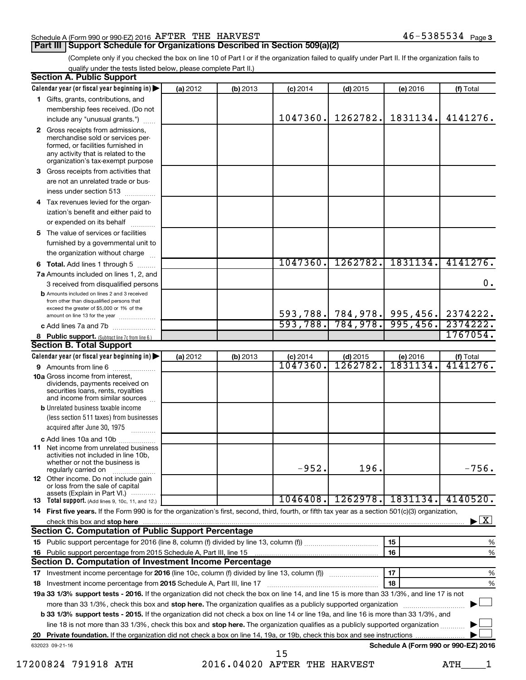#### Schedule A (Form 990 or 990-EZ) 2016 Page AFTER THE HARVEST 46-5385534

#### **Part III Support Schedule for Organizations Described in Section 509(a)(2)**

(Complete only if you checked the box on line 10 of Part I or if the organization failed to qualify under Part II. If the organization fails to qualify under the tests listed below, please complete Part II.)

| <b>Section A. Public Support</b>                                                                                                                                                         |          |          |                        |                            |                                      |                                          |
|------------------------------------------------------------------------------------------------------------------------------------------------------------------------------------------|----------|----------|------------------------|----------------------------|--------------------------------------|------------------------------------------|
| Calendar year (or fiscal year beginning in)                                                                                                                                              | (a) 2012 | (b) 2013 | $(c)$ 2014             | $(d)$ 2015                 | (e) 2016                             | (f) Total                                |
| 1 Gifts, grants, contributions, and                                                                                                                                                      |          |          |                        |                            |                                      |                                          |
| membership fees received. (Do not                                                                                                                                                        |          |          |                        |                            |                                      |                                          |
| include any "unusual grants.")                                                                                                                                                           |          |          | 1047360.               | 1262782.                   | 1831134.                             | 4141276.                                 |
| 2 Gross receipts from admissions,<br>merchandise sold or services per-<br>formed, or facilities furnished in<br>any activity that is related to the<br>organization's tax-exempt purpose |          |          |                        |                            |                                      |                                          |
| 3 Gross receipts from activities that                                                                                                                                                    |          |          |                        |                            |                                      |                                          |
| are not an unrelated trade or bus-                                                                                                                                                       |          |          |                        |                            |                                      |                                          |
| iness under section 513                                                                                                                                                                  |          |          |                        |                            |                                      |                                          |
| 4 Tax revenues levied for the organ-                                                                                                                                                     |          |          |                        |                            |                                      |                                          |
| ization's benefit and either paid to<br>or expended on its behalf                                                                                                                        |          |          |                        |                            |                                      |                                          |
| 5 The value of services or facilities                                                                                                                                                    |          |          |                        |                            |                                      |                                          |
| furnished by a governmental unit to                                                                                                                                                      |          |          |                        |                            |                                      |                                          |
| the organization without charge                                                                                                                                                          |          |          |                        |                            |                                      |                                          |
| 6 Total. Add lines 1 through 5                                                                                                                                                           |          |          | 1047360.               | 1262782.                   | 1831134.                             | 4141276.                                 |
| 7a Amounts included on lines 1, 2, and                                                                                                                                                   |          |          |                        |                            |                                      |                                          |
| 3 received from disqualified persons                                                                                                                                                     |          |          |                        |                            |                                      | 0.                                       |
| <b>b</b> Amounts included on lines 2 and 3 received<br>from other than disqualified persons that<br>exceed the greater of \$5,000 or 1% of the                                           |          |          |                        |                            |                                      |                                          |
| amount on line 13 for the year                                                                                                                                                           |          |          |                        | 593,788. 784,978. 995,456. |                                      | 2374222.                                 |
| c Add lines 7a and 7b                                                                                                                                                                    |          |          |                        | $593,788.$ 784,978.        | 995,456.                             | 2374222                                  |
| 8 Public support. (Subtract line 7c from line 6.)                                                                                                                                        |          |          |                        |                            |                                      | 1767054.                                 |
| <b>Section B. Total Support</b>                                                                                                                                                          |          |          |                        |                            |                                      |                                          |
| Calendar year (or fiscal year beginning in)                                                                                                                                              | (a) 2012 | (b) 2013 | $(c)$ 2014<br>1047360. | $(d)$ 2015<br>1262782      | (e) 2016<br>1831134.                 | (f) Total<br>4141276.                    |
| 9 Amounts from line 6                                                                                                                                                                    |          |          |                        |                            |                                      |                                          |
| <b>10a</b> Gross income from interest,<br>dividends, payments received on<br>securities loans, rents, royalties<br>and income from similar sources                                       |          |          |                        |                            |                                      |                                          |
| <b>b</b> Unrelated business taxable income                                                                                                                                               |          |          |                        |                            |                                      |                                          |
| (less section 511 taxes) from businesses                                                                                                                                                 |          |          |                        |                            |                                      |                                          |
| acquired after June 30, 1975<br>and and control of the second services.                                                                                                                  |          |          |                        |                            |                                      |                                          |
| c Add lines 10a and 10b                                                                                                                                                                  |          |          |                        |                            |                                      |                                          |
| <b>11</b> Net income from unrelated business<br>activities not included in line 10b.<br>whether or not the business is                                                                   |          |          | $-952.$                | 196.                       |                                      | $-756.$                                  |
| regularly carried on<br><b>12</b> Other income. Do not include gain                                                                                                                      |          |          |                        |                            |                                      |                                          |
| or loss from the sale of capital                                                                                                                                                         |          |          |                        |                            |                                      |                                          |
| assets (Explain in Part VI.) $\cdots$<br><b>13</b> Total support. (Add lines 9, 10c, 11, and 12.)                                                                                        |          |          | 1046408.               | 1262978.                   | 1831134.                             | 4140520.                                 |
| 14 First five years. If the Form 990 is for the organization's first, second, third, fourth, or fifth tax year as a section 501(c)(3) organization,                                      |          |          |                        |                            |                                      |                                          |
| check this box and stop here                                                                                                                                                             |          |          |                        |                            |                                      | $\blacktriangleright$ $\boxed{\text{X}}$ |
| <b>Section C. Computation of Public Support Percentage</b>                                                                                                                               |          |          |                        |                            |                                      |                                          |
|                                                                                                                                                                                          |          |          |                        |                            | 15                                   | %                                        |
|                                                                                                                                                                                          |          |          |                        |                            | 16                                   | $\%$                                     |
| Section D. Computation of Investment Income Percentage                                                                                                                                   |          |          |                        |                            |                                      |                                          |
| 17 Investment income percentage for 2016 (line 10c, column (f) divided by line 13, column (f))                                                                                           |          |          |                        |                            | 17                                   | %                                        |
| 18 Investment income percentage from 2015 Schedule A, Part III, line 17                                                                                                                  |          |          |                        |                            | 18                                   | %                                        |
| 19a 33 1/3% support tests - 2016. If the organization did not check the box on line 14, and line 15 is more than 33 1/3%, and line 17 is not                                             |          |          |                        |                            |                                      |                                          |
| more than 33 1/3%, check this box and stop here. The organization qualifies as a publicly supported organization                                                                         |          |          |                        |                            |                                      |                                          |
| b 33 1/3% support tests - 2015. If the organization did not check a box on line 14 or line 19a, and line 16 is more than 33 1/3%, and                                                    |          |          |                        |                            |                                      |                                          |
| line 18 is not more than 33 1/3%, check this box and stop here. The organization qualifies as a publicly supported organization                                                          |          |          |                        |                            |                                      |                                          |
|                                                                                                                                                                                          |          |          |                        |                            |                                      |                                          |
| 632023 09-21-16                                                                                                                                                                          |          |          |                        |                            | Schedule A (Form 990 or 990-EZ) 2016 |                                          |
|                                                                                                                                                                                          |          |          | 15                     |                            |                                      |                                          |

17200824 791918 ATH 2016.04020 AFTER THE HARVEST ATH\_\_\_\_1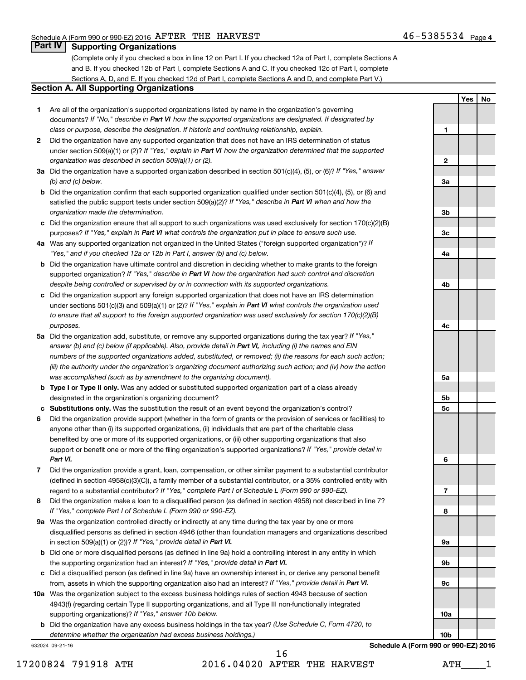**1**

**2**

**3a**

**3b**

**3c**

**4a**

**4b**

**4c**

**5a**

**5b 5c**

**6**

**7**

**8**

**9a**

**9b**

**9c**

**10a**

**Yes No**

### **Part IV Supporting Organizations**

(Complete only if you checked a box in line 12 on Part I. If you checked 12a of Part I, complete Sections A and B. If you checked 12b of Part I, complete Sections A and C. If you checked 12c of Part I, complete Sections A, D, and E. If you checked 12d of Part I, complete Sections A and D, and complete Part V.)

#### **Section A. All Supporting Organizations**

- **1** Are all of the organization's supported organizations listed by name in the organization's governing documents? If "No," describe in Part VI how the supported organizations are designated. If designated by *class or purpose, describe the designation. If historic and continuing relationship, explain.*
- **2** Did the organization have any supported organization that does not have an IRS determination of status under section 509(a)(1) or (2)? If "Yes," explain in Part VI how the organization determined that the supported *organization was described in section 509(a)(1) or (2).*
- **3a** Did the organization have a supported organization described in section 501(c)(4), (5), or (6)? If "Yes," answer *(b) and (c) below.*
- **b** Did the organization confirm that each supported organization qualified under section 501(c)(4), (5), or (6) and satisfied the public support tests under section 509(a)(2)? If "Yes," describe in Part VI when and how the *organization made the determination.*
- **c** Did the organization ensure that all support to such organizations was used exclusively for section 170(c)(2)(B) purposes? If "Yes," explain in Part VI what controls the organization put in place to ensure such use.
- **4 a** *If* Was any supported organization not organized in the United States ("foreign supported organization")? *"Yes," and if you checked 12a or 12b in Part I, answer (b) and (c) below.*
- **b** Did the organization have ultimate control and discretion in deciding whether to make grants to the foreign supported organization? If "Yes," describe in Part VI how the organization had such control and discretion *despite being controlled or supervised by or in connection with its supported organizations.*
- **c** Did the organization support any foreign supported organization that does not have an IRS determination under sections 501(c)(3) and 509(a)(1) or (2)? If "Yes," explain in Part VI what controls the organization used *to ensure that all support to the foreign supported organization was used exclusively for section 170(c)(2)(B) purposes.*
- **5a** Did the organization add, substitute, or remove any supported organizations during the tax year? If "Yes," answer (b) and (c) below (if applicable). Also, provide detail in Part VI, including (i) the names and EIN *numbers of the supported organizations added, substituted, or removed; (ii) the reasons for each such action; (iii) the authority under the organization's organizing document authorizing such action; and (iv) how the action was accomplished (such as by amendment to the organizing document).*
- **b** Type I or Type II only. Was any added or substituted supported organization part of a class already designated in the organization's organizing document?
- **c Substitutions only.**  Was the substitution the result of an event beyond the organization's control?
- **6** Did the organization provide support (whether in the form of grants or the provision of services or facilities) to support or benefit one or more of the filing organization's supported organizations? If "Yes," provide detail in anyone other than (i) its supported organizations, (ii) individuals that are part of the charitable class benefited by one or more of its supported organizations, or (iii) other supporting organizations that also *Part VI.*
- **7** Did the organization provide a grant, loan, compensation, or other similar payment to a substantial contributor regard to a substantial contributor? If "Yes," complete Part I of Schedule L (Form 990 or 990-EZ). (defined in section 4958(c)(3)(C)), a family member of a substantial contributor, or a 35% controlled entity with
- **8** Did the organization make a loan to a disqualified person (as defined in section 4958) not described in line 7? *If "Yes," complete Part I of Schedule L (Form 990 or 990-EZ).*
- **9 a** Was the organization controlled directly or indirectly at any time during the tax year by one or more in section 509(a)(1) or (2))? If "Yes," provide detail in Part VI. disqualified persons as defined in section 4946 (other than foundation managers and organizations described
- **b** Did one or more disqualified persons (as defined in line 9a) hold a controlling interest in any entity in which the supporting organization had an interest? If "Yes," provide detail in Part VI.
- **c** Did a disqualified person (as defined in line 9a) have an ownership interest in, or derive any personal benefit from, assets in which the supporting organization also had an interest? If "Yes," provide detail in Part VI.
- **10 a** Was the organization subject to the excess business holdings rules of section 4943 because of section supporting organizations)? If "Yes," answer 10b below. 4943(f) (regarding certain Type II supporting organizations, and all Type III non-functionally integrated
	- **b** Did the organization have any excess business holdings in the tax year? (Use Schedule C, Form 4720, to *determine whether the organization had excess business holdings.)*

632024 09-21-16

17200824 791918 ATH 2016.04020 AFTER THE HARVEST ATH\_\_\_\_1 16

**10b Schedule A (Form 990 or 990-EZ) 2016**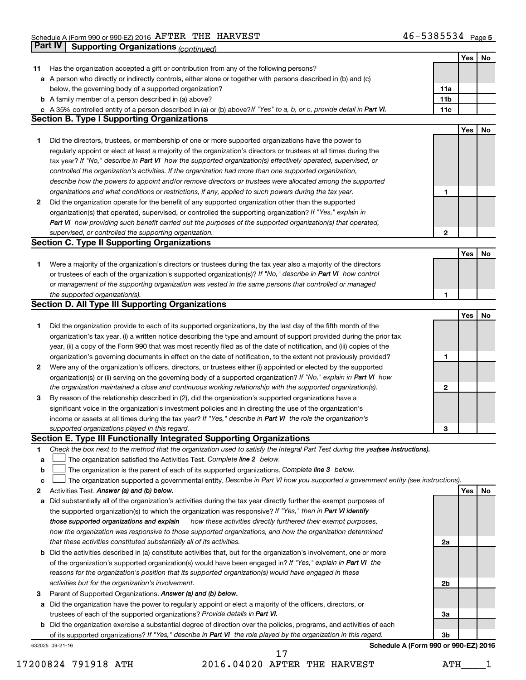|             | Part IV<br><b>Supporting Organizations (continued)</b>                                                                          |                 |     |    |
|-------------|---------------------------------------------------------------------------------------------------------------------------------|-----------------|-----|----|
|             |                                                                                                                                 |                 | Yes | No |
| 11          | Has the organization accepted a gift or contribution from any of the following persons?                                         |                 |     |    |
|             | a A person who directly or indirectly controls, either alone or together with persons described in (b) and (c)                  |                 |     |    |
|             | below, the governing body of a supported organization?                                                                          | 11a             |     |    |
|             | <b>b</b> A family member of a person described in (a) above?                                                                    | 11 <sub>b</sub> |     |    |
|             | c A 35% controlled entity of a person described in (a) or (b) above? If "Yes" to a, b, or c, provide detail in Part VI.         | 11c             |     |    |
|             | <b>Section B. Type I Supporting Organizations</b>                                                                               |                 |     |    |
|             |                                                                                                                                 |                 | Yes | No |
|             |                                                                                                                                 |                 |     |    |
| 1           | Did the directors, trustees, or membership of one or more supported organizations have the power to                             |                 |     |    |
|             | regularly appoint or elect at least a majority of the organization's directors or trustees at all times during the              |                 |     |    |
|             | tax year? If "No," describe in Part VI how the supported organization(s) effectively operated, supervised, or                   |                 |     |    |
|             | controlled the organization's activities. If the organization had more than one supported organization,                         |                 |     |    |
|             | describe how the powers to appoint and/or remove directors or trustees were allocated among the supported                       |                 |     |    |
|             | organizations and what conditions or restrictions, if any, applied to such powers during the tax year.                          | 1               |     |    |
| 2           | Did the organization operate for the benefit of any supported organization other than the supported                             |                 |     |    |
|             | organization(s) that operated, supervised, or controlled the supporting organization? If "Yes," explain in                      |                 |     |    |
|             | Part VI how providing such benefit carried out the purposes of the supported organization(s) that operated,                     |                 |     |    |
|             | supervised, or controlled the supporting organization.                                                                          | 2               |     |    |
|             | <b>Section C. Type II Supporting Organizations</b>                                                                              |                 |     |    |
|             |                                                                                                                                 |                 | Yes | No |
| 1           | Were a majority of the organization's directors or trustees during the tax year also a majority of the directors                |                 |     |    |
|             | or trustees of each of the organization's supported organization(s)? If "No," describe in Part VI how control                   |                 |     |    |
|             | or management of the supporting organization was vested in the same persons that controlled or managed                          |                 |     |    |
|             | the supported organization(s).                                                                                                  | 1               |     |    |
|             | <b>Section D. All Type III Supporting Organizations</b>                                                                         |                 |     |    |
|             |                                                                                                                                 |                 | Yes | No |
|             |                                                                                                                                 |                 |     |    |
| 1           | Did the organization provide to each of its supported organizations, by the last day of the fifth month of the                  |                 |     |    |
|             | organization's tax year, (i) a written notice describing the type and amount of support provided during the prior tax           |                 |     |    |
|             | year, (ii) a copy of the Form 990 that was most recently filed as of the date of notification, and (iii) copies of the          |                 |     |    |
|             | organization's governing documents in effect on the date of notification, to the extent not previously provided?                | 1               |     |    |
| 2           | Were any of the organization's officers, directors, or trustees either (i) appointed or elected by the supported                |                 |     |    |
|             | organization(s) or (ii) serving on the governing body of a supported organization? If "No," explain in Part VI how              |                 |     |    |
|             | the organization maintained a close and continuous working relationship with the supported organization(s).                     | 2               |     |    |
| 3           | By reason of the relationship described in (2), did the organization's supported organizations have a                           |                 |     |    |
|             | significant voice in the organization's investment policies and in directing the use of the organization's                      |                 |     |    |
|             | income or assets at all times during the tax year? If "Yes," describe in Part VI the role the organization's                    |                 |     |    |
|             | supported organizations played in this regard.                                                                                  | з               |     |    |
|             | Section E. Type III Functionally Integrated Supporting Organizations                                                            |                 |     |    |
| 1           | Check the box next to the method that the organization used to satisfy the Integral Part Test during the yea(see instructions). |                 |     |    |
| a           | The organization satisfied the Activities Test. Complete line 2 below.                                                          |                 |     |    |
| $\mathbf b$ | The organization is the parent of each of its supported organizations. Complete line 3 below.                                   |                 |     |    |
| c           | The organization supported a governmental entity. Describe in Part VI how you supported a government entity (see instructions). |                 |     |    |
| 2           | Activities Test. Answer (a) and (b) below.                                                                                      |                 | Yes | No |
| а           | Did substantially all of the organization's activities during the tax year directly further the exempt purposes of              |                 |     |    |
|             | the supported organization(s) to which the organization was responsive? If "Yes," then in Part VI identify                      |                 |     |    |
|             | those supported organizations and explain<br>how these activities directly furthered their exempt purposes,                     |                 |     |    |
|             | how the organization was responsive to those supported organizations, and how the organization determined                       |                 |     |    |
|             | that these activities constituted substantially all of its activities.                                                          | 2a              |     |    |
|             |                                                                                                                                 |                 |     |    |
|             | b Did the activities described in (a) constitute activities that, but for the organization's involvement, one or more           |                 |     |    |
|             | of the organization's supported organization(s) would have been engaged in? If "Yes," explain in Part VI the                    |                 |     |    |
|             | reasons for the organization's position that its supported organization(s) would have engaged in these                          |                 |     |    |
|             | activities but for the organization's involvement.                                                                              | 2b              |     |    |
| З           | Parent of Supported Organizations. Answer (a) and (b) below.                                                                    |                 |     |    |
| а           | Did the organization have the power to regularly appoint or elect a majority of the officers, directors, or                     |                 |     |    |
|             | trustees of each of the supported organizations? Provide details in Part VI.                                                    | За              |     |    |
|             | <b>b</b> Did the organization exercise a substantial degree of direction over the policies, programs, and activities of each    |                 |     |    |
|             | of its supported organizations? If "Yes," describe in Part VI the role played by the organization in this regard.               | 3b              |     |    |
|             | Schedule A (Form 990 or 990-EZ) 2016<br>632025 09-21-16                                                                         |                 |     |    |

17200824 791918 ATH 2016.04020 AFTER THE HARVEST ATH\_\_\_\_1 17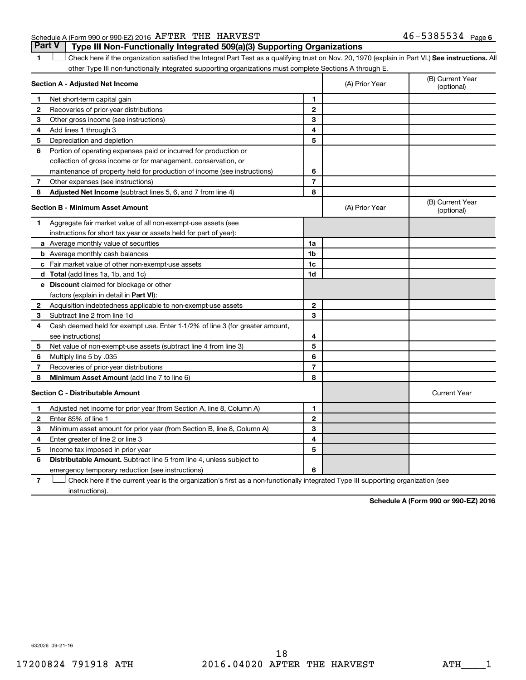#### Schedule A (Form 990 or 990-EZ) 2016 Page AFTER THE HARVEST 46-5385534

1 **Letter See instructions.** All Check here if the organization satisfied the Integral Part Test as a qualifying trust on Nov. 20, 1970 (explain in Part VI.) See instructions. All other Type III non-functionally integrated supporting organizations must complete Sections A through E. **Part V Type III Non-Functionally Integrated 509(a)(3) Supporting Organizations** 

|   | Section A - Adjusted Net Income                                              |                | (A) Prior Year | (B) Current Year<br>(optional) |
|---|------------------------------------------------------------------------------|----------------|----------------|--------------------------------|
| 1 | Net short-term capital gain                                                  | 1              |                |                                |
| 2 | Recoveries of prior-year distributions                                       | $\overline{2}$ |                |                                |
| з | Other gross income (see instructions)                                        | 3              |                |                                |
| 4 | Add lines 1 through 3                                                        | 4              |                |                                |
| 5 | Depreciation and depletion                                                   | 5              |                |                                |
| 6 | Portion of operating expenses paid or incurred for production or             |                |                |                                |
|   | collection of gross income or for management, conservation, or               |                |                |                                |
|   | maintenance of property held for production of income (see instructions)     | 6              |                |                                |
| 7 | Other expenses (see instructions)                                            | $\overline{7}$ |                |                                |
| 8 | Adjusted Net Income (subtract lines 5, 6, and 7 from line 4)                 | 8              |                |                                |
|   | <b>Section B - Minimum Asset Amount</b>                                      |                | (A) Prior Year | (B) Current Year<br>(optional) |
| 1 | Aggregate fair market value of all non-exempt-use assets (see                |                |                |                                |
|   | instructions for short tax year or assets held for part of year):            |                |                |                                |
|   | a Average monthly value of securities                                        | 1a             |                |                                |
|   | <b>b</b> Average monthly cash balances                                       | 1b             |                |                                |
|   | c Fair market value of other non-exempt-use assets                           | 1 <sub>c</sub> |                |                                |
|   | d Total (add lines 1a, 1b, and 1c)                                           | 1d             |                |                                |
|   | e Discount claimed for blockage or other                                     |                |                |                                |
|   | factors (explain in detail in <b>Part VI</b> ):                              |                |                |                                |
| 2 | Acquisition indebtedness applicable to non-exempt-use assets                 | $\mathbf{2}$   |                |                                |
| 3 | Subtract line 2 from line 1d                                                 | 3              |                |                                |
| 4 | Cash deemed held for exempt use. Enter 1-1/2% of line 3 (for greater amount, |                |                |                                |
|   | see instructions)                                                            | 4              |                |                                |
| 5 | Net value of non-exempt-use assets (subtract line 4 from line 3)             | 5              |                |                                |
| 6 | Multiply line 5 by .035                                                      | 6              |                |                                |
| 7 | Recoveries of prior-year distributions                                       | $\overline{7}$ |                |                                |
| 8 | <b>Minimum Asset Amount (add line 7 to line 6)</b>                           | 8              |                |                                |
|   | <b>Section C - Distributable Amount</b>                                      |                |                | <b>Current Year</b>            |
| 1 | Adjusted net income for prior year (from Section A, line 8, Column A)        | $\mathbf{1}$   |                |                                |
| 2 | Enter 85% of line 1                                                          | $\mathbf{2}$   |                |                                |
| З | Minimum asset amount for prior year (from Section B, line 8, Column A)       | 3              |                |                                |
| 4 | Enter greater of line 2 or line 3                                            | 4              |                |                                |
| 5 | Income tax imposed in prior year                                             | 5              |                |                                |
| 6 | <b>Distributable Amount.</b> Subtract line 5 from line 4, unless subject to  |                |                |                                |
|   | emergency temporary reduction (see instructions)                             | 6              |                |                                |
|   |                                                                              |                |                |                                |

**7** Check here if the current year is the organization's first as a non-functionally integrated Type III supporting organization (see † instructions).

**Schedule A (Form 990 or 990-EZ) 2016**

632026 09-21-16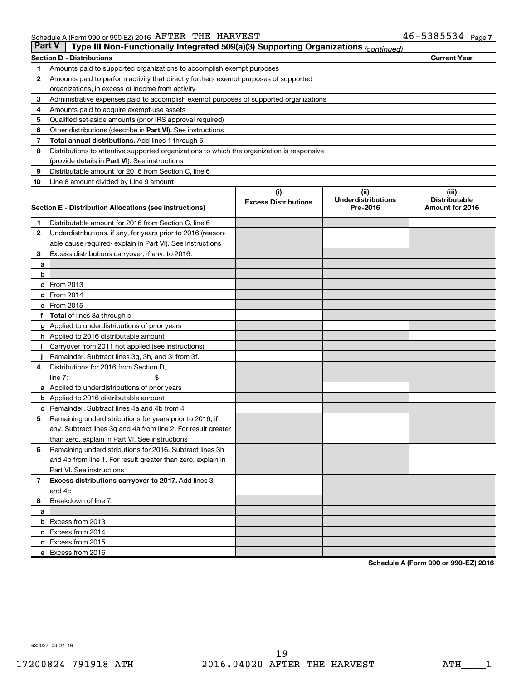| <b>Part V</b><br>Type III Non-Functionally Integrated 509(a)(3) Supporting Organizations (continued) |                                                                                            |                             |                                       |                                         |  |  |  |
|------------------------------------------------------------------------------------------------------|--------------------------------------------------------------------------------------------|-----------------------------|---------------------------------------|-----------------------------------------|--|--|--|
|                                                                                                      | <b>Section D - Distributions</b>                                                           |                             |                                       | <b>Current Year</b>                     |  |  |  |
| 1                                                                                                    | Amounts paid to supported organizations to accomplish exempt purposes                      |                             |                                       |                                         |  |  |  |
| 2                                                                                                    | Amounts paid to perform activity that directly furthers exempt purposes of supported       |                             |                                       |                                         |  |  |  |
|                                                                                                      | organizations, in excess of income from activity                                           |                             |                                       |                                         |  |  |  |
| 3                                                                                                    | Administrative expenses paid to accomplish exempt purposes of supported organizations      |                             |                                       |                                         |  |  |  |
| 4                                                                                                    | Amounts paid to acquire exempt-use assets                                                  |                             |                                       |                                         |  |  |  |
| 5                                                                                                    | Qualified set-aside amounts (prior IRS approval required)                                  |                             |                                       |                                         |  |  |  |
| 6                                                                                                    | Other distributions (describe in Part VI). See instructions                                |                             |                                       |                                         |  |  |  |
| 7                                                                                                    | Total annual distributions. Add lines 1 through 6                                          |                             |                                       |                                         |  |  |  |
| 8                                                                                                    | Distributions to attentive supported organizations to which the organization is responsive |                             |                                       |                                         |  |  |  |
|                                                                                                      | (provide details in Part VI). See instructions                                             |                             |                                       |                                         |  |  |  |
| 9                                                                                                    | Distributable amount for 2016 from Section C, line 6                                       |                             |                                       |                                         |  |  |  |
| 10                                                                                                   | Line 8 amount divided by Line 9 amount                                                     |                             |                                       |                                         |  |  |  |
|                                                                                                      |                                                                                            | (i)                         | (ii)                                  | (iii)                                   |  |  |  |
|                                                                                                      | Section E - Distribution Allocations (see instructions)                                    | <b>Excess Distributions</b> | <b>Underdistributions</b><br>Pre-2016 | <b>Distributable</b><br>Amount for 2016 |  |  |  |
|                                                                                                      |                                                                                            |                             |                                       |                                         |  |  |  |
| 1                                                                                                    | Distributable amount for 2016 from Section C, line 6                                       |                             |                                       |                                         |  |  |  |
| 2                                                                                                    | Underdistributions, if any, for years prior to 2016 (reason-                               |                             |                                       |                                         |  |  |  |
|                                                                                                      | able cause required- explain in Part VI). See instructions                                 |                             |                                       |                                         |  |  |  |
| 3                                                                                                    | Excess distributions carryover, if any, to 2016:                                           |                             |                                       |                                         |  |  |  |
| а                                                                                                    |                                                                                            |                             |                                       |                                         |  |  |  |
| b                                                                                                    |                                                                                            |                             |                                       |                                         |  |  |  |
|                                                                                                      | c From 2013                                                                                |                             |                                       |                                         |  |  |  |
|                                                                                                      | d From 2014                                                                                |                             |                                       |                                         |  |  |  |
|                                                                                                      | e From 2015                                                                                |                             |                                       |                                         |  |  |  |
| f                                                                                                    | <b>Total</b> of lines 3a through e                                                         |                             |                                       |                                         |  |  |  |
|                                                                                                      | <b>g</b> Applied to underdistributions of prior years                                      |                             |                                       |                                         |  |  |  |
|                                                                                                      | <b>h</b> Applied to 2016 distributable amount                                              |                             |                                       |                                         |  |  |  |
|                                                                                                      | Carryover from 2011 not applied (see instructions)                                         |                             |                                       |                                         |  |  |  |
|                                                                                                      | Remainder. Subtract lines 3g, 3h, and 3i from 3f.                                          |                             |                                       |                                         |  |  |  |
| 4                                                                                                    | Distributions for 2016 from Section D,                                                     |                             |                                       |                                         |  |  |  |
|                                                                                                      | line $7:$                                                                                  |                             |                                       |                                         |  |  |  |
|                                                                                                      | a Applied to underdistributions of prior years                                             |                             |                                       |                                         |  |  |  |
|                                                                                                      | <b>b</b> Applied to 2016 distributable amount                                              |                             |                                       |                                         |  |  |  |
| с                                                                                                    | Remainder. Subtract lines 4a and 4b from 4                                                 |                             |                                       |                                         |  |  |  |
| 5                                                                                                    | Remaining underdistributions for years prior to 2016, if                                   |                             |                                       |                                         |  |  |  |
|                                                                                                      | any. Subtract lines 3g and 4a from line 2. For result greater                              |                             |                                       |                                         |  |  |  |
|                                                                                                      | than zero, explain in Part VI. See instructions                                            |                             |                                       |                                         |  |  |  |
| 6                                                                                                    | Remaining underdistributions for 2016. Subtract lines 3h                                   |                             |                                       |                                         |  |  |  |
|                                                                                                      | and 4b from line 1. For result greater than zero, explain in                               |                             |                                       |                                         |  |  |  |
|                                                                                                      | Part VI. See instructions                                                                  |                             |                                       |                                         |  |  |  |
| $\mathbf{7}$                                                                                         | Excess distributions carryover to 2017. Add lines 3j                                       |                             |                                       |                                         |  |  |  |
|                                                                                                      | and 4c                                                                                     |                             |                                       |                                         |  |  |  |
| 8                                                                                                    | Breakdown of line 7:                                                                       |                             |                                       |                                         |  |  |  |
| a                                                                                                    | <b>b</b> Excess from 2013                                                                  |                             |                                       |                                         |  |  |  |
|                                                                                                      | c Excess from 2014                                                                         |                             |                                       |                                         |  |  |  |
|                                                                                                      | d Excess from 2015                                                                         |                             |                                       |                                         |  |  |  |
|                                                                                                      | e Excess from 2016                                                                         |                             |                                       |                                         |  |  |  |
|                                                                                                      |                                                                                            |                             |                                       |                                         |  |  |  |

**Schedule A (Form 990 or 990-EZ) 2016**

632027 09-21-16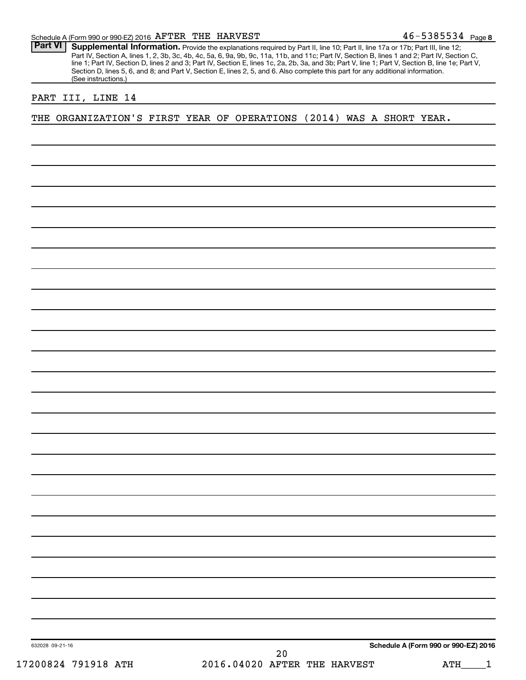46-5385534 Page 8

Part VI | Supplemental Information. Provide the explanations required by Part II, line 10; Part II, line 17a or 17b; Part III, line 12; Part IV, Section A, lines 1, 2, 3b, 3c, 4b, 4c, 5a, 6, 9a, 9b, 9c, 11a, 11b, and 11c; Part IV, Section B, lines 1 and 2; Part IV, Section C, line 1; Part IV, Section D, lines 2 and 3; Part IV, Section E, lines 1c, 2a, 2b, 3a, and 3b; Part V, line 1; Part V, Section B, line 1e; Part V, Section D, lines 5, 6, and 8; and Part V, Section E, lines 2, 5, and 6. Also complete this part for any additional information. (See instructions.)

#### PART III, LINE 14

THE ORGANIZATION'S FIRST YEAR OF OPERATIONS (2014) WAS A SHORT YEAR.

632028 09-21-16

**Schedule A (Form 990 or 990-EZ) 2016**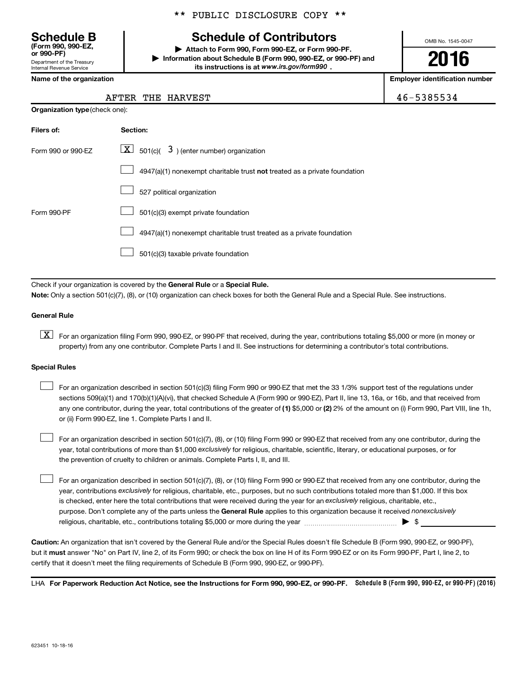Department of the Treasury Internal Revenue Service **(Form 990, 990-EZ,**

**Organization type** (check one):

#### \*\* PUBLIC DISCLOSURE COPY \*\*

## **Schedule B Schedule of Contributors**

**or 990-PF) | Attach to Form 990, Form 990-EZ, or Form 990-PF. | Information about Schedule B (Form 990, 990-EZ, or 990-PF) and** its instructions is at www.irs.gov/form990.

OMB No. 1545-0047

**2016**

**Name of the organization Employer identification number**

#### AFTER THE HARVEST **ALCORED 2012 12:00 12:00 12:00 12:00 12:00 146-5385534**

| Filers of:         | Section:                                                                           |
|--------------------|------------------------------------------------------------------------------------|
| Form 990 or 990-EZ | $ \mathbf{X} $ 501(c)( 3) (enter number) organization                              |
|                    | $4947(a)(1)$ nonexempt charitable trust <b>not</b> treated as a private foundation |
|                    | 527 political organization                                                         |
| Form 990-PF        | 501(c)(3) exempt private foundation                                                |
|                    | 4947(a)(1) nonexempt charitable trust treated as a private foundation              |
|                    | 501(c)(3) taxable private foundation                                               |

Check if your organization is covered by the General Rule or a Special Rule.

**Note:**  Only a section 501(c)(7), (8), or (10) organization can check boxes for both the General Rule and a Special Rule. See instructions.

#### **General Rule**

**K** For an organization filing Form 990, 990-EZ, or 990-PF that received, during the year, contributions totaling \$5,000 or more (in money or property) from any one contributor. Complete Parts I and II. See instructions for determining a contributor's total contributions.

#### **Special Rules**

 $\Box$ 

any one contributor, during the year, total contributions of the greater of **(1)** \$5,000 or **(2)** 2% of the amount on (i) Form 990, Part VIII, line 1h, For an organization described in section 501(c)(3) filing Form 990 or 990-EZ that met the 33 1/3% support test of the regulations under sections 509(a)(1) and 170(b)(1)(A)(vi), that checked Schedule A (Form 990 or 990-EZ), Part II, line 13, 16a, or 16b, and that received from or (ii) Form 990-EZ, line 1. Complete Parts I and II.  $\Box$ 

year, total contributions of more than \$1,000 *exclusively* for religious, charitable, scientific, literary, or educational purposes, or for For an organization described in section 501(c)(7), (8), or (10) filing Form 990 or 990-EZ that received from any one contributor, during the the prevention of cruelty to children or animals. Complete Parts I, II, and III.  $\Box$ 

purpose. Don't complete any of the parts unless the General Rule applies to this organization because it received nonexclusively year, contributions exclusively for religious, charitable, etc., purposes, but no such contributions totaled more than \$1,000. If this box is checked, enter here the total contributions that were received during the year for an exclusively religious, charitable, etc., For an organization described in section 501(c)(7), (8), or (10) filing Form 990 or 990-EZ that received from any one contributor, during the religious, charitable, etc., contributions totaling \$5,000 or more during the year  $\ldots$  $\ldots$  $\ldots$  $\ldots$  $\ldots$  $\ldots$ 

**Caution:**  An organization that isn't covered by the General Rule and/or the Special Rules doesn't file Schedule B (Form 990, 990-EZ, or 990-PF),  **must** but it answer "No" on Part IV, line 2, of its Form 990; or check the box on line H of its Form 990-EZ or on its Form 990-PF, Part I, line 2, to certify that it doesn't meet the filing requirements of Schedule B (Form 990, 990-EZ, or 990-PF).

LHA For Paperwork Reduction Act Notice, see the Instructions for Form 990, 990-EZ, or 990-PF. Schedule B (Form 990, 990-EZ, or 990-PF) (2016)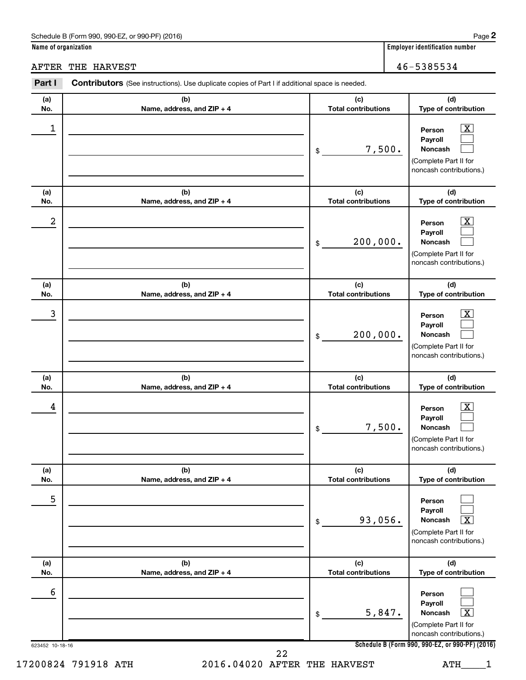**Name of organization Employer identification number**

AFTER THE HARVEST **ALCORED ASSESSMENT ASSESSMENT ASSESSMENT ASSESSMENT ASSESSMENT ASSESSMENT ASSESSMENT ASSESSMENT ASSESSMENT ASSESSMENT ASSESSMENT ASSESSMENT ASSESSMENT ASSESSMENT ASSESSMENT ASSESSMENT ASSESSMENT ASSESSME** 

#### 623452 10-18-16 **Schedule B (Form 990, 990-EZ, or 990-PF) (2016) (a) No. (b) Name, address, and ZIP + 4 (c) Total contributions (d) Type of contribution Person Payroll Noncash (a) No. (b) Name, address, and ZIP + 4 (c) Total contributions (d) Type of contribution Person Payroll Noncash (a) No. (b) Name, address, and ZIP + 4 (c) Total contributions (d) Type of contribution Person Payroll Noncash (a) No. (b) Name, address, and ZIP + 4 (c) Total contributions (d) Type of contribution Person Payroll Noncash (a) No. (b) Name, address, and ZIP + 4 (c) Total contributions (d) Type of contribution Person Payroll Noncash (a) No. (b) Name, address, and ZIP + 4 (c) Total contributions (d) Type of contribution Person Payroll Noncash Part I** Contributors (See instructions). Use duplicate copies of Part I if additional space is needed. \$ (Complete Part II for noncash contributions.) \$ (Complete Part II for noncash contributions.) \$ (Complete Part II for noncash contributions.) \$ (Complete Part II for noncash contributions.) \$ (Complete Part II for noncash contributions.) \$ (Complete Part II for noncash contributions.)  $\lfloor x \rfloor$  $\Box$  $\Box$  $\boxed{\textbf{X}}$  $\Box$  $\Box$  $\boxed{\textbf{X}}$  $\Box$  $\Box$  $\boxed{\textbf{X}}$  $\Box$  $\Box$  $\Box$  $\Box$  $\boxed{\text{X}}$  $\Box$  $\Box$  $\boxed{\textbf{X}}$  $\begin{array}{|c|c|c|c|c|}\hline \ \text{1} & \text{Person} & \text{X} \ \hline \end{array}$ 7,500.  $2$  Person  $\overline{\text{X}}$ 200,000.  $\begin{array}{|c|c|c|c|c|c|}\hline \text{3} & \text{Person} & \text{X} \ \hline \end{array}$ 200,000.  $\begin{array}{|c|c|c|c|c|}\hline \text{4} & \text{Person} & \text{\textbf{X}}\ \hline \end{array}$ 7,500. 5 93,056. X 6  $5,847.$ 17200824 791918 ATH 2016.04020 AFTER THE HARVEST ATH 1 22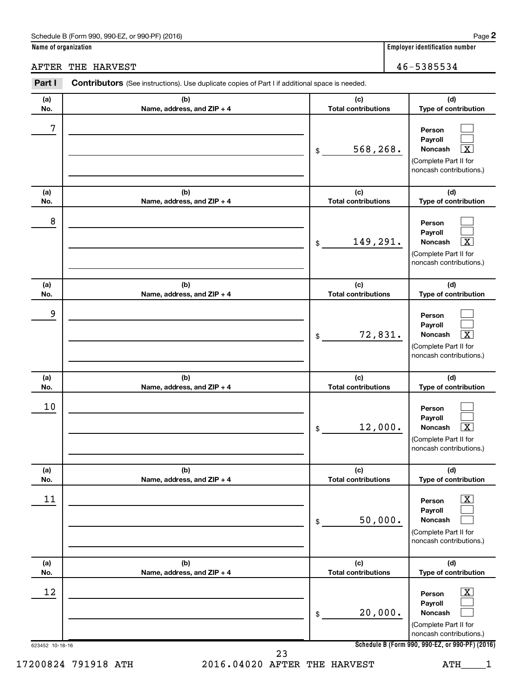**Name of organization Employer identification number**

AFTER THE HARVEST 46-5385534

| Part I          | Contributors (See instructions). Use duplicate copies of Part I if additional space is needed. |                                   |                                                                                                             |
|-----------------|------------------------------------------------------------------------------------------------|-----------------------------------|-------------------------------------------------------------------------------------------------------------|
| (a)<br>No.      | (b)<br>Name, address, and ZIP + 4                                                              | (c)<br><b>Total contributions</b> | (d)<br>Type of contribution                                                                                 |
| 7               |                                                                                                | 568,268.<br>\$                    | Person<br>Payroll<br>Noncash<br>х<br>(Complete Part II for<br>noncash contributions.)                       |
| (a)<br>No.      | (b)<br>Name, address, and ZIP + 4                                                              | (c)<br><b>Total contributions</b> | (d)<br>Type of contribution                                                                                 |
| 8               |                                                                                                | 149,291.<br>\$                    | Person<br>Payroll<br>Noncash<br>$\overline{\text{X}}$<br>(Complete Part II for<br>noncash contributions.)   |
| (a)<br>No.      | (b)<br>Name, address, and ZIP + 4                                                              | (c)<br><b>Total contributions</b> | (d)<br>Type of contribution                                                                                 |
| 9               |                                                                                                | 72,831.<br>\$                     | Person<br>Payroll<br>$\overline{\textbf{x}}$<br>Noncash<br>(Complete Part II for<br>noncash contributions.) |
| (a)<br>No.      | (b)<br>Name, address, and ZIP + 4                                                              | (c)<br><b>Total contributions</b> | (d)<br>Type of contribution                                                                                 |
| 10              |                                                                                                | 12,000.<br>\$                     | Person<br>Payroll<br>$\overline{\textbf{X}}$<br>Noncash<br>(Complete Part II for<br>noncash contributions.) |
| (a)<br>No.      | (b)<br>Name, address, and ZIP + 4                                                              | (c)<br><b>Total contributions</b> | (d)<br>Type of contribution                                                                                 |
| 11              |                                                                                                | 50,000.<br>\$                     | $\overline{\text{X}}$<br>Person<br>Payroll<br>Noncash<br>(Complete Part II for<br>noncash contributions.)   |
| (a)<br>No.      | (b)<br>Name, address, and ZIP + 4                                                              | (c)<br><b>Total contributions</b> | (d)<br>Type of contribution                                                                                 |
| 12              |                                                                                                | 20,000.<br>\$                     | $\overline{\text{X}}$<br>Person<br>Payroll<br>Noncash<br>(Complete Part II for<br>noncash contributions.)   |
| 623452 10-18-16 | 23                                                                                             |                                   | Schedule B (Form 990, 990-EZ, or 990-PF) (2016)                                                             |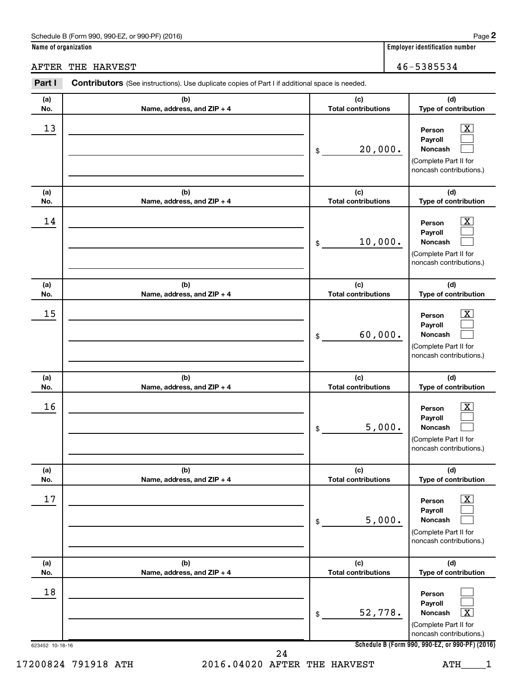**Name of organization Employer identification number**

AFTER THE HARVEST 46-5385534

| (a)        | (b)                               | (c)                               | (d)                                                                                                              |
|------------|-----------------------------------|-----------------------------------|------------------------------------------------------------------------------------------------------------------|
| No.        | Name, address, and ZIP + 4        | <b>Total contributions</b>        | Type of contribution                                                                                             |
| 13         |                                   | 20,000.<br>\$                     | $\overline{\text{X}}$<br>Person<br>Payroll<br>Noncash<br>(Complete Part II for<br>noncash contributions.)        |
| (a)<br>No. | (b)<br>Name, address, and ZIP + 4 | (c)<br><b>Total contributions</b> | (d)<br>Type of contribution                                                                                      |
| 14         |                                   | 10,000.<br>\$                     | $\overline{\mathbf{X}}$<br>Person<br>Payroll<br>Noncash<br>(Complete Part II for<br>noncash contributions.)      |
| (a)<br>No. | (b)<br>Name, address, and ZIP + 4 | (c)<br><b>Total contributions</b> | (d)<br>Type of contribution                                                                                      |
| 15         |                                   | 60,000.<br>\$                     | $\overline{\text{X}}$<br>Person<br>Payroll<br>Noncash<br>(Complete Part II for<br>noncash contributions.)        |
| (a)<br>No. | (b)<br>Name, address, and ZIP + 4 | (c)<br><b>Total contributions</b> | (d)<br>Type of contribution                                                                                      |
| 16         |                                   | 5,000.<br>\$                      | $\overline{\mathbf{X}}$<br>Person<br>Payroll<br>Noncash<br>(Complete Part II for<br>noncash contributions.)      |
| (a)<br>No. | (b)<br>Name, address, and ZIP + 4 | (c)<br><b>Total contributions</b> | (d)<br>Type of contribution                                                                                      |
| 17         |                                   | 5,000.<br>\$                      | $\overline{\text{X}}$<br>Person<br>Payroll<br><b>Noncash</b><br>(Complete Part II for<br>noncash contributions.) |
| (a)<br>No. | (b)<br>Name, address, and ZIP + 4 | (c)<br><b>Total contributions</b> | (d)<br>Type of contribution                                                                                      |
| 18         |                                   | 52,778.<br>\$                     | Person<br>Payroll<br>x<br>Noncash<br>(Complete Part II for<br>noncash contributions.)                            |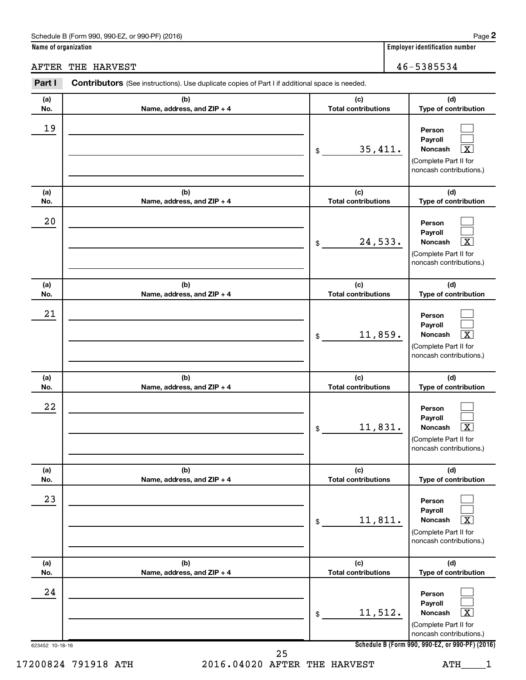**Name of organization Employer identification number**

AFTER THE HARVEST **ALCORED ASSESSMENT ASSESSMENT ASSESSMENT ASSESSMENT ASSESSMENT ASSESSMENT ASSESSMENT ASSESSMENT ASSESSMENT ASSESSMENT ASSESSMENT ASSESSMENT ASSESSMENT ASSESSMENT ASSESSMENT ASSESSMENT ASSESSMENT ASSESSME** 

623452 10-18-16 **Schedule B (Form 990, 990-EZ, or 990-PF) (2016) (a) No. (b) Name, address, and ZIP + 4 (c) Total contributions (d) Type of contribution Person Payroll Noncash (a) No. (b) Name, address, and ZIP + 4 (c) Total contributions (d) Type of contribution Person Payroll Noncash (a) No. (b) Name, address, and ZIP + 4 (c) Total contributions (d) Type of contribution Person Payroll Noncash (a) No. (b) Name, address, and ZIP + 4 (c) Total contributions (d) Type of contribution Person Payroll Noncash (a) No. (b) Name, address, and ZIP + 4 (c) Total contributions (d) Type of contribution Person Payroll Noncash (a) No. (b) Name, address, and ZIP + 4 (c) Total contributions (d) Type of contribution Person Payroll Noncash Part I** Contributors (See instructions). Use duplicate copies of Part I if additional space is needed. \$ (Complete Part II for noncash contributions.) \$ (Complete Part II for noncash contributions.) \$ (Complete Part II for noncash contributions.) \$ (Complete Part II for noncash contributions.) \$ (Complete Part II for noncash contributions.) \$ (Complete Part II for noncash contributions.)  $\Box$  $\Box$ †  $\Box$  $\Box$ †  $\Box$  $\Box$  $\boxed{\textbf{X}}$  $\Box$  $\Box$  $\lceil \texttt{X} \rceil$  $\Box$  $\Box$  $\boxed{\text{X}}$  $\Box$  $\Box$  $\boxed{\mathbf{X}}$ 19  $35,411.$ 20  $24,533.$ 21 11,859. 22 11,831. X 23 11,811. X 24 11,512. 17200824 791918 ATH 2016.04020 AFTER THE HARVEST ATH 1 25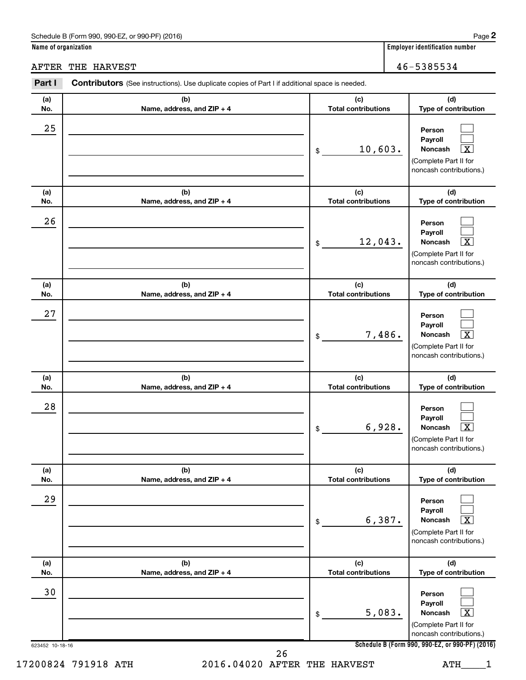**Name of organization Employer identification number**

AFTER THE HARVEST **ALCORED ASSESSMENT ASSESSMENT ASSESSMENT ASSESSMENT ASSESSMENT ASSESSMENT ASSESSMENT ASSESSMENT ASSESSMENT ASSESSMENT ASSESSMENT ASSESSMENT ASSESSMENT ASSESSMENT ASSESSMENT ASSESSMENT ASSESSMENT ASSESSME** 

623452 10-18-16 **Schedule B (Form 990, 990-EZ, or 990-PF) (2016) (a) No. (b) Name, address, and ZIP + 4 (c) Total contributions (d) Type of contribution Person Payroll Noncash (a) No. (b) Name, address, and ZIP + 4 (c) Total contributions (d) Type of contribution Person Payroll Noncash (a) No. (b) Name, address, and ZIP + 4 (c) Total contributions (d) Type of contribution Person Payroll Noncash (a) No. (b) Name, address, and ZIP + 4 (c) Total contributions (d) Type of contribution Person Payroll Noncash (a) No. (b) Name, address, and ZIP + 4 (c) Total contributions (d) Type of contribution Person Payroll Noncash (a) No. (b) Name, address, and ZIP + 4 (c) Total contributions (d) Type of contribution Person Payroll Noncash Part I** Contributors (See instructions). Use duplicate copies of Part I if additional space is needed. \$ (Complete Part II for noncash contributions.) \$ (Complete Part II for noncash contributions.) \$ (Complete Part II for noncash contributions.) \$ (Complete Part II for noncash contributions.) \$ (Complete Part II for noncash contributions.) \$ (Complete Part II for noncash contributions.)  $\Box$  $\Box$  $\lceil \texttt{X} \rceil$  $\Box$  $\Box$ †  $\Box$  $\Box$  $\boxed{\textbf{X}}$  $\Box$  $\Box$  $\lceil \texttt{X} \rceil$  $\Box$  $\Box$  $\boxed{\text{X}}$  $\Box$  $\Box$  $\boxed{\mathbf{X}}$ 25  $10,603$ . 26 12,043. 27 7,486. X 28 6,928. X 29  $6,387.$ 30  $5,083.$ 17200824 791918 ATH 2016.04020 AFTER THE HARVEST ATH 1 26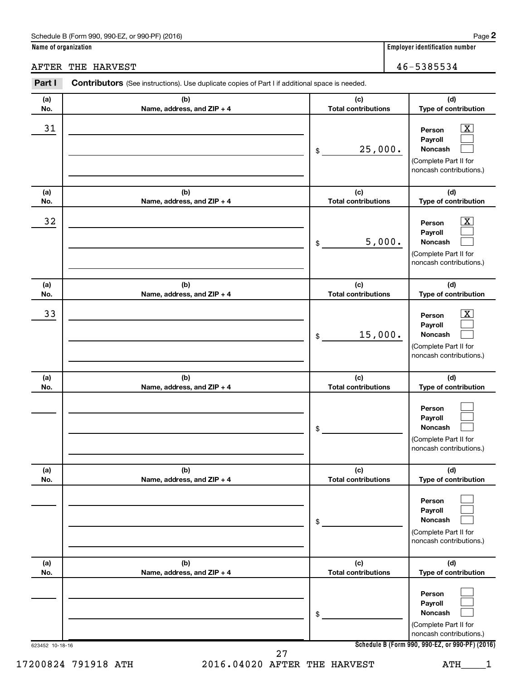**Name of organization Employer identification number**

AFTER THE HARVEST **ALL ASSESS** 2004 THE HARVEST

#### 623452 10-18-16 **Schedule B (Form 990, 990-EZ, or 990-PF) (2016) (a) No. (b) Name, address, and ZIP + 4 (c) Total contributions (d) Type of contribution Person Payroll Noncash (a) No. (b) Name, address, and ZIP + 4 (c) Total contributions (d) Type of contribution Person Payroll Noncash (a) No. (b) Name, address, and ZIP + 4 (c) Total contributions (d) Type of contribution Person Payroll Noncash (a) No. (b) Name, address, and ZIP + 4 (c) Total contributions (d) Type of contribution Person Payroll Noncash (a) No. (b) Name, address, and ZIP + 4 (c) Total contributions (d) Type of contribution Person Payroll Noncash (a) No. (b) Name, address, and ZIP + 4 (c) Total contributions (d) Type of contribution Person Payroll Noncash** Part I Contributors (See instructions). Use duplicate copies of Part I if additional space is needed. \$ (Complete Part II for noncash contributions.) \$ (Complete Part II for noncash contributions.) \$ (Complete Part II for noncash contributions.) \$ (Complete Part II for noncash contributions.) \$ (Complete Part II for noncash contributions.) \$ (Complete Part II for noncash contributions.)  $\lfloor x \rfloor$  $\Box$  $\Box$  $\overline{\mathbf{X}}$  $\Box$  $\Box$  $\boxed{\textbf{X}}$  $\Box$  $\Box$  $\Box$  $\Box$  $\Box$  $\Box$  $\Box$  $\Box$  $\Box$  $\Box$  $\Box$  $\begin{array}{|c|c|c|c|c|}\hline \text{31} & \text{Person} & \text{X} \\\hline \end{array}$ 25,000.  $\begin{array}{|c|c|c|c|c|}\hline \text{32} & \text{Person} & \text{X} \ \hline \end{array}$ 5,000.  $\overline{33}$  Person  $\overline{\text{X}}$ 15,000. 17200824 791918 ATH 2016.04020 AFTER THE HARVEST ATH 1 27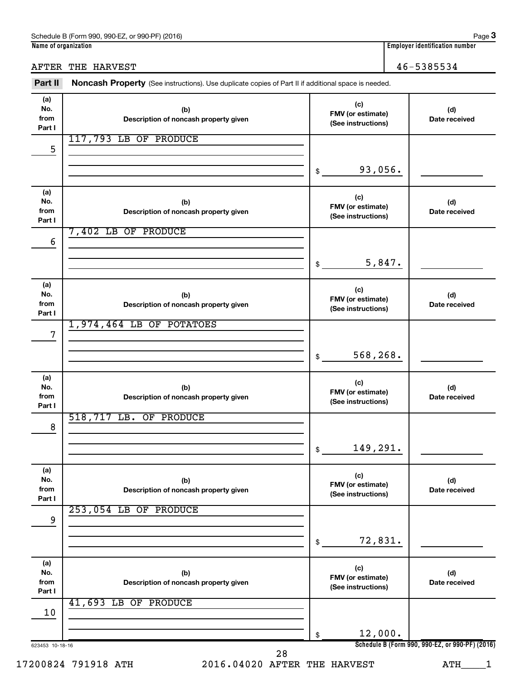AFTER THE HARVEST 46-5385534

| Part II                      | Noncash Property (See instructions). Use duplicate copies of Part II if additional space is needed. |                                                |                                                 |  |  |
|------------------------------|-----------------------------------------------------------------------------------------------------|------------------------------------------------|-------------------------------------------------|--|--|
| (a)<br>No.<br>from<br>Part I | (b)<br>Description of noncash property given                                                        | (c)<br>FMV (or estimate)<br>(See instructions) | (d)<br>Date received                            |  |  |
| 5                            | 117,793 LB OF PRODUCE                                                                               |                                                |                                                 |  |  |
|                              |                                                                                                     | 93,056.<br>\$                                  |                                                 |  |  |
| (a)<br>No.<br>from<br>Part I | (b)<br>Description of noncash property given                                                        | (c)<br>FMV (or estimate)<br>(See instructions) | (d)<br>Date received                            |  |  |
| 6                            | $7,402$ LB<br>OF PRODUCE                                                                            |                                                |                                                 |  |  |
|                              |                                                                                                     | 5,847.<br>\$                                   |                                                 |  |  |
| (a)<br>No.<br>from<br>Part I | (b)<br>Description of noncash property given                                                        | (c)<br>FMV (or estimate)<br>(See instructions) | (d)<br>Date received                            |  |  |
| 7                            | 1,974,464 LB OF POTATOES                                                                            |                                                |                                                 |  |  |
|                              |                                                                                                     | 568,268.<br>\$                                 |                                                 |  |  |
| (a)<br>No.<br>from<br>Part I | (b)<br>Description of noncash property given                                                        | (c)<br>FMV (or estimate)<br>(See instructions) | (d)<br>Date received                            |  |  |
| 8                            | 518,717 LB. OF PRODUCE                                                                              |                                                |                                                 |  |  |
|                              |                                                                                                     | 149,291.<br>\$                                 |                                                 |  |  |
| (a)<br>No.<br>from<br>Part I | (b)<br>Description of noncash property given                                                        | (c)<br>FMV (or estimate)<br>(See instructions) | (d)<br>Date received                            |  |  |
| 9                            | 253,054 LB OF PRODUCE                                                                               |                                                |                                                 |  |  |
|                              |                                                                                                     | 72,831.<br>\$                                  |                                                 |  |  |
| (a)<br>No.<br>from<br>Part I | (b)<br>Description of noncash property given                                                        | (c)<br>FMV (or estimate)<br>(See instructions) | (d)<br>Date received                            |  |  |
| 10                           | 41,693 LB OF PRODUCE                                                                                |                                                |                                                 |  |  |
|                              |                                                                                                     | 12,000.<br>\$                                  |                                                 |  |  |
| 623453 10-18-16              | 28                                                                                                  |                                                | Schedule B (Form 990, 990-EZ, or 990-PF) (2016) |  |  |

<sup>17200824 791918</sup> ATH 2016.04020 AFTER THE HARVEST ATH\_\_\_\_1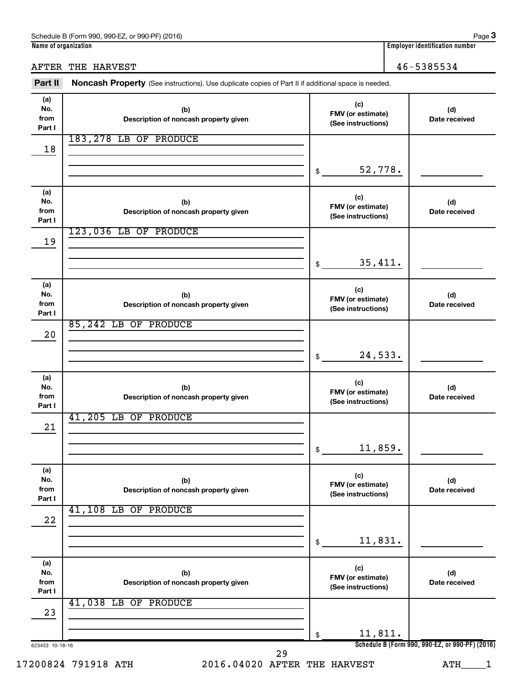AFTER THE HARVEST 46-5385534

| Part II                      | Noncash Property (See instructions). Use duplicate copies of Part II if additional space is needed. |                                                |                                                 |  |  |  |
|------------------------------|-----------------------------------------------------------------------------------------------------|------------------------------------------------|-------------------------------------------------|--|--|--|
| (a)<br>No.<br>from<br>Part I | (b)<br>Description of noncash property given                                                        | (c)<br>FMV (or estimate)<br>(See instructions) | (d)<br>Date received                            |  |  |  |
| 18                           | 183,278 LB OF PRODUCE                                                                               |                                                |                                                 |  |  |  |
|                              |                                                                                                     | 52,778.<br>\$                                  |                                                 |  |  |  |
| (a)<br>No.<br>from<br>Part I | (b)<br>Description of noncash property given                                                        | (c)<br>FMV (or estimate)<br>(See instructions) | (d)<br>Date received                            |  |  |  |
| 19                           | 123,036 LB OF PRODUCE                                                                               |                                                |                                                 |  |  |  |
|                              |                                                                                                     | 35,411.<br>\$                                  |                                                 |  |  |  |
| (a)<br>No.<br>from<br>Part I | (b)<br>Description of noncash property given                                                        | (c)<br>FMV (or estimate)<br>(See instructions) | (d)<br>Date received                            |  |  |  |
| 20                           | 85,242 LB OF PRODUCE                                                                                |                                                |                                                 |  |  |  |
|                              |                                                                                                     | 24,533.<br>\$                                  |                                                 |  |  |  |
| (a)<br>No.<br>from<br>Part I | (b)<br>Description of noncash property given                                                        | (c)<br>FMV (or estimate)<br>(See instructions) | (d)<br>Date received                            |  |  |  |
| 21                           | 41,205 LB OF PRODUCE                                                                                |                                                |                                                 |  |  |  |
|                              |                                                                                                     | 11,859.<br>\$                                  |                                                 |  |  |  |
| (a)<br>No.<br>from<br>Part I | (b)<br>Description of noncash property given                                                        | (c)<br>FMV (or estimate)<br>(See instructions) | (d)<br>Date received                            |  |  |  |
| 22                           | 41,108 LB OF PRODUCE                                                                                |                                                |                                                 |  |  |  |
|                              |                                                                                                     | 11,831.<br>\$                                  |                                                 |  |  |  |
| (a)<br>No.<br>from<br>Part I | (b)<br>Description of noncash property given                                                        | (c)<br>FMV (or estimate)<br>(See instructions) | (d)<br>Date received                            |  |  |  |
| 23                           | 41,038 LB OF PRODUCE                                                                                |                                                |                                                 |  |  |  |
|                              |                                                                                                     | 11,811.<br>\$                                  | Schedule B (Form 990, 990-EZ, or 990-PF) (2016) |  |  |  |
| 623453 10-18-16              | 29                                                                                                  |                                                |                                                 |  |  |  |

17200824 791918 ATH 2016.04020 AFTER THE HARVEST ATH\_\_\_\_1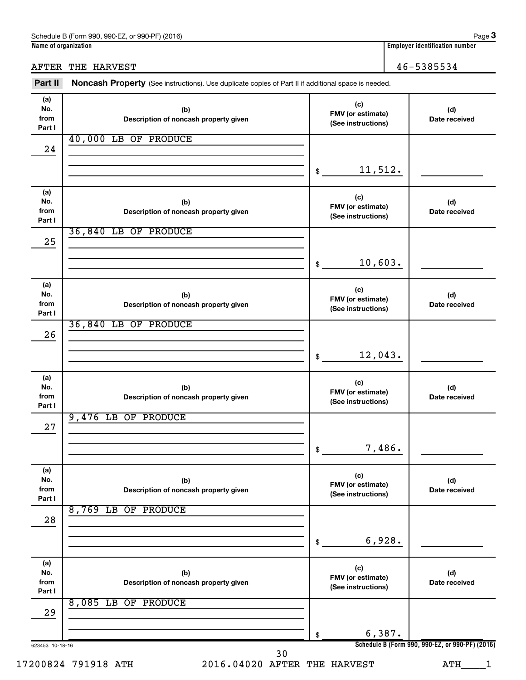AFTER THE HARVEST **ALL ASSESS** 2004 THE HARVEST

623453 10-18-16 **Schedule B (Form 990, 990-EZ, or 990-PF) (2016) (a) No. from Part I (c) FMV (or estimate) (See instructions) (b) Description of noncash property given (d) Date received (a) No. from Part I (c) FMV (or estimate) (See instructions) (b) Description of noncash property given (d) Date received (a) No. from Part I (c) FMV (or estimate) (See instructions) (b) Description of noncash property given (d) Date received (a) No. from Part I (c) FMV (or estimate) (See instructions) (b) Description of noncash property given (d) Date received (a) No. from Part I (c) FMV (or estimate) (See instructions) (b) Description of noncash property given (d) Date received (a) No. from Part I (c) FMV (or estimate) (See instructions) (b) Description of noncash property given (d) Date received** Part II Noncash Property (See instructions). Use duplicate copies of Part II if additional space is needed. \$ \$ \$ \$ \$ \$ 40,000 LB OF PRODUCE 24 11,512. 36,840 LB OF PRODUCE 25 10,603. 36,840 LB OF PRODUCE 26 12,043. 9,476 LB OF PRODUCE 27 7,486. 8,769 LB OF PRODUCE 28 6,928. 8,085 LB OF PRODUCE 29 6,387. 30

17200824 791918 ATH 2016.04020 AFTER THE HARVEST ATH\_\_\_\_1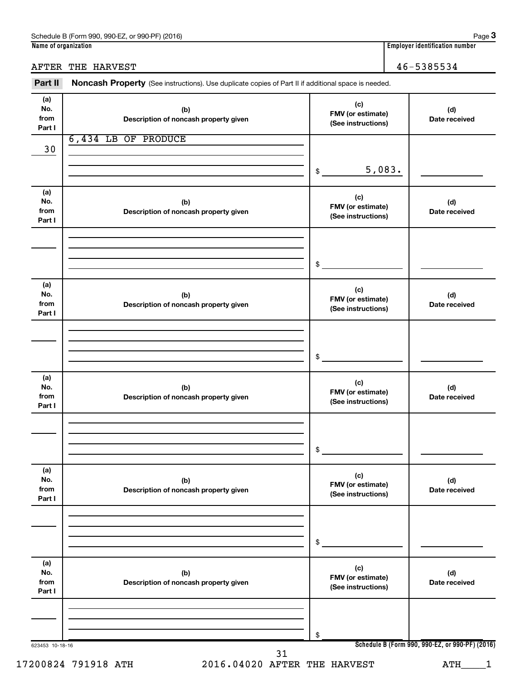### AFTER THE HARVEST 46-5385534

Part II Noncash Property (See instructions). Use duplicate copies of Part II if additional space is needed.

| (a)<br>No.<br>from<br>Part I | (b)<br>Description of noncash property given | (c)<br>FMV (or estimate)<br>(See instructions) | (d)<br>Date received                            |
|------------------------------|----------------------------------------------|------------------------------------------------|-------------------------------------------------|
| 30                           | 6,434 LB OF PRODUCE                          |                                                |                                                 |
|                              |                                              |                                                |                                                 |
|                              |                                              | 5,083.<br>$\frac{1}{2}$                        |                                                 |
| (a)<br>No.<br>from<br>Part I | (b)<br>Description of noncash property given | (c)<br>FMV (or estimate)<br>(See instructions) | (d)<br>Date received                            |
|                              |                                              |                                                |                                                 |
|                              |                                              | \$                                             |                                                 |
| (a)<br>No.<br>from<br>Part I | (b)<br>Description of noncash property given | (c)<br>FMV (or estimate)<br>(See instructions) | (d)<br>Date received                            |
|                              |                                              |                                                |                                                 |
|                              |                                              | $\mathfrak{S}$                                 |                                                 |
| (a)<br>No.<br>from<br>Part I | (b)<br>Description of noncash property given | (c)<br>FMV (or estimate)<br>(See instructions) | (d)<br>Date received                            |
|                              |                                              |                                                |                                                 |
|                              |                                              | $\frac{1}{2}$                                  |                                                 |
| (a)<br>No.<br>from<br>Part I | (b)<br>Description of noncash property given | (c)<br>FMV (or estimate)<br>(See instructions) | (d)<br>Date received                            |
|                              |                                              |                                                |                                                 |
|                              |                                              | \$                                             |                                                 |
| (a)<br>No.<br>from<br>Part I | (b)<br>Description of noncash property given | (c)<br>FMV (or estimate)<br>(See instructions) | (d)<br>Date received                            |
|                              |                                              |                                                |                                                 |
|                              |                                              | \$                                             |                                                 |
| 623453 10-18-16              | 31                                           |                                                | Schedule B (Form 990, 990-EZ, or 990-PF) (2016) |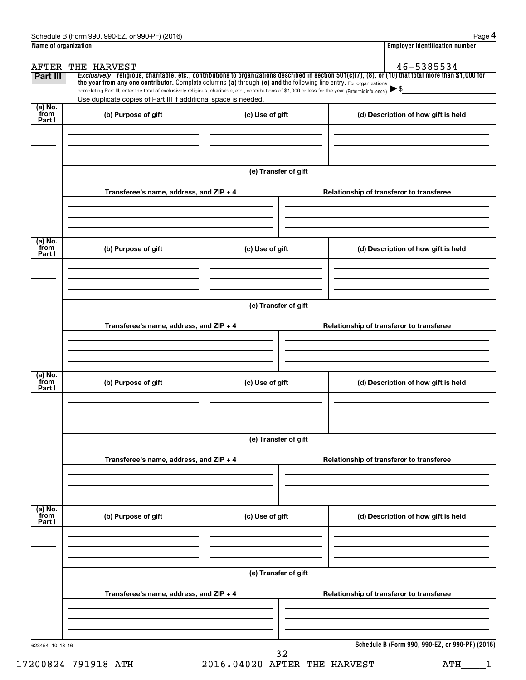| the year from any one contributor. Complete columns (a) through (e) and the following line entry. For organizations<br>completing Part III, enter the total of exclusively religious, charitable, etc., contributions of \$1,000 or less for the year. (Enter this info. once.)<br>Use duplicate copies of Part III if additional space is needed.<br>(b) Purpose of gift<br>Transferee's name, address, and ZIP + 4<br>(b) Purpose of gift | (c) Use of gift<br>(e) Transfer of gift    | (d) Description of how gift is held<br>Relationship of transferor to transferee                                                                                     |
|---------------------------------------------------------------------------------------------------------------------------------------------------------------------------------------------------------------------------------------------------------------------------------------------------------------------------------------------------------------------------------------------------------------------------------------------|--------------------------------------------|---------------------------------------------------------------------------------------------------------------------------------------------------------------------|
|                                                                                                                                                                                                                                                                                                                                                                                                                                             |                                            |                                                                                                                                                                     |
|                                                                                                                                                                                                                                                                                                                                                                                                                                             |                                            |                                                                                                                                                                     |
|                                                                                                                                                                                                                                                                                                                                                                                                                                             |                                            |                                                                                                                                                                     |
|                                                                                                                                                                                                                                                                                                                                                                                                                                             |                                            |                                                                                                                                                                     |
|                                                                                                                                                                                                                                                                                                                                                                                                                                             |                                            |                                                                                                                                                                     |
|                                                                                                                                                                                                                                                                                                                                                                                                                                             |                                            |                                                                                                                                                                     |
|                                                                                                                                                                                                                                                                                                                                                                                                                                             | (c) Use of gift                            | (d) Description of how gift is held                                                                                                                                 |
|                                                                                                                                                                                                                                                                                                                                                                                                                                             |                                            |                                                                                                                                                                     |
|                                                                                                                                                                                                                                                                                                                                                                                                                                             | (e) Transfer of gift                       |                                                                                                                                                                     |
|                                                                                                                                                                                                                                                                                                                                                                                                                                             |                                            | Relationship of transferor to transferee                                                                                                                            |
|                                                                                                                                                                                                                                                                                                                                                                                                                                             |                                            |                                                                                                                                                                     |
|                                                                                                                                                                                                                                                                                                                                                                                                                                             |                                            | (d) Description of how gift is held                                                                                                                                 |
|                                                                                                                                                                                                                                                                                                                                                                                                                                             | (e) Transfer of gift                       |                                                                                                                                                                     |
|                                                                                                                                                                                                                                                                                                                                                                                                                                             |                                            | Relationship of transferor to transferee                                                                                                                            |
|                                                                                                                                                                                                                                                                                                                                                                                                                                             |                                            | (d) Description of how gift is held                                                                                                                                 |
|                                                                                                                                                                                                                                                                                                                                                                                                                                             |                                            |                                                                                                                                                                     |
|                                                                                                                                                                                                                                                                                                                                                                                                                                             | (e) Transfer of gift                       |                                                                                                                                                                     |
|                                                                                                                                                                                                                                                                                                                                                                                                                                             |                                            | Relationship of transferor to transferee                                                                                                                            |
|                                                                                                                                                                                                                                                                                                                                                                                                                                             |                                            |                                                                                                                                                                     |
|                                                                                                                                                                                                                                                                                                                                                                                                                                             | (b) Purpose of gift<br>(b) Purpose of gift | Transferee's name, address, and ZIP + 4<br>(c) Use of gift<br>Transferee's name, address, and ZIP + 4<br>(c) Use of gift<br>Transferee's name, address, and ZIP + 4 |

<sup>17200824 791918</sup> ATH 2016.04020 AFTER THE HARVEST ATH\_\_\_\_1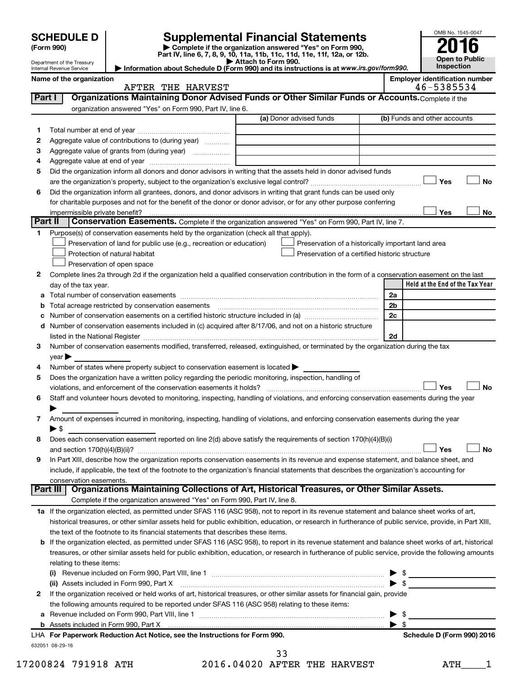|         | <b>SCHEDULE D</b>          |                                                                                                        | <b>Supplemental Financial Statements</b>                                                                                                                  |    |      | OMB No. 1545-0047                                   |
|---------|----------------------------|--------------------------------------------------------------------------------------------------------|-----------------------------------------------------------------------------------------------------------------------------------------------------------|----|------|-----------------------------------------------------|
|         | (Form 990)                 |                                                                                                        | Complete if the organization answered "Yes" on Form 990,                                                                                                  |    |      |                                                     |
|         | Department of the Treasury |                                                                                                        | Part IV, line 6, 7, 8, 9, 10, 11a, 11b, 11c, 11d, 11e, 11f, 12a, or 12b.<br>Attach to Form 990.                                                           |    |      | <b>Open to Public</b>                               |
|         | Internal Revenue Service   |                                                                                                        | Information about Schedule D (Form 990) and its instructions is at www.irs.gov/form990.                                                                   |    |      | Inspection                                          |
|         | Name of the organization   | AFTER THE HARVEST                                                                                      |                                                                                                                                                           |    |      | <b>Employer identification number</b><br>46-5385534 |
| Part I  |                            |                                                                                                        | Organizations Maintaining Donor Advised Funds or Other Similar Funds or Accounts. Complete if the                                                         |    |      |                                                     |
|         |                            | organization answered "Yes" on Form 990, Part IV, line 6.                                              |                                                                                                                                                           |    |      |                                                     |
|         |                            |                                                                                                        | (a) Donor advised funds                                                                                                                                   |    |      | (b) Funds and other accounts                        |
| 1       |                            |                                                                                                        |                                                                                                                                                           |    |      |                                                     |
| 2       |                            | Aggregate value of contributions to (during year)                                                      |                                                                                                                                                           |    |      |                                                     |
| З<br>4  |                            | Aggregate value of grants from (during year)                                                           |                                                                                                                                                           |    |      |                                                     |
| 5       |                            |                                                                                                        | Did the organization inform all donors and donor advisors in writing that the assets held in donor advised funds                                          |    |      |                                                     |
|         |                            |                                                                                                        |                                                                                                                                                           |    |      | Yes<br>No                                           |
| 6       |                            |                                                                                                        | Did the organization inform all grantees, donors, and donor advisors in writing that grant funds can be used only                                         |    |      |                                                     |
|         |                            |                                                                                                        | for charitable purposes and not for the benefit of the donor or donor advisor, or for any other purpose conferring                                        |    |      |                                                     |
|         |                            |                                                                                                        |                                                                                                                                                           |    |      | Yes<br>No                                           |
| Part II |                            |                                                                                                        | Conservation Easements. Complete if the organization answered "Yes" on Form 990, Part IV, line 7.                                                         |    |      |                                                     |
| 1.      |                            | Purpose(s) of conservation easements held by the organization (check all that apply).                  |                                                                                                                                                           |    |      |                                                     |
|         |                            | Preservation of land for public use (e.g., recreation or education)                                    | Preservation of a historically important land area                                                                                                        |    |      |                                                     |
|         |                            | Protection of natural habitat                                                                          | Preservation of a certified historic structure                                                                                                            |    |      |                                                     |
|         |                            | Preservation of open space                                                                             |                                                                                                                                                           |    |      |                                                     |
| 2       |                            |                                                                                                        | Complete lines 2a through 2d if the organization held a qualified conservation contribution in the form of a conservation easement on the last            |    |      | Held at the End of the Tax Year                     |
| а       | day of the tax year.       |                                                                                                        |                                                                                                                                                           | 2a |      |                                                     |
| b       |                            |                                                                                                        |                                                                                                                                                           | 2b |      |                                                     |
| с       |                            |                                                                                                        |                                                                                                                                                           | 2c |      |                                                     |
| d       |                            |                                                                                                        | Number of conservation easements included in (c) acquired after 8/17/06, and not on a historic structure                                                  |    |      |                                                     |
|         |                            |                                                                                                        |                                                                                                                                                           | 2d |      |                                                     |
| 3       |                            |                                                                                                        | Number of conservation easements modified, transferred, released, extinguished, or terminated by the organization during the tax                          |    |      |                                                     |
|         | year                       |                                                                                                        |                                                                                                                                                           |    |      |                                                     |
| 4       |                            | Number of states where property subject to conservation easement is located $\blacktriangleright$      |                                                                                                                                                           |    |      |                                                     |
| 5       |                            | Does the organization have a written policy regarding the periodic monitoring, inspection, handling of |                                                                                                                                                           |    |      |                                                     |
|         |                            | violations, and enforcement of the conservation easements it holds?                                    |                                                                                                                                                           |    |      | Yes<br><b>No</b>                                    |
| 6       |                            |                                                                                                        | Staff and volunteer hours devoted to monitoring, inspecting, handling of violations, and enforcing conservation easements during the year                 |    |      |                                                     |
| 7       |                            |                                                                                                        | Amount of expenses incurred in monitoring, inspecting, handling of violations, and enforcing conservation easements during the year                       |    |      |                                                     |
|         | $\blacktriangleright$ \$   |                                                                                                        |                                                                                                                                                           |    |      |                                                     |
| 8       |                            |                                                                                                        | Does each conservation easement reported on line 2(d) above satisfy the requirements of section 170(h)(4)(B)(i)                                           |    |      |                                                     |
|         |                            |                                                                                                        |                                                                                                                                                           |    |      | No<br>Yes                                           |
| 9       |                            |                                                                                                        | In Part XIII, describe how the organization reports conservation easements in its revenue and expense statement, and balance sheet, and                   |    |      |                                                     |
|         |                            |                                                                                                        | include, if applicable, the text of the footnote to the organization's financial statements that describes the organization's accounting for              |    |      |                                                     |
|         | conservation easements.    |                                                                                                        | Part III   Organizations Maintaining Collections of Art, Historical Treasures, or Other Similar Assets.                                                   |    |      |                                                     |
|         |                            | Complete if the organization answered "Yes" on Form 990, Part IV, line 8.                              |                                                                                                                                                           |    |      |                                                     |
|         |                            |                                                                                                        | 1a If the organization elected, as permitted under SFAS 116 (ASC 958), not to report in its revenue statement and balance sheet works of art,             |    |      |                                                     |
|         |                            |                                                                                                        | historical treasures, or other similar assets held for public exhibition, education, or research in furtherance of public service, provide, in Part XIII, |    |      |                                                     |
|         |                            | the text of the footnote to its financial statements that describes these items.                       |                                                                                                                                                           |    |      |                                                     |
| b       |                            |                                                                                                        | If the organization elected, as permitted under SFAS 116 (ASC 958), to report in its revenue statement and balance sheet works of art, historical         |    |      |                                                     |
|         |                            |                                                                                                        | treasures, or other similar assets held for public exhibition, education, or research in furtherance of public service, provide the following amounts     |    |      |                                                     |
|         | relating to these items:   |                                                                                                        |                                                                                                                                                           |    |      |                                                     |
|         |                            |                                                                                                        |                                                                                                                                                           |    |      | $\frac{1}{2}$                                       |
|         |                            | (ii) Assets included in Form 990, Part X                                                               |                                                                                                                                                           |    |      | $\triangleright$ \$                                 |
| 2       |                            |                                                                                                        | If the organization received or held works of art, historical treasures, or other similar assets for financial gain, provide                              |    |      |                                                     |
|         |                            | the following amounts required to be reported under SFAS 116 (ASC 958) relating to these items:        |                                                                                                                                                           |    | - \$ |                                                     |
|         |                            |                                                                                                        |                                                                                                                                                           | ▶  | - \$ |                                                     |
|         |                            | LHA For Paperwork Reduction Act Notice, see the Instructions for Form 990.                             |                                                                                                                                                           |    |      | Schedule D (Form 990) 2016                          |
|         | 632051 08-29-16            |                                                                                                        |                                                                                                                                                           |    |      |                                                     |

17200824 791918 ATH 2016.04020 AFTER THE HARVEST ATH\_\_\_\_1 33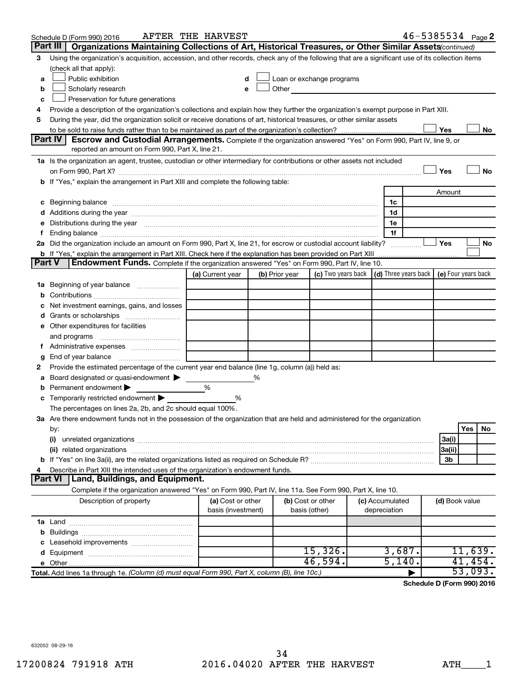|                                                                                  | Schedule D (Form 990) 2016                                                                                                                                                                                                                  | AFTER THE HARVEST                       |   |                |                                                                             |  |                                 | $46 - 5385534$ Page 2 |                |     |         |
|----------------------------------------------------------------------------------|---------------------------------------------------------------------------------------------------------------------------------------------------------------------------------------------------------------------------------------------|-----------------------------------------|---|----------------|-----------------------------------------------------------------------------|--|---------------------------------|-----------------------|----------------|-----|---------|
|                                                                                  | Part III<br>Organizations Maintaining Collections of Art, Historical Treasures, or Other Similar Assets (continued)                                                                                                                         |                                         |   |                |                                                                             |  |                                 |                       |                |     |         |
| 3                                                                                | Using the organization's acquisition, accession, and other records, check any of the following that are a significant use of its collection items                                                                                           |                                         |   |                |                                                                             |  |                                 |                       |                |     |         |
|                                                                                  | (check all that apply):                                                                                                                                                                                                                     |                                         |   |                |                                                                             |  |                                 |                       |                |     |         |
| a                                                                                | Public exhibition                                                                                                                                                                                                                           | d                                       |   |                | Loan or exchange programs                                                   |  |                                 |                       |                |     |         |
| b                                                                                | Scholarly research                                                                                                                                                                                                                          | е                                       |   | Other          |                                                                             |  |                                 |                       |                |     |         |
| c                                                                                | Preservation for future generations                                                                                                                                                                                                         |                                         |   |                |                                                                             |  |                                 |                       |                |     |         |
| 4                                                                                | Provide a description of the organization's collections and explain how they further the organization's exempt purpose in Part XIII.                                                                                                        |                                         |   |                |                                                                             |  |                                 |                       |                |     |         |
| 5                                                                                | During the year, did the organization solicit or receive donations of art, historical treasures, or other similar assets                                                                                                                    |                                         |   |                |                                                                             |  |                                 |                       |                |     |         |
|                                                                                  |                                                                                                                                                                                                                                             |                                         |   |                |                                                                             |  |                                 |                       | Yes            |     | No      |
|                                                                                  | <b>Part IV</b><br>Escrow and Custodial Arrangements. Complete if the organization answered "Yes" on Form 990, Part IV, line 9, or                                                                                                           |                                         |   |                |                                                                             |  |                                 |                       |                |     |         |
|                                                                                  | reported an amount on Form 990, Part X, line 21.                                                                                                                                                                                            |                                         |   |                |                                                                             |  |                                 |                       |                |     |         |
|                                                                                  | 1a Is the organization an agent, trustee, custodian or other intermediary for contributions or other assets not included                                                                                                                    |                                         |   |                |                                                                             |  |                                 |                       |                |     |         |
|                                                                                  | Yes                                                                                                                                                                                                                                         |                                         |   |                |                                                                             |  | <b>No</b>                       |                       |                |     |         |
| If "Yes," explain the arrangement in Part XIII and complete the following table: |                                                                                                                                                                                                                                             |                                         |   |                |                                                                             |  |                                 |                       |                |     |         |
|                                                                                  |                                                                                                                                                                                                                                             |                                         |   |                |                                                                             |  |                                 |                       | Amount         |     |         |
| с                                                                                | Beginning balance measurements and contain the contract of the contract of the contract of the contract of the                                                                                                                              |                                         |   |                |                                                                             |  | 1c                              |                       |                |     |         |
|                                                                                  |                                                                                                                                                                                                                                             |                                         |   |                |                                                                             |  | 1d                              |                       |                |     |         |
|                                                                                  | Distributions during the year manufactured and an account of the year manufactured and the year manufactured and the year manufactured and the year manufactured and the year manufactured and the year manufactured and the y              |                                         |   |                |                                                                             |  | 1e                              |                       |                |     |         |
|                                                                                  |                                                                                                                                                                                                                                             |                                         |   |                |                                                                             |  | 1f                              |                       | Yes            |     | No      |
|                                                                                  | 2a Did the organization include an amount on Form 990, Part X, line 21, for escrow or custodial account liability?<br><b>b</b> If "Yes," explain the arrangement in Part XIII. Check here if the explanation has been provided on Part XIII |                                         |   |                |                                                                             |  |                                 |                       |                |     |         |
| <b>Part V</b>                                                                    | <b>Endowment Funds.</b> Complete if the organization answered "Yes" on Form 990, Part IV, line 10.                                                                                                                                          |                                         |   |                |                                                                             |  |                                 |                       |                |     |         |
|                                                                                  |                                                                                                                                                                                                                                             | (a) Current year                        |   | (b) Prior year | (c) Two years back $\vert$ (d) Three years back $\vert$ (e) Four years back |  |                                 |                       |                |     |         |
| 1a                                                                               | Beginning of year balance                                                                                                                                                                                                                   |                                         |   |                |                                                                             |  |                                 |                       |                |     |         |
| b                                                                                |                                                                                                                                                                                                                                             |                                         |   |                |                                                                             |  |                                 |                       |                |     |         |
|                                                                                  | Net investment earnings, gains, and losses                                                                                                                                                                                                  |                                         |   |                |                                                                             |  |                                 |                       |                |     |         |
| d                                                                                |                                                                                                                                                                                                                                             |                                         |   |                |                                                                             |  |                                 |                       |                |     |         |
|                                                                                  | e Other expenditures for facilities                                                                                                                                                                                                         |                                         |   |                |                                                                             |  |                                 |                       |                |     |         |
|                                                                                  | and programs                                                                                                                                                                                                                                |                                         |   |                |                                                                             |  |                                 |                       |                |     |         |
|                                                                                  | f Administrative expenses                                                                                                                                                                                                                   |                                         |   |                |                                                                             |  |                                 |                       |                |     |         |
| g                                                                                | End of year balance                                                                                                                                                                                                                         |                                         |   |                |                                                                             |  |                                 |                       |                |     |         |
| 2                                                                                | Provide the estimated percentage of the current year end balance (line 1g, column (a)) held as:                                                                                                                                             |                                         |   |                |                                                                             |  |                                 |                       |                |     |         |
|                                                                                  | Board designated or quasi-endowment                                                                                                                                                                                                         |                                         | ℅ |                |                                                                             |  |                                 |                       |                |     |         |
|                                                                                  | Permanent endowment                                                                                                                                                                                                                         | %                                       |   |                |                                                                             |  |                                 |                       |                |     |         |
| с                                                                                | Temporarily restricted endowment                                                                                                                                                                                                            | %                                       |   |                |                                                                             |  |                                 |                       |                |     |         |
|                                                                                  | The percentages on lines 2a, 2b, and 2c should equal 100%.                                                                                                                                                                                  |                                         |   |                |                                                                             |  |                                 |                       |                |     |         |
|                                                                                  | 3a Are there endowment funds not in the possession of the organization that are held and administered for the organization                                                                                                                  |                                         |   |                |                                                                             |  |                                 |                       |                |     |         |
|                                                                                  | by:                                                                                                                                                                                                                                         |                                         |   |                |                                                                             |  |                                 |                       |                | Yes | No      |
|                                                                                  | (i)                                                                                                                                                                                                                                         |                                         |   |                |                                                                             |  |                                 |                       | 3a(i)          |     |         |
|                                                                                  | (ii) related organizations                                                                                                                                                                                                                  |                                         |   |                |                                                                             |  |                                 |                       | 3a(ii)         |     |         |
|                                                                                  |                                                                                                                                                                                                                                             |                                         |   |                |                                                                             |  |                                 |                       | 3b             |     |         |
|                                                                                  | Describe in Part XIII the intended uses of the organization's endowment funds.                                                                                                                                                              |                                         |   |                |                                                                             |  |                                 |                       |                |     |         |
|                                                                                  | <b>Land, Buildings, and Equipment.</b><br>Part VI                                                                                                                                                                                           |                                         |   |                |                                                                             |  |                                 |                       |                |     |         |
|                                                                                  | Complete if the organization answered "Yes" on Form 990, Part IV, line 11a. See Form 990, Part X, line 10.                                                                                                                                  |                                         |   |                |                                                                             |  |                                 |                       |                |     |         |
|                                                                                  | Description of property                                                                                                                                                                                                                     | (a) Cost or other<br>basis (investment) |   |                | (b) Cost or other<br>basis (other)                                          |  | (c) Accumulated<br>depreciation |                       | (d) Book value |     |         |
|                                                                                  |                                                                                                                                                                                                                                             |                                         |   |                |                                                                             |  |                                 |                       |                |     |         |
| b                                                                                |                                                                                                                                                                                                                                             |                                         |   |                |                                                                             |  |                                 |                       |                |     |         |
|                                                                                  |                                                                                                                                                                                                                                             |                                         |   |                |                                                                             |  |                                 |                       |                |     |         |
|                                                                                  |                                                                                                                                                                                                                                             |                                         |   |                | 15,326.                                                                     |  | 3,687.                          |                       |                |     | 11,639. |
|                                                                                  | e Other                                                                                                                                                                                                                                     |                                         |   |                | 46,594.                                                                     |  | 5,140.                          |                       |                |     | 41,454. |
|                                                                                  | Total. Add lines 1a through 1e. (Column (d) must equal Form 990, Part X, column (B), line 10c.)                                                                                                                                             |                                         |   |                |                                                                             |  |                                 |                       |                |     | 53,093. |

**Schedule D (Form 990) 2016**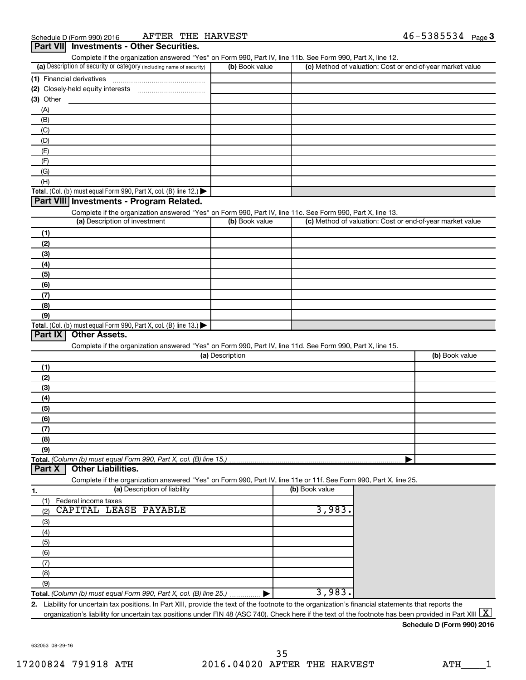|                                                                                                                                                                                                    |                 | Complete if the organization answered "Yes" on Form 990, Part IV, line 11b. See Form 990, Part X, line 12. |                                                           |
|----------------------------------------------------------------------------------------------------------------------------------------------------------------------------------------------------|-----------------|------------------------------------------------------------------------------------------------------------|-----------------------------------------------------------|
| (a) Description of security or category (including name of security)                                                                                                                               | (b) Book value  |                                                                                                            | (c) Method of valuation: Cost or end-of-year market value |
| (1) Financial derivatives                                                                                                                                                                          |                 |                                                                                                            |                                                           |
|                                                                                                                                                                                                    |                 |                                                                                                            |                                                           |
| $(3)$ Other                                                                                                                                                                                        |                 |                                                                                                            |                                                           |
| (A)                                                                                                                                                                                                |                 |                                                                                                            |                                                           |
| (B)                                                                                                                                                                                                |                 |                                                                                                            |                                                           |
| (C)                                                                                                                                                                                                |                 |                                                                                                            |                                                           |
| (D)                                                                                                                                                                                                |                 |                                                                                                            |                                                           |
| (E)                                                                                                                                                                                                |                 |                                                                                                            |                                                           |
| (F)                                                                                                                                                                                                |                 |                                                                                                            |                                                           |
| (G)                                                                                                                                                                                                |                 |                                                                                                            |                                                           |
| (H)                                                                                                                                                                                                |                 |                                                                                                            |                                                           |
| Total. (Col. (b) must equal Form 990, Part X, col. (B) line 12.) $\blacktriangleright$                                                                                                             |                 |                                                                                                            |                                                           |
| Part VIII Investments - Program Related.                                                                                                                                                           |                 |                                                                                                            |                                                           |
|                                                                                                                                                                                                    |                 |                                                                                                            |                                                           |
| Complete if the organization answered "Yes" on Form 990, Part IV, line 11c. See Form 990, Part X, line 13.<br>(a) Description of investment                                                        | (b) Book value  |                                                                                                            | (c) Method of valuation: Cost or end-of-year market value |
|                                                                                                                                                                                                    |                 |                                                                                                            |                                                           |
| (1)                                                                                                                                                                                                |                 |                                                                                                            |                                                           |
| (2)                                                                                                                                                                                                |                 |                                                                                                            |                                                           |
| (3)                                                                                                                                                                                                |                 |                                                                                                            |                                                           |
| (4)                                                                                                                                                                                                |                 |                                                                                                            |                                                           |
| (5)                                                                                                                                                                                                |                 |                                                                                                            |                                                           |
| (6)                                                                                                                                                                                                |                 |                                                                                                            |                                                           |
| (7)                                                                                                                                                                                                |                 |                                                                                                            |                                                           |
| (8)                                                                                                                                                                                                |                 |                                                                                                            |                                                           |
| (9)                                                                                                                                                                                                |                 |                                                                                                            |                                                           |
| Total. (Col. (b) must equal Form 990, Part X, col. (B) line 13.) $\blacktriangleright$                                                                                                             |                 |                                                                                                            |                                                           |
| Part IX<br><b>Other Assets.</b>                                                                                                                                                                    |                 |                                                                                                            |                                                           |
|                                                                                                                                                                                                    |                 |                                                                                                            |                                                           |
| Complete if the organization answered "Yes" on Form 990, Part IV, line 11d. See Form 990, Part X, line 15.                                                                                         |                 |                                                                                                            |                                                           |
|                                                                                                                                                                                                    | (a) Description |                                                                                                            |                                                           |
| (1)                                                                                                                                                                                                |                 |                                                                                                            |                                                           |
| (2)                                                                                                                                                                                                |                 |                                                                                                            | (b) Book value                                            |
|                                                                                                                                                                                                    |                 |                                                                                                            |                                                           |
| (3)                                                                                                                                                                                                |                 |                                                                                                            |                                                           |
| (4)                                                                                                                                                                                                |                 |                                                                                                            |                                                           |
| (5)                                                                                                                                                                                                |                 |                                                                                                            |                                                           |
| (6)                                                                                                                                                                                                |                 |                                                                                                            |                                                           |
| (7)                                                                                                                                                                                                |                 |                                                                                                            |                                                           |
| (8)                                                                                                                                                                                                |                 |                                                                                                            |                                                           |
| (9)                                                                                                                                                                                                |                 |                                                                                                            |                                                           |
|                                                                                                                                                                                                    |                 |                                                                                                            |                                                           |
| <b>Other Liabilities.</b>                                                                                                                                                                          |                 |                                                                                                            |                                                           |
| Total. (Column (b) must equal Form 990, Part X, col. (B) line 15.).<br>Part X<br>Complete if the organization answered "Yes" on Form 990, Part IV, line 11e or 11f. See Form 990, Part X, line 25. |                 |                                                                                                            |                                                           |
| (a) Description of liability                                                                                                                                                                       |                 | (b) Book value                                                                                             |                                                           |
| Federal income taxes<br>(1)                                                                                                                                                                        |                 |                                                                                                            |                                                           |
| 1.<br>CAPITAL LEASE PAYABLE<br>(2)                                                                                                                                                                 |                 | 3,983.                                                                                                     |                                                           |
|                                                                                                                                                                                                    |                 |                                                                                                            |                                                           |
| (3)                                                                                                                                                                                                |                 |                                                                                                            |                                                           |
| (4)                                                                                                                                                                                                |                 |                                                                                                            |                                                           |
| (5)                                                                                                                                                                                                |                 |                                                                                                            |                                                           |
| (6)                                                                                                                                                                                                |                 |                                                                                                            |                                                           |
| (7)                                                                                                                                                                                                |                 |                                                                                                            |                                                           |
| (8)                                                                                                                                                                                                |                 |                                                                                                            |                                                           |
| (9)<br>Total. (Column (b) must equal Form 990, Part X, col. (B) line 25.)                                                                                                                          |                 | 3,983.                                                                                                     |                                                           |

**Schedule D (Form 990) 2016**

632053 08-29-16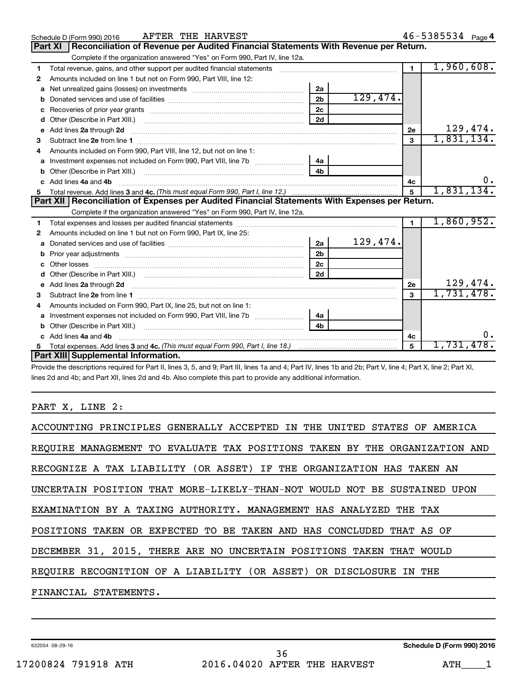|    | AFTER THE HARVEST<br>Schedule D (Form 990) 2016                                                                                                                                                                                      |                |          |                | 46-5385534 Page 4 |
|----|--------------------------------------------------------------------------------------------------------------------------------------------------------------------------------------------------------------------------------------|----------------|----------|----------------|-------------------|
|    | Reconciliation of Revenue per Audited Financial Statements With Revenue per Return.<br><b>Part XI</b>                                                                                                                                |                |          |                |                   |
|    | Complete if the organization answered "Yes" on Form 990, Part IV, line 12a.                                                                                                                                                          |                |          |                |                   |
| 1  | Total revenue, gains, and other support per audited financial statements [[[[[[[[[[[[[[[[[[[[[[[[]]]]]]]]]]]]                                                                                                                        |                |          | $\blacksquare$ | 1,960,608.        |
| 2  | Amounts included on line 1 but not on Form 990, Part VIII, line 12:                                                                                                                                                                  |                |          |                |                   |
| a  |                                                                                                                                                                                                                                      | 2a             |          |                |                   |
| b  |                                                                                                                                                                                                                                      | 2 <sub>b</sub> | 129,474. |                |                   |
| c  |                                                                                                                                                                                                                                      | 2c             |          |                |                   |
| d  |                                                                                                                                                                                                                                      | 2d             |          |                |                   |
| е  | Add lines 2a through 2d <b>continuum continuum contract and all the contract of the contract of the contract of the contract of the contract of the contract of the contract of the contract of the contract of the contract of </b> |                |          | 2е             | 129,474.          |
| з  |                                                                                                                                                                                                                                      |                |          | 3              | 1,831,134.        |
| 4  | Amounts included on Form 990, Part VIII, line 12, but not on line 1:                                                                                                                                                                 |                |          |                |                   |
| a  |                                                                                                                                                                                                                                      | 4a             |          |                |                   |
| b  |                                                                                                                                                                                                                                      | 4 <sub>b</sub> |          |                |                   |
|    | Add lines 4a and 4b                                                                                                                                                                                                                  |                |          | 4с             | 0.                |
| 5  |                                                                                                                                                                                                                                      |                |          | 5              | 1,831,134.        |
|    | Part XII Reconciliation of Expenses per Audited Financial Statements With Expenses per Return.                                                                                                                                       |                |          |                |                   |
|    | Complete if the organization answered "Yes" on Form 990, Part IV, line 12a.                                                                                                                                                          |                |          |                |                   |
| 1  |                                                                                                                                                                                                                                      |                |          | $\blacksquare$ | 1,860,952.        |
| 2  | Amounts included on line 1 but not on Form 990, Part IX, line 25:                                                                                                                                                                    |                |          |                |                   |
| a  |                                                                                                                                                                                                                                      | 2a             | 129,474. |                |                   |
| b  |                                                                                                                                                                                                                                      | 2 <sub>b</sub> |          |                |                   |
|    |                                                                                                                                                                                                                                      | 2 <sub>c</sub> |          |                |                   |
|    |                                                                                                                                                                                                                                      | 2d             |          |                |                   |
| e  | Add lines 2a through 2d <b>[10]</b> [10] <b>Adding the Second Lines</b> 2a through 2d <b>[10] html</b>                                                                                                                               |                |          | <b>2e</b>      | 129,474.          |
| 3  |                                                                                                                                                                                                                                      |                |          | $\mathbf{a}$   | 1,731,478.        |
| 4  | Amounts included on Form 990, Part IX, line 25, but not on line 1:                                                                                                                                                                   |                |          |                |                   |
| a  |                                                                                                                                                                                                                                      | 4a             |          |                |                   |
|    | Other (Describe in Part XIII.) [100] [100] [100] [100] [100] [100] [100] [100] [100] [100] [100] [100] [100] [                                                                                                                       | 4h             |          |                |                   |
|    | Add lines 4a and 4b                                                                                                                                                                                                                  |                |          | 4с             |                   |
| 5. |                                                                                                                                                                                                                                      |                |          | 5              | 1,731,478.        |
|    | Part XIII Supplemental Information.                                                                                                                                                                                                  |                |          |                |                   |

Provide the descriptions required for Part II, lines 3, 5, and 9; Part III, lines 1a and 4; Part IV, lines 1b and 2b; Part V, line 4; Part X, line 2; Part XI, lines 2d and 4b; and Part XII, lines 2d and 4b. Also complete this part to provide any additional information.

### PART X, LINE 2:

| ACCOUNTING PRINCIPLES GENERALLY ACCEPTED IN THE UNITED STATES OF AMERICA   |
|----------------------------------------------------------------------------|
| REQUIRE MANAGEMENT TO EVALUATE TAX POSITIONS TAKEN BY THE ORGANIZATION AND |
| RECOGNIZE A TAX LIABILITY (OR ASSET) IF THE ORGANIZATION HAS TAKEN AN      |
| UNCERTAIN POSITION THAT MORE-LIKELY-THAN-NOT WOULD NOT BE SUSTAINED UPON   |
| EXAMINATION BY A TAXING AUTHORITY. MANAGEMENT HAS ANALYZED THE TAX         |
| POSITIONS TAKEN OR EXPECTED TO BE TAKEN AND HAS CONCLUDED THAT AS OF       |
| DECEMBER 31, 2015, THERE ARE NO UNCERTAIN POSITIONS TAKEN THAT WOULD       |
| REQUIRE RECOGNITION OF A LIABILITY (OR ASSET) OR DISCLOSURE IN THE         |
| FINANCIAL STATEMENTS.                                                      |
|                                                                            |

632054 08-29-16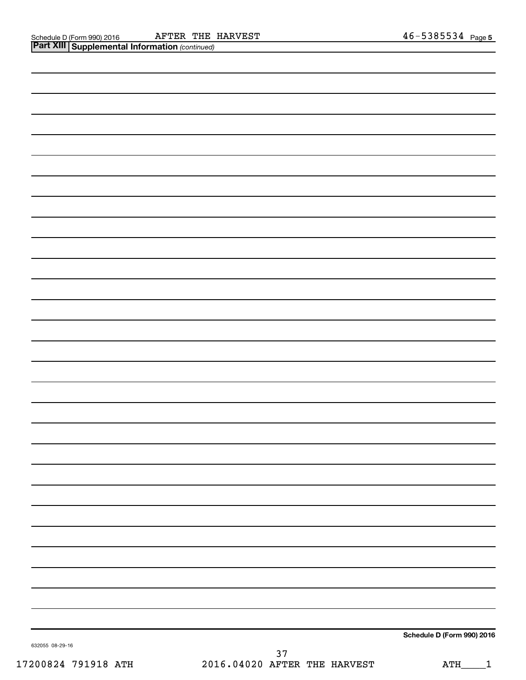| <b>Irt XIII   Supplemental Information</b> (continued) |
|--------------------------------------------------------|

| Schedule D (Form 990) 2016 |
|----------------------------|

632055 08-29-16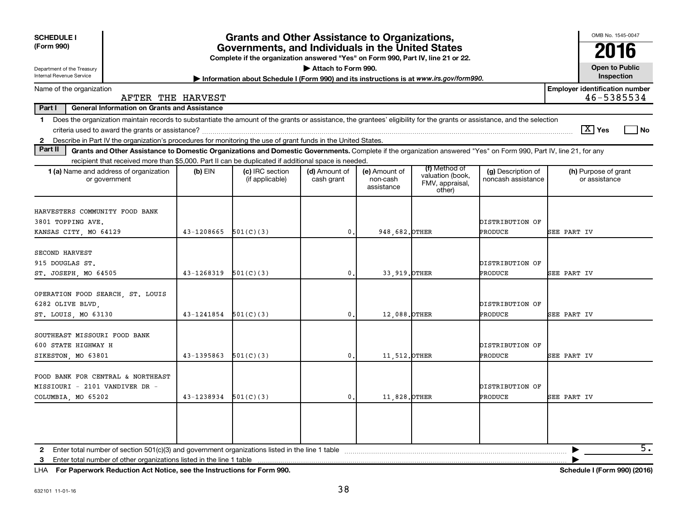| <b>Grants and Other Assistance to Organizations,</b><br><b>SCHEDULE I</b><br>(Form 990)<br>Governments, and Individuals in the United States<br>Complete if the organization answered "Yes" on Form 990, Part IV, line 21 or 22.                                                                                         |            |                                                                                         |                             |                                         |                                                                |                                          |                                                     |  |  |
|--------------------------------------------------------------------------------------------------------------------------------------------------------------------------------------------------------------------------------------------------------------------------------------------------------------------------|------------|-----------------------------------------------------------------------------------------|-----------------------------|-----------------------------------------|----------------------------------------------------------------|------------------------------------------|-----------------------------------------------------|--|--|
| Department of the Treasury<br>Internal Revenue Service                                                                                                                                                                                                                                                                   |            | Information about Schedule I (Form 990) and its instructions is at www.irs.gov/form990. | Attach to Form 990.         |                                         |                                                                |                                          | <b>Open to Public</b><br>Inspection                 |  |  |
| Name of the organization<br>AFTER THE HARVEST                                                                                                                                                                                                                                                                            |            |                                                                                         |                             |                                         |                                                                |                                          | <b>Employer identification number</b><br>46-5385534 |  |  |
| Part I<br><b>General Information on Grants and Assistance</b>                                                                                                                                                                                                                                                            |            |                                                                                         |                             |                                         |                                                                |                                          |                                                     |  |  |
| Does the organization maintain records to substantiate the amount of the grants or assistance, the grantees' eligibility for the grants or assistance, and the selection<br>$\mathbf 1$<br>Describe in Part IV the organization's procedures for monitoring the use of grant funds in the United States.<br>$\mathbf{2}$ |            |                                                                                         |                             |                                         |                                                                |                                          | $\boxed{\text{X}}$ Yes<br>  No                      |  |  |
| Part II<br>Grants and Other Assistance to Domestic Organizations and Domestic Governments. Complete if the organization answered "Yes" on Form 990, Part IV, line 21, for any                                                                                                                                            |            |                                                                                         |                             |                                         |                                                                |                                          |                                                     |  |  |
| recipient that received more than \$5,000. Part II can be duplicated if additional space is needed.                                                                                                                                                                                                                      |            |                                                                                         |                             |                                         |                                                                |                                          |                                                     |  |  |
| 1 (a) Name and address of organization<br>or government                                                                                                                                                                                                                                                                  | (b) EIN    | (c) IRC section<br>(if applicable)                                                      | (d) Amount of<br>cash grant | (e) Amount of<br>non-cash<br>assistance | (f) Method of<br>valuation (book,<br>FMV, appraisal,<br>other) | (g) Description of<br>noncash assistance | (h) Purpose of grant<br>or assistance               |  |  |
| HARVESTERS COMMUNITY FOOD BANK<br>3801 TOPPING AVE.<br>KANSAS CITY, MO 64129                                                                                                                                                                                                                                             | 43-1208665 | 501(C)(3)                                                                               | $\mathbf{0}$ .              | 948,682. OTHER                          |                                                                | DISTRIBUTION OF<br><b>PRODUCE</b>        | SEE PART IV                                         |  |  |
| SECOND HARVEST<br>915 DOUGLAS ST.<br>ST. JOSEPH, MO 64505                                                                                                                                                                                                                                                                | 43-1268319 | 501(C)(3)                                                                               | $\mathbf{0}$                | 33, 919. OTHER                          |                                                                | DISTRIBUTION OF<br><b>PRODUCE</b>        | SEE PART IV                                         |  |  |
| OPERATION FOOD SEARCH, ST. LOUIS<br>6282 OLIVE BLVD.<br>ST. LOUIS, MO 63130                                                                                                                                                                                                                                              | 43-1241854 | 501(C)(3)                                                                               | $\mathbf{0}$                | 12,088. OTHER                           |                                                                | DISTRIBUTION OF<br>PRODUCE               | SEE PART IV                                         |  |  |
| SOUTHEAST MISSOURI FOOD BANK<br>600 STATE HIGHWAY H<br>SIKESTON, MO 63801                                                                                                                                                                                                                                                | 43-1395863 | 501(C)(3)                                                                               | $\mathbf{0}$                | 11,512. OTHER                           |                                                                | DISTRIBUTION OF<br>PRODUCE               | <b>SEE PART IV</b>                                  |  |  |
| FOOD BANK FOR CENTRAL & NORTHEAST<br>MISSIOURI - 2101 VANDIVER DR -<br>COLUMBIA, MO 65202                                                                                                                                                                                                                                | 43-1238934 | 501(C)(3)                                                                               | $\mathbf{0}$ .              | 11,828. OTHER                           |                                                                | DISTRIBUTION OF<br><b>PRODUCE</b>        | SEE PART IV                                         |  |  |
| $\mathbf{2}$<br>Enter total number of other organizations listed in the line 1 table<br>3                                                                                                                                                                                                                                |            |                                                                                         |                             |                                         |                                                                |                                          | 5.                                                  |  |  |

**For Paperwork Reduction Act Notice, see the Instructions for Form 990. Schedule I (Form 990) (2016)** LHA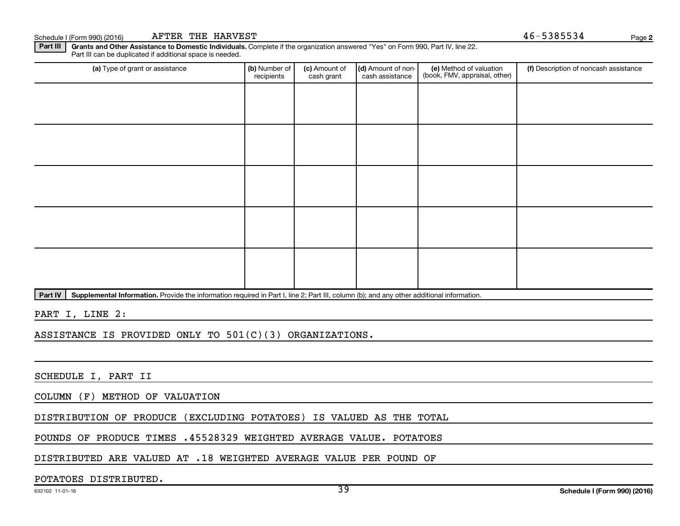Schedule I (Form 990) (2016) Page AFTER THE HARVEST

**2**

Part III | Grants and Other Assistance to Domestic Individuals. Complete if the organization answered "Yes" on Form 990, Part IV, line 22. Part III can be duplicated if additional space is needed.

| (a) Type of grant or assistance | (b) Number of<br>recipients | (c) Amount of<br>cash grant | (d) Amount of non-<br>cash assistance | (e) Method of valuation<br>(book, FMV, appraisal, other) | (f) Description of noncash assistance |
|---------------------------------|-----------------------------|-----------------------------|---------------------------------------|----------------------------------------------------------|---------------------------------------|
|                                 |                             |                             |                                       |                                                          |                                       |
|                                 |                             |                             |                                       |                                                          |                                       |
|                                 |                             |                             |                                       |                                                          |                                       |
|                                 |                             |                             |                                       |                                                          |                                       |
|                                 |                             |                             |                                       |                                                          |                                       |
|                                 |                             |                             |                                       |                                                          |                                       |
|                                 |                             |                             |                                       |                                                          |                                       |
|                                 |                             |                             |                                       |                                                          |                                       |
|                                 |                             |                             |                                       |                                                          |                                       |
|                                 |                             |                             |                                       |                                                          |                                       |

Part IV | Supplemental Information. Provide the information required in Part I, line 2; Part III, column (b); and any other additional information.

PART I, LINE 2:

ASSISTANCE IS PROVIDED ONLY TO 501(C)(3) ORGANIZATIONS.

SCHEDULE I, PART II

COLUMN (F) METHOD OF VALUATION

DISTRIBUTION OF PRODUCE (EXCLUDING POTATOES) IS VALUED AS THE TOTAL

POUNDS OF PRODUCE TIMES .45528329 WEIGHTED AVERAGE VALUE. POTATOES

DISTRIBUTED ARE VALUED AT .18 WEIGHTED AVERAGE VALUE PER POUND OF

#### POTATOES DISTRIBUTED.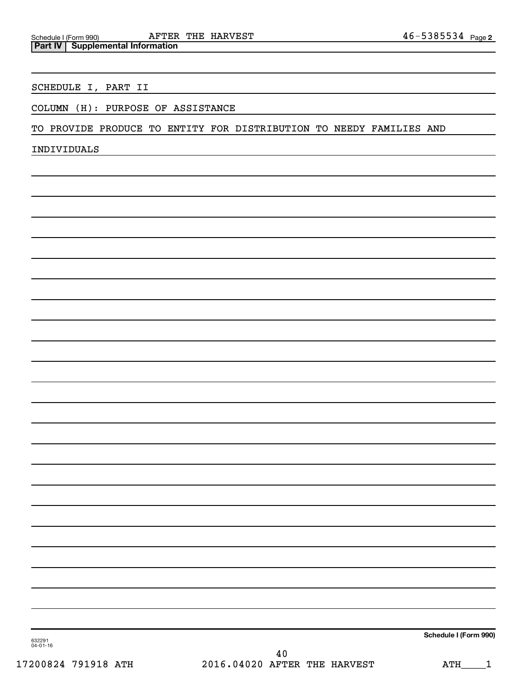### SCHEDULE I, PART II

### COLUMN (H): PURPOSE OF ASSISTANCE

TO PROVIDE PRODUCE TO ENTITY FOR DISTRIBUTION TO NEEDY FAMILIES AND

INDIVIDUALS

**Schedule I (Form 990)**

632291 04-01-16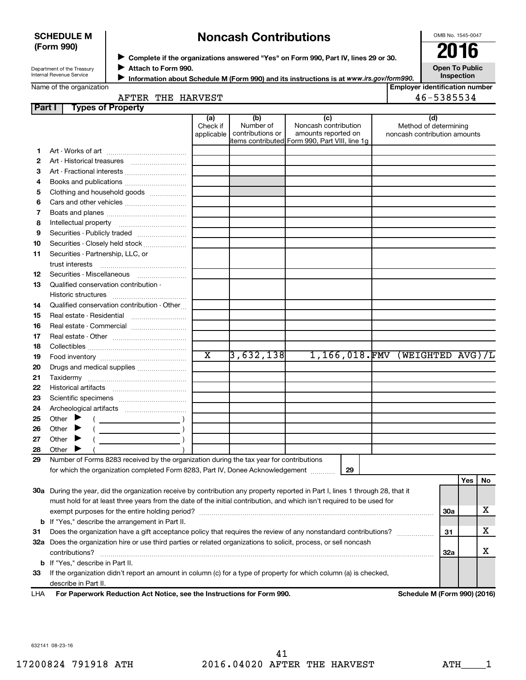#### **SCHEDULE M (Form 990)**

# **Noncash Contributions**

OMB No. 1545-0047

Department of the Treasury Internal Revenue Service

◆ Complete if the organizations answered "Yes" on Form 990, Part IV, lines 29 or 30.<br>● Complete if the organizations answered "Yes" on Form 990, Part IV, lines 29 or 30. **Attach to Form 990.**  $\blacktriangleright$ 

**Open To Public Inspection**

|  | Name of the organization |  |
|--|--------------------------|--|

**Information about Schedule M (Form 990) and its instructions is at www.irs.gov/form990.** 

**Employer identification number**  $\begin{array}{|c|c|c|c|}\n\hline\n\text{A} & 46-5385534 \\
\hline\n\end{array}$ 

|  |  |  | AFTER THE HARVEST |
|--|--|--|-------------------|
|--|--|--|-------------------|

| <b>Part I</b> | <b>Types of Property</b>                                                                                                       |                        |                               |                                                 |                                                       |            |     |    |
|---------------|--------------------------------------------------------------------------------------------------------------------------------|------------------------|-------------------------------|-------------------------------------------------|-------------------------------------------------------|------------|-----|----|
|               |                                                                                                                                | (a)                    | (b)                           | (c)                                             | (d)                                                   |            |     |    |
|               |                                                                                                                                | Check if<br>applicable | Number of<br>contributions or | Noncash contribution<br>amounts reported on     | Method of determining<br>noncash contribution amounts |            |     |    |
|               |                                                                                                                                |                        |                               | litems contributed Form 990, Part VIII, line 1q |                                                       |            |     |    |
| 1             |                                                                                                                                |                        |                               |                                                 |                                                       |            |     |    |
| 2             | Art - Historical treasures                                                                                                     |                        |                               |                                                 |                                                       |            |     |    |
| з             | Art - Fractional interests                                                                                                     |                        |                               |                                                 |                                                       |            |     |    |
| 4             | Books and publications                                                                                                         |                        |                               |                                                 |                                                       |            |     |    |
| 5             | Clothing and household goods                                                                                                   |                        |                               |                                                 |                                                       |            |     |    |
| 6             |                                                                                                                                |                        |                               |                                                 |                                                       |            |     |    |
| 7             |                                                                                                                                |                        |                               |                                                 |                                                       |            |     |    |
| 8             |                                                                                                                                |                        |                               |                                                 |                                                       |            |     |    |
| 9             | Securities - Publicly traded                                                                                                   |                        |                               |                                                 |                                                       |            |     |    |
| 10            | Securities - Closely held stock                                                                                                |                        |                               |                                                 |                                                       |            |     |    |
| 11            | Securities - Partnership, LLC, or                                                                                              |                        |                               |                                                 |                                                       |            |     |    |
|               | trust interests                                                                                                                |                        |                               |                                                 |                                                       |            |     |    |
| 12            |                                                                                                                                |                        |                               |                                                 |                                                       |            |     |    |
| 13            | Qualified conservation contribution -                                                                                          |                        |                               |                                                 |                                                       |            |     |    |
|               |                                                                                                                                |                        |                               |                                                 |                                                       |            |     |    |
| 14            | Qualified conservation contribution - Other                                                                                    |                        |                               |                                                 |                                                       |            |     |    |
| 15            | Real estate - Residential                                                                                                      |                        |                               |                                                 |                                                       |            |     |    |
| 16            |                                                                                                                                |                        |                               |                                                 |                                                       |            |     |    |
| 17            |                                                                                                                                |                        |                               |                                                 |                                                       |            |     |    |
| 18            |                                                                                                                                |                        |                               |                                                 |                                                       |            |     |    |
| 19            |                                                                                                                                | $\overline{\text{x}}$  | 3,632,138                     |                                                 | $1,166,018$ . FMV (WEIGHTED AVG)/L                    |            |     |    |
| 20            | Drugs and medical supplies                                                                                                     |                        |                               |                                                 |                                                       |            |     |    |
| 21            |                                                                                                                                |                        |                               |                                                 |                                                       |            |     |    |
| 22            |                                                                                                                                |                        |                               |                                                 |                                                       |            |     |    |
| 23            |                                                                                                                                |                        |                               |                                                 |                                                       |            |     |    |
| 24            |                                                                                                                                |                        |                               |                                                 |                                                       |            |     |    |
| 25            | Other $\blacktriangleright$                                                                                                    |                        |                               |                                                 |                                                       |            |     |    |
| 26            | $\overline{\phantom{a}}$ )<br>Other                                                                                            |                        |                               |                                                 |                                                       |            |     |    |
| 27            | $\overline{\phantom{a}}$ )<br>Other $\blacktriangleright$                                                                      |                        |                               |                                                 |                                                       |            |     |    |
| 28            | Other                                                                                                                          |                        |                               |                                                 |                                                       |            |     |    |
| 29            | Number of Forms 8283 received by the organization during the tax year for contributions                                        |                        |                               |                                                 |                                                       |            |     |    |
|               | for which the organization completed Form 8283, Part IV, Donee Acknowledgement                                                 |                        |                               | 29                                              |                                                       |            |     |    |
|               |                                                                                                                                |                        |                               |                                                 |                                                       |            | Yes | No |
|               | 30a During the year, did the organization receive by contribution any property reported in Part I, lines 1 through 28, that it |                        |                               |                                                 |                                                       |            |     |    |
|               | must hold for at least three years from the date of the initial contribution, and which isn't required to be used for          |                        |                               |                                                 |                                                       |            |     |    |
|               |                                                                                                                                |                        |                               |                                                 |                                                       | <b>30a</b> |     | х  |
|               | <b>b</b> If "Yes," describe the arrangement in Part II.                                                                        |                        |                               |                                                 |                                                       |            |     |    |
| 31            | Does the organization have a gift acceptance policy that requires the review of any nonstandard contributions?                 |                        |                               |                                                 |                                                       | 31         |     | х  |
|               | 32a Does the organization hire or use third parties or related organizations to solicit, process, or sell noncash              |                        |                               |                                                 |                                                       |            |     |    |
|               | contributions?                                                                                                                 |                        |                               |                                                 |                                                       | 32a        |     | х  |
|               | <b>b</b> If "Yes," describe in Part II.                                                                                        |                        |                               |                                                 |                                                       |            |     |    |
| 33            | If the organization didn't report an amount in column (c) for a type of property for which column (a) is checked,              |                        |                               |                                                 |                                                       |            |     |    |

LHA

describe in Part II.

**For Paperwork Reduction Act Notice, see the Instructions for Form 990. Schedule M (Form 990) (2016)**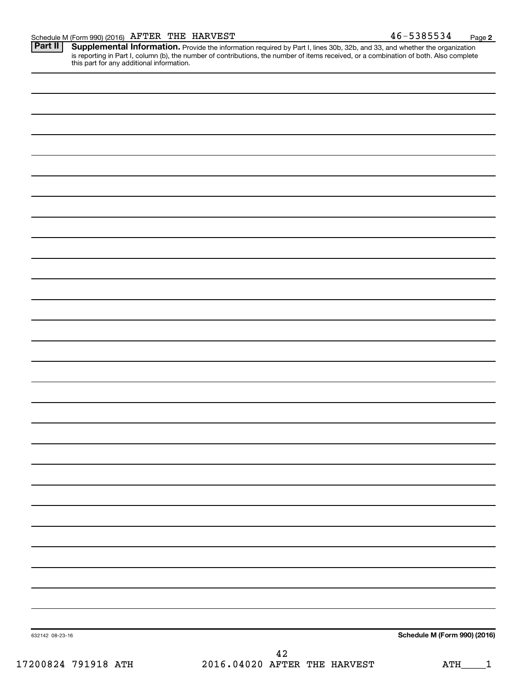Provide the information required by Part I, lines 30b, 32b, and 33, and whether the organization is reporting in Part I, column (b), the number of contributions, the number of items received, or a combination of both. Also complete this part for any additional information. **Part II Supplemental Information.** 

| 632142 08-23-16 | <b>Schedule M (Form 990) (2016)</b> |
|-----------------|-------------------------------------|
|                 | $\Lambda$ 2                         |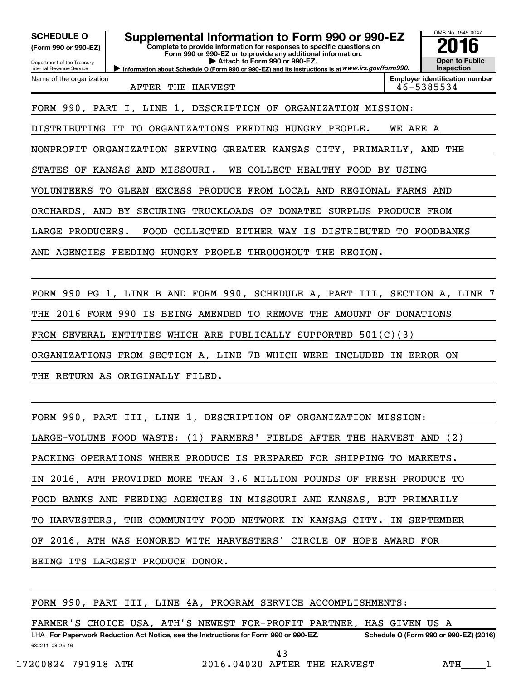OMB No. 1545-0047 Department of the Treasury Internal Revenue Service **Information about Schedule O (Form 990 or 990-EZ) and its instructions is at WWW.irs.gov/form990. Complete to provide information for responses to specific questions on Form 990 or 990-EZ or to provide any additional information. | Attach to Form 990 or 990-EZ. (Form 990 or 990-EZ) Open to Public Inspection Employer identification number** Name of the organization **SCHEDULE O Supplemental Information to Form 990 or 990-EZ 2016** AFTER THE HARVEST **1990 CONTROLL 120 ASSESS** 146-5385534 FORM 990, PART I, LINE 1, DESCRIPTION OF ORGANIZATION MISSION: DISTRIBUTING IT TO ORGANIZATIONS FEEDING HUNGRY PEOPLE. WE ARE A NONPROFIT ORGANIZATION SERVING GREATER KANSAS CITY, PRIMARILY, AND THE STATES OF KANSAS AND MISSOURI. WE COLLECT HEALTHY FOOD BY USING VOLUNTEERS TO GLEAN EXCESS PRODUCE FROM LOCAL AND REGIONAL FARMS AND ORCHARDS, AND BY SECURING TRUCKLOADS OF DONATED SURPLUS PRODUCE FROM LARGE PRODUCERS. FOOD COLLECTED EITHER WAY IS DISTRIBUTED TO FOODBANKS AND AGENCIES FEEDING HUNGRY PEOPLE THROUGHOUT THE REGION.

FORM 990 PG 1, LINE B AND FORM 990, SCHEDULE A, PART III, SECTION A, LINE 7 THE 2016 FORM 990 IS BEING AMENDED TO REMOVE THE AMOUNT OF DONATIONS FROM SEVERAL ENTITIES WHICH ARE PUBLICALLY SUPPORTED 501(C)(3) ORGANIZATIONS FROM SECTION A, LINE 7B WHICH WERE INCLUDED IN ERROR ON THE RETURN AS ORIGINALLY FILED.

FORM 990, PART III, LINE 1, DESCRIPTION OF ORGANIZATION MISSION: LARGE-VOLUME FOOD WASTE: (1) FARMERS' FIELDS AFTER THE HARVEST AND (2) PACKING OPERATIONS WHERE PRODUCE IS PREPARED FOR SHIPPING TO MARKETS. IN 2016, ATH PROVIDED MORE THAN 3.6 MILLION POUNDS OF FRESH PRODUCE TO FOOD BANKS AND FEEDING AGENCIES IN MISSOURI AND KANSAS, BUT PRIMARILY TO HARVESTERS, THE COMMUNITY FOOD NETWORK IN KANSAS CITY. IN SEPTEMBER OF 2016, ATH WAS HONORED WITH HARVESTERS' CIRCLE OF HOPE AWARD FOR BEING ITS LARGEST PRODUCE DONOR.

|                     |  |  |  | FORM 990, PART III, LINE 4A, PROGRAM SERVICE ACCOMPLISHMENTS:                        |  |                                        |     |  |
|---------------------|--|--|--|--------------------------------------------------------------------------------------|--|----------------------------------------|-----|--|
|                     |  |  |  |                                                                                      |  |                                        |     |  |
|                     |  |  |  | FARMER'S CHOICE USA, ATH'S NEWEST FOR-PROFIT PARTNER, HAS GIVEN US A                 |  |                                        |     |  |
|                     |  |  |  | LHA For Paperwork Reduction Act Notice, see the Instructions for Form 990 or 990-EZ. |  | Schedule O (Form 990 or 990-EZ) (2016) |     |  |
| 632211 08-25-16     |  |  |  |                                                                                      |  |                                        |     |  |
|                     |  |  |  | 43                                                                                   |  |                                        |     |  |
| 17200824 791918 ATH |  |  |  | 2016.04020 AFTER THE HARVEST                                                         |  |                                        | ATH |  |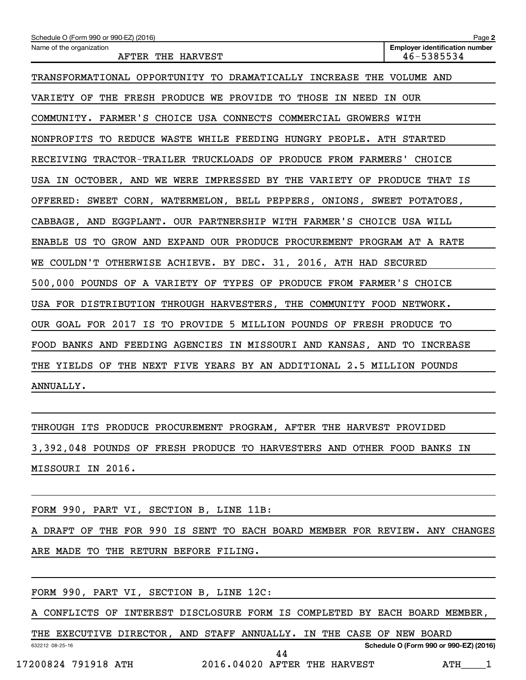| Schedule O (Form 990 or 990-EZ) (2016)                                  | Page 2                                              |
|-------------------------------------------------------------------------|-----------------------------------------------------|
| Name of the organization<br>AFTER THE HARVEST                           | <b>Employer identification number</b><br>46-5385534 |
| TRANSFORMATIONAL OPPORTUNITY TO DRAMATICALLY INCREASE THE VOLUME AND    |                                                     |
| VARIETY OF THE FRESH PRODUCE WE PROVIDE TO THOSE IN NEED IN OUR         |                                                     |
| COMMUNITY. FARMER'S CHOICE USA CONNECTS COMMERCIAL GROWERS WITH         |                                                     |
| NONPROFITS TO REDUCE WASTE WHILE FEEDING HUNGRY PEOPLE. ATH STARTED     |                                                     |
| RECEIVING TRACTOR-TRAILER TRUCKLOADS OF PRODUCE FROM FARMERS' CHOICE    |                                                     |
| USA IN OCTOBER, AND WE WERE IMPRESSED BY THE VARIETY OF PRODUCE THAT IS |                                                     |
| OFFERED: SWEET CORN, WATERMELON, BELL PEPPERS, ONIONS, SWEET POTATOES,  |                                                     |
| CABBAGE, AND EGGPLANT. OUR PARTNERSHIP WITH FARMER'S CHOICE USA WILL    |                                                     |
| ENABLE US TO GROW AND EXPAND OUR PRODUCE PROCUREMENT PROGRAM AT A RATE  |                                                     |
| WE COULDN'T OTHERWISE ACHIEVE. BY DEC. 31, 2016, ATH HAD SECURED        |                                                     |
| 500,000 POUNDS OF A VARIETY OF TYPES OF PRODUCE FROM FARMER'S CHOICE    |                                                     |
| USA FOR DISTRIBUTION THROUGH HARVESTERS, THE COMMUNITY FOOD NETWORK.    |                                                     |
| OUR GOAL FOR 2017 IS TO PROVIDE 5 MILLION POUNDS OF FRESH PRODUCE TO    |                                                     |
| FOOD BANKS AND FEEDING AGENCIES IN MISSOURI AND KANSAS, AND TO INCREASE |                                                     |
| THE YIELDS OF THE NEXT FIVE YEARS BY AN ADDITIONAL 2.5 MILLION POUNDS   |                                                     |
| ANNUALLY.                                                               |                                                     |

THROUGH ITS PRODUCE PROCUREMENT PROGRAM, AFTER THE HARVEST PROVIDED 3,392,048 POUNDS OF FRESH PRODUCE TO HARVESTERS AND OTHER FOOD BANKS IN MISSOURI IN 2016.

FORM 990, PART VI, SECTION B, LINE 11B:

A DRAFT OF THE FOR 990 IS SENT TO EACH BOARD MEMBER FOR REVIEW. ANY CHANGES ARE MADE TO THE RETURN BEFORE FILING.

FORM 990, PART VI, SECTION B, LINE 12C:

A CONFLICTS OF INTEREST DISCLOSURE FORM IS COMPLETED BY EACH BOARD MEMBER,

632212 08-25-16 **Schedule O (Form 990 or 990-EZ) (2016)** THE EXECUTIVE DIRECTOR, AND STAFF ANNUALLY. IN THE CASE OF NEW BOARD 44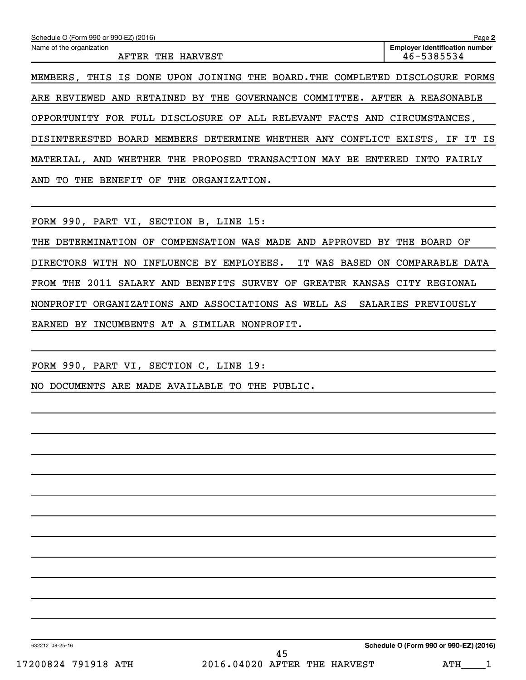| Schedule O (Form 990 or 990-EZ) (2016)                                            | Page 2                                              |
|-----------------------------------------------------------------------------------|-----------------------------------------------------|
| Name of the organization<br><b>AFTER</b><br>HARVEST<br>THE                        | <b>Employer identification number</b><br>46-5385534 |
| MEMBERS, THIS IS DONE UPON<br>JOINING THE<br>BOARD.THE COMPLETED                  | DISCLOSURE<br><b>FORMS</b>                          |
| ARE REVIEWED AND RETAINED BY THE GOVERNANCE COMMITTEE. AFTER A REASONABLE         |                                                     |
| FOR FULL DISCLOSURE OF ALL RELEVANT FACTS AND CIRCUMSTANCES,<br>OPPORTUNITY       |                                                     |
| BOARD MEMBERS DETERMINE<br>WHETHER ANY CONFLICT EXISTS, IF IT IS<br>DISINTERESTED |                                                     |
| PROPOSED<br>AND<br>THE<br><b>TRANSACTION MAY</b><br>MATERIAL.<br>WHETHER<br>BE.   | ENTERED<br>FAIRLY<br>INTO                           |
| THE<br>ORGANIZATION.<br>AND<br>BENEFIT<br>OF<br>THE<br>TO.                        |                                                     |

FORM 990, PART VI, SECTION B, LINE 15:

THE DETERMINATION OF COMPENSATION WAS MADE AND APPROVED BY THE BOARD OF DIRECTORS WITH NO INFLUENCE BY EMPLOYEES. IT WAS BASED ON COMPARABLE DATA FROM THE 2011 SALARY AND BENEFITS SURVEY OF GREATER KANSAS CITY REGIONAL NONPROFIT ORGANIZATIONS AND ASSOCIATIONS AS WELL AS SALARIES PREVIOUSLY EARNED BY INCUMBENTS AT A SIMILAR NONPROFIT.

FORM 990, PART VI, SECTION C, LINE 19:

NO DOCUMENTS ARE MADE AVAILABLE TO THE PUBLIC.

632212 08-25-16

**Schedule O (Form 990 or 990-EZ) (2016)**